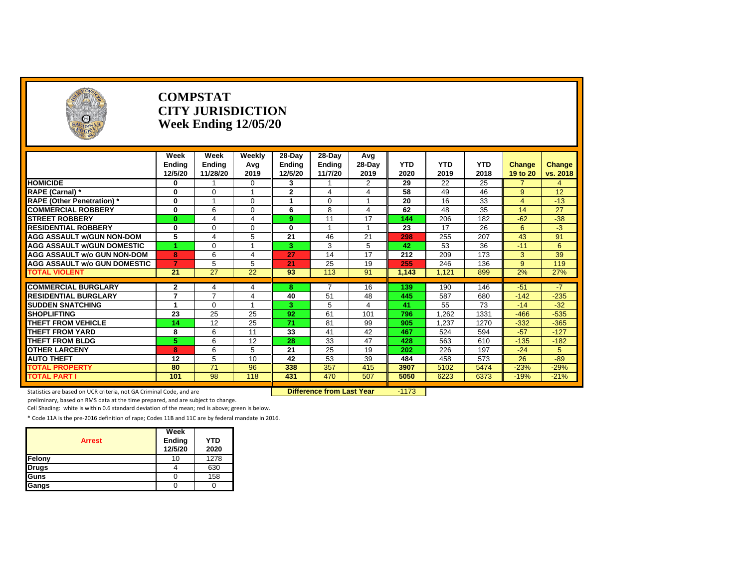|                                                           |                                | <b>COMPSTAT</b><br><b>CITY JURISDICTION</b><br>Week Ending $12/05/20$ |                      |               |                  |                |                 |                 |                 |                 |                |
|-----------------------------------------------------------|--------------------------------|-----------------------------------------------------------------------|----------------------|---------------|------------------|----------------|-----------------|-----------------|-----------------|-----------------|----------------|
|                                                           | Week                           | Week                                                                  | Weekly               | $28-Day$      | $28-Day$         | Avg            |                 |                 |                 |                 |                |
|                                                           | Endina                         | Ending                                                                | Avg                  | <b>Ending</b> | Endina           | 28-Dav         | <b>YTD</b>      | <b>YTD</b>      | <b>YTD</b>      | Change          | Change         |
|                                                           | 12/5/20                        | 11/28/20                                                              | 2019                 | 12/5/20       | 11/7/20          | 2019           | 2020            | 2019            | 2018            | 19 to 20        | vs. 2018       |
| <b>HOMICIDE</b>                                           | $\bf{0}$                       |                                                                       | $\Omega$             | $\mathbf{3}$  |                  | $\overline{2}$ | $\overline{29}$ | $\overline{22}$ | $\overline{25}$ | $\overline{7}$  | $\overline{4}$ |
| RAPE (Carnal) *                                           | $\bf{0}$                       | $\Omega$                                                              | $\blacktriangleleft$ | $\mathbf{2}$  | 4                | 4              | 58              | 49              | 46              | 9               | 12             |
| <b>RAPE (Other Penetration)*</b>                          | $\mathbf{0}$                   |                                                                       | $\Omega$             | -1            | $\Omega$         | 1              | 20              | 16              | 33              | $\overline{4}$  | $-13$          |
| <b>COMMERCIAL ROBBERY</b>                                 | $\bf{0}$                       | 6                                                                     | $\Omega$             | 6             | 8                | $\overline{4}$ | 62              | 48              | 35              | 14              | 27             |
| <b>STREET ROBBERY</b>                                     | $\bf{0}$                       | 4                                                                     | $\overline{4}$       | 9             | 11               | 17             | 144             | 206             | 182             | $-62$           | $-38$          |
| <b>RESIDENTIAL ROBBERY</b>                                | 0                              | $\Omega$                                                              | $\Omega$             | $\bf{0}$      |                  | $\overline{1}$ | 23              | 17              | 26              | 6               | $-3$           |
| <b>AGG ASSAULT w/GUN NON-DOM</b>                          | 5                              | 4                                                                     | 5                    | 21            | 46               | 21             | 298             | 255             | 207             | 43              | 91             |
| <b>AGG ASSAULT w/GUN DOMESTIC</b>                         |                                | $\Omega$                                                              |                      | 3             | 3                | 5              | 42              | 53              | 36              | $-11$           | 6              |
| <b>AGG ASSAULT w/o GUN NON-DOM</b>                        | 8                              | 6                                                                     | 4                    | 27            | 14               | 17             | 212             | 209             | 173             | 3               | 39             |
| <b>AGG ASSAULT w/o GUN DOMESTIC</b>                       | $\overline{7}$                 | 5                                                                     | 5                    | 21            | 25               | 19             | 255             | 246             | 136             | 9               | 119            |
| <b>TOTAL VIOLENT</b>                                      | 21                             | 27                                                                    | 22                   | 93            | $\overline{113}$ | 91             | 1,143           | 1,121           | 899             | 2%              | 27%            |
|                                                           |                                |                                                                       |                      |               |                  |                |                 |                 |                 |                 |                |
| <b>COMMERCIAL BURGLARY</b><br><b>RESIDENTIAL BURGLARY</b> | $\mathbf{2}$<br>$\overline{7}$ | 4<br>$\overline{7}$                                                   | 4<br>4               | -8<br>40      | 51               | 16<br>48       | 139<br>445      | 190<br>587      | 146<br>680      | $-51$<br>$-142$ | $-7$<br>$-235$ |
| <b>SUDDEN SNATCHING</b>                                   | $\overline{1}$                 | $\Omega$                                                              |                      | 3             | 5                | 4              | 41              | 55              | 73              | $-14$           | $-32$          |
| <b>SHOPLIFTING</b>                                        | 23                             | 25                                                                    | 25                   | 92            | 61               | 101            | 796             | 1.262           | 1331            | $-466$          | $-535$         |
| <b>THEFT FROM VEHICLE</b>                                 | 14                             | 12                                                                    | 25                   | 71            | 81               | 99             | 905             | 1.237           | 1270            | $-332$          | $-365$         |
| <b>THEFT FROM YARD</b>                                    | 8                              | 6                                                                     | 11                   | 33            | 41               | 42             | 467             | 524             | 594             | $-57$           | $-127$         |
| <b>THEFT FROM BLDG</b>                                    | 5                              | 6                                                                     | 12                   | 28            | 33               | 47             | 428             | 563             | 610             | $-135$          | $-182$         |
| <b>OTHER LARCENY</b>                                      | 8                              | 6                                                                     | 5                    | 21            | 25               | 19             | 202             | 226             | 197             | $-24$           | 5              |
| <b>AUTO THEFT</b>                                         | 12                             | 5                                                                     | 10                   | 42            | 53               | 39             | 484             | 458             | 573             | 26              | $-89$          |
| <b>TOTAL PROPERTY</b>                                     | 80                             | 71                                                                    | 96                   | 338           | 357              | 415            | 3907            | 5102            | 5474            | $-23%$          | $-29%$         |
| <b>TOTAL PART I</b>                                       | 101                            | 98                                                                    | 118                  | 431           | 470              | 507            | 5050            | 6223            | 6373            | $-19%$          | $-21%$         |
|                                                           |                                |                                                                       |                      |               |                  |                |                 |                 |                 |                 |                |

Statistics are based on UCR criteria, not GA Criminal Code, and are **Difference from Last Year** -1173

preliminary, based on RMS data at the time prepared, and are subject to change.

Cell Shading: white is within 0.6 standard deviation of the mean; red is above; green is below.

| <b>Arrest</b> | Week<br>Ending<br>12/5/20 | <b>YTD</b><br>2020 |
|---------------|---------------------------|--------------------|
| Felony        | 10                        | 1278               |
| <b>Drugs</b>  |                           | 630                |
| Guns          |                           | 158                |
| Gangs         |                           |                    |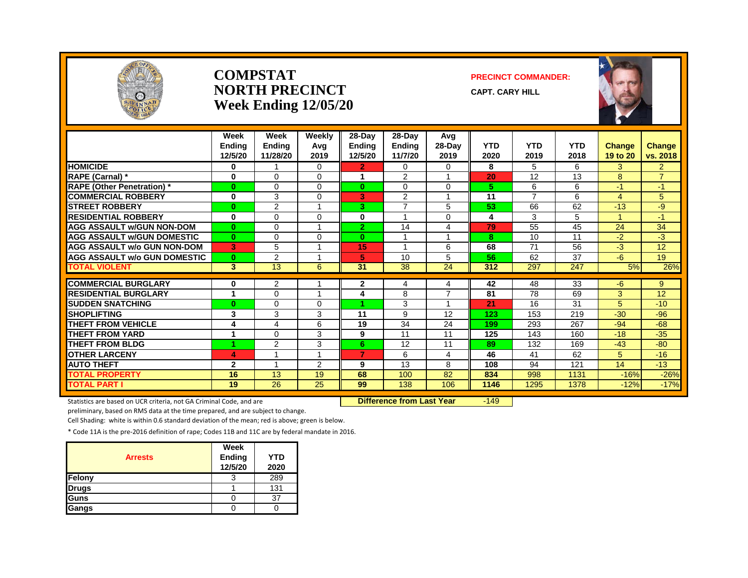

#### **COMPSTATNORTH PRECINCTWeek Ending 12/05/20**

#### **PRECINCT COMMANDER:**

**CAPT. CARY HILL**



|                                     | Week<br><b>Ending</b><br>12/5/20 | Week<br><b>Ending</b><br>11/28/20 | Weekly<br>Avg<br>2019   | 28-Day<br><b>Ending</b><br>12/5/20 | 28-Day<br><b>Ending</b><br>11/7/20 | Avg<br>28-Day<br>2019 | <b>YTD</b><br>2020 | <b>YTD</b><br>2019 | <b>YTD</b><br>2018 | <b>Change</b><br>19 to 20 | Change<br>vs. 2018 |
|-------------------------------------|----------------------------------|-----------------------------------|-------------------------|------------------------------------|------------------------------------|-----------------------|--------------------|--------------------|--------------------|---------------------------|--------------------|
| <b>HOMICIDE</b>                     | 0                                |                                   | $\Omega$                | $\overline{2}$                     | $\Omega$                           | $\Omega$              | 8                  | 5                  | 6                  | 3                         | $\overline{2}$     |
| RAPE (Carnal) *                     | $\bf{0}$                         | $\Omega$                          | 0                       | 1                                  | 2                                  | 1                     | 20                 | 12                 | 13                 | 8                         | $\overline{7}$     |
| <b>RAPE (Other Penetration)</b> *   | $\mathbf{0}$                     | $\Omega$                          | $\Omega$                | $\bf{0}$                           | $\Omega$                           | $\Omega$              | 5                  | 6                  | 6                  | $-1$                      | $-1$               |
| <b>COMMERCIAL ROBBERY</b>           | 0                                | 3                                 | 0                       | 3                                  | 2                                  |                       | 11                 | $\overline{7}$     | 6                  | 4                         | 5                  |
| <b>STREET ROBBERY</b>               | $\bf{0}$                         | $\overline{2}$                    |                         | З.                                 | $\overline{7}$                     | 5                     | 53                 | 66                 | 62                 | $-13$                     | $-9$               |
| <b>RESIDENTIAL ROBBERY</b>          | $\bf{0}$                         | $\Omega$                          | $\Omega$                | 0                                  |                                    | 0                     | 4                  | 3                  | 5                  | 1                         | $-1$               |
| <b>AGG ASSAULT w/GUN NON-DOM</b>    | $\bf{0}$                         | 0                                 |                         | $\mathbf{2}$                       | 14                                 | 4                     | 79                 | 55                 | 45                 | 24                        | 34                 |
| <b>AGG ASSAULT W/GUN DOMESTIC</b>   | $\bf{0}$                         | $\Omega$                          | $\Omega$                | $\bf{0}$                           | $\overline{\mathbf{A}}$            | $\overline{ }$        | 8                  | 10                 | 11                 | $-2$                      | $-3$               |
| <b>AGG ASSAULT w/o GUN NON-DOM</b>  | 3                                | 5                                 |                         | 15                                 |                                    | 6                     | 68                 | 71                 | 56                 | $-3$                      | 12                 |
| <b>AGG ASSAULT w/o GUN DOMESTIC</b> | $\bf{0}$                         | $\overline{2}$                    |                         | 5                                  | 10                                 | 5                     | 56                 | 62                 | 37                 | $-6$                      | 19                 |
| <b>TOTAL VIOLENT</b>                | 3                                | 13                                | 6                       | 31                                 | 38                                 | 24                    | 312                | 297                | 247                | 5%                        | 26%                |
|                                     |                                  |                                   |                         |                                    |                                    |                       |                    |                    |                    |                           |                    |
| <b>COMMERCIAL BURGLARY</b>          | 0                                | 2                                 |                         | $\mathbf{2}$                       | 4                                  | 4                     | 42                 | 48                 | 33                 | $-6$                      | 9                  |
| <b>RESIDENTIAL BURGLARY</b>         | 4                                | $\Omega$                          | $\overline{\mathbf{A}}$ | 4                                  | 8                                  | 7                     | 81                 | 78                 | 69                 | 3                         | 12                 |
| <b>SUDDEN SNATCHING</b>             | $\bf{0}$                         | 0                                 | 0                       |                                    | 3                                  |                       | 21                 | 16                 | 31                 | 5                         | $-10$              |
| <b>SHOPLIFTING</b>                  | 3                                | 3                                 | 3                       | 11                                 | 9                                  | 12                    | 123                | 153                | 219                | $-30$                     | $-96$              |
| <b>THEFT FROM VEHICLE</b>           | 4                                | 4                                 | 6                       | 19                                 | 34                                 | 24                    | 199                | 293                | 267                | $-94$                     | $-68$              |
| <b>THEFT FROM YARD</b>              |                                  | $\Omega$                          | 3                       | 9                                  | 11                                 | 11                    | 125                | 143                | 160                | $-18$                     | $-35$              |
| <b>THEFT FROM BLDG</b>              | 4                                | $\overline{2}$                    | 3                       | 6                                  | 12                                 | 11                    | 89                 | 132                | 169                | $-43$                     | $-80$              |
| <b>OTHER LARCENY</b>                | 4                                |                                   |                         | $\overline{7}$                     | 6                                  | 4                     | 46                 | 41                 | 62                 | 5                         | $-16$              |
| <b>AUTO THEFT</b>                   | $\mathbf{2}$                     |                                   | 2                       | 9                                  | 13                                 | 8                     | 108                | 94                 | 121                | 14                        | $-13$              |
| <b>TOTAL PROPERTY</b>               | 16                               | 13                                | 19                      | 68                                 | 100                                | 82                    | 834                | 998                | 1131               | $-16%$                    | $-26%$             |
| <b>TOTAL PART I</b>                 | 19                               | $\overline{26}$                   | 25                      | 99                                 | 138                                | 106                   | 1146               | 1295               | 1378               | $-12%$                    | $-17%$             |

Statistics are based on UCR criteria, not GA Criminal Code, and are **Difference from Last Year** -149

preliminary, based on RMS data at the time prepared, and are subject to change.

Cell Shading: white is within 0.6 standard deviation of the mean; red is above; green is below.

| <b>Arrests</b> | Week<br>Ending<br>12/5/20 | <b>YTD</b><br>2020 |
|----------------|---------------------------|--------------------|
| Felony         |                           | 289                |
| <b>Drugs</b>   |                           | 131                |
| <b>Guns</b>    |                           | 37                 |
| Gangs          |                           |                    |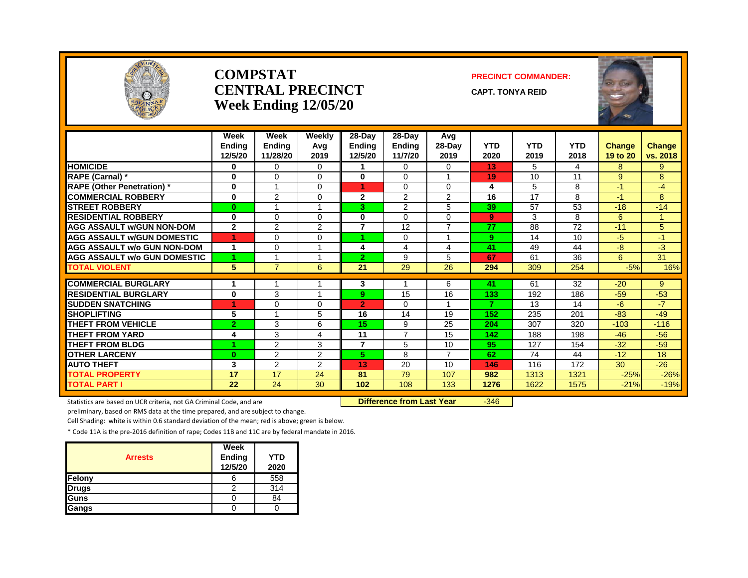

#### **COMPSTATCENTRAL PRECINCTWeek Ending 12/05/20**

#### **PRECINCT COMMANDER:**

**CAPT. TONYA REID**



|                                     | Week<br><b>Endina</b><br>12/5/20 | Week<br><b>Ending</b><br>11/28/20 | <b>Weekly</b><br>Avg<br>2019 | 28-Day<br><b>Endina</b><br>12/5/20 | $28-Dav$<br><b>Ending</b><br>11/7/20 | Avg<br>28-Day<br>2019 | <b>YTD</b><br>2020 | <b>YTD</b><br>2019 | <b>YTD</b><br>2018 | <b>Change</b><br>19 to 20 | <b>Change</b><br>vs. 2018 |
|-------------------------------------|----------------------------------|-----------------------------------|------------------------------|------------------------------------|--------------------------------------|-----------------------|--------------------|--------------------|--------------------|---------------------------|---------------------------|
| <b>HOMICIDE</b>                     | 0                                | $\Omega$                          | $\Omega$                     |                                    | $\Omega$                             | $\Omega$              | 13                 | 5                  | 4                  | 8                         | 9                         |
| RAPE (Carnal) *                     | 0                                | $\Omega$                          | $\Omega$                     | 0                                  | $\Omega$                             | 1                     | 19                 | 10                 | 11                 | 9                         | 8                         |
| <b>RAPE (Other Penetration)*</b>    | $\bf{0}$                         |                                   | 0                            | 4                                  | $\Omega$                             | $\Omega$              | 4                  | 5                  | 8                  | $-1$                      | $-4$                      |
| <b>COMMERCIAL ROBBERY</b>           | $\bf{0}$                         | $\overline{2}$                    | 0                            | $\overline{2}$                     | 2                                    | $\overline{2}$        | 16                 | 17                 | 8                  | $-1$                      | 8                         |
| <b>STREET ROBBERY</b>               | $\bf{0}$                         |                                   |                              | 3.                                 | 2                                    | 5                     | 39                 | 57                 | 53                 | $-18$                     | $-14$                     |
| <b>RESIDENTIAL ROBBERY</b>          | $\bf{0}$                         | $\Omega$                          | $\Omega$                     | 0                                  | 0                                    | $\Omega$              | 9                  | 3                  | 8                  | 6                         |                           |
| <b>AGG ASSAULT w/GUN NON-DOM</b>    | $\overline{2}$                   | 2                                 | $\overline{2}$               | $\overline{7}$                     | 12                                   | $\overline{7}$        | 77                 | 88                 | $\overline{72}$    | $-11$                     | 5                         |
| <b>AGG ASSAULT W/GUN DOMESTIC</b>   | 4                                | $\Omega$                          | $\Omega$                     | 4.                                 | $\Omega$                             | 1                     | 9                  | 14                 | 10                 | $-5$                      | $-1$                      |
| <b>AGG ASSAULT w/o GUN NON-DOM</b>  | 1                                | $\mathbf 0$                       |                              | 4                                  | 4                                    | 4                     | 41                 | 49                 | 44                 | -8                        | -3                        |
| <b>AGG ASSAULT W/o GUN DOMESTIC</b> | 1                                |                                   |                              | 2                                  | 9                                    | 5                     | 67                 | 61                 | 36                 | 6                         | 31                        |
| <b>TOTAL VIOLENT</b>                | 5                                | $\overline{7}$                    | 6                            | 21                                 | 29                                   | 26                    | 294                | 309                | 254                | $-5%$                     | 16%                       |
| <b>COMMERCIAL BURGLARY</b>          |                                  |                                   |                              |                                    |                                      | 6                     | 41                 | 61                 | 32                 | $-20$                     | 9                         |
| <b>RESIDENTIAL BURGLARY</b>         | 0                                | 3                                 | ٠                            | 3<br>9.                            | 15                                   | 16                    | 133                | 192                | 186                | $-59$                     | $-53$                     |
| <b>SUDDEN SNATCHING</b>             |                                  | $\mathbf 0$                       | $\Omega$                     | $\overline{2}$                     | $\Omega$                             | 1                     | 7                  | 13                 | 14                 | -6                        | -7                        |
| <b>SHOPLIFTING</b>                  | 5                                |                                   | 5                            | 16                                 | 14                                   | 19                    | 152                | 235                | 201                | $-83$                     | $-49$                     |
| <b>THEFT FROM VEHICLE</b>           | 2                                | 3                                 | 6                            | 15                                 | 9                                    | 25                    | 204                | 307                | 320                | $-103$                    | $-116$                    |
| <b>THEFT FROM YARD</b>              | 4                                | 3                                 | 4                            | 11                                 | $\overline{7}$                       | 15                    | 142                | 188                | 198                | $-46$                     | $-56$                     |
| <b>THEFT FROM BLDG</b>              | 4                                | 2                                 | 3                            | 7                                  | 5                                    | 10                    | 95                 | 127                | 154                | $-32$                     | $-59$                     |
| <b>OTHER LARCENY</b>                | $\bf{0}$                         | 2                                 | $\overline{2}$               | 5.                                 | 8                                    | 7                     | 62                 | 74                 | 44                 | $-12$                     | 18                        |
| <b>AUTO THEFT</b>                   | 3                                | 2                                 | 2                            | 13                                 | 20                                   | 10                    | 146                | 116                | 172                | 30                        | $-26$                     |
| <b>TOTAL PROPERTY</b>               | 17                               | 17                                | 24                           | 81                                 | 79                                   | 107                   | 982                | 1313               | 1321               | $-25%$                    | $-26%$                    |
| <b>TOTAL PART I</b>                 | 22                               | 24                                | 30                           | 102                                | 108                                  | 133                   | 1276               | 1622               | 1575               | $-21%$                    | $-19%$                    |

Statistics are based on UCR criteria, not GA Criminal Code, and are **Duman Communisty Code, Conference from Last Year**  $-346$ 

preliminary, based on RMS data at the time prepared, and are subject to change.

Cell Shading: white is within 0.6 standard deviation of the mean; red is above; green is below.

|                | <b>Week</b>       |                    |
|----------------|-------------------|--------------------|
| <b>Arrests</b> | Ending<br>12/5/20 | <b>YTD</b><br>2020 |
| Felony         |                   | 558                |
| <b>Drugs</b>   |                   | 314                |
| Guns           |                   | 84                 |
| Gangs          |                   |                    |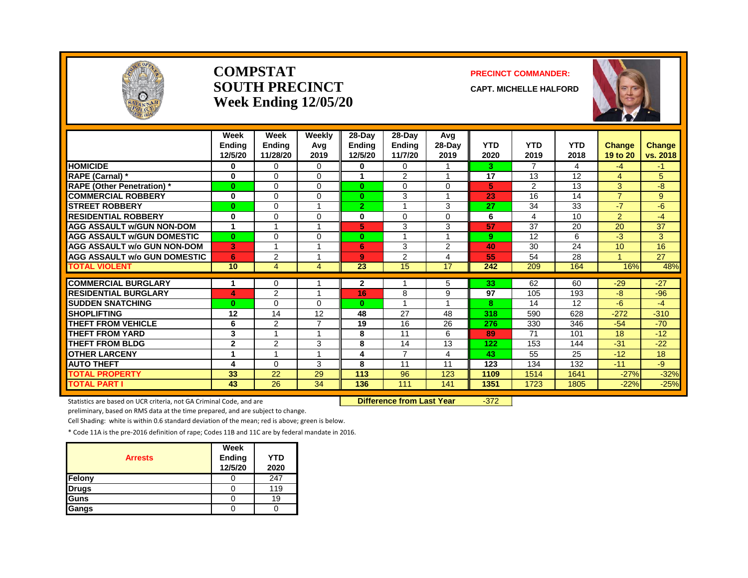

#### **COMPSTATSOUTH PRECINCTWeek Ending 12/05/20**

#### **PRECINCT COMMANDER:**

**CAPT. MICHELLE HALFORD**



|                                              | Week<br><b>Endina</b><br>12/5/20 | Week<br><b>Ending</b><br>11/28/20 | Weekly<br>Avg<br>2019   | 28-Day<br><b>Endina</b><br>12/5/20 | 28-Day<br><b>Endina</b><br>11/7/20 | Avg<br>$28-Day$<br>2019 | <b>YTD</b><br>2020 | <b>YTD</b><br>2019 | <b>YTD</b><br>2018 | <b>Change</b><br>19 to 20 | <b>Change</b><br>vs. 2018 |
|----------------------------------------------|----------------------------------|-----------------------------------|-------------------------|------------------------------------|------------------------------------|-------------------------|--------------------|--------------------|--------------------|---------------------------|---------------------------|
| <b>HOMICIDE</b>                              | $\bf{0}$                         | $\Omega$                          | $\Omega$                | 0                                  | $\Omega$                           |                         | 3                  | $\overline{7}$     | 4                  | $-4$                      | $-1$                      |
| <b>RAPE (Carnal) *</b>                       | $\bf{0}$                         | $\Omega$                          | $\Omega$                | 1                                  | 2                                  | $\overline{ }$          | 17                 | 13                 | 12                 | $\overline{4}$            | 5                         |
| <b>RAPE (Other Penetration)</b> *            | $\bf{0}$                         | $\Omega$                          | $\Omega$                | $\mathbf{0}$                       | $\Omega$                           | $\Omega$                | 5                  | $\overline{2}$     | 13                 | 3                         | -8                        |
| <b>COMMERCIAL ROBBERY</b>                    | $\bf{0}$                         | $\Omega$                          | 0                       | $\bf{0}$                           | 3                                  |                         | 23                 | 16                 | 14                 | $\overline{7}$            | $9^{\circ}$               |
| <b>STREET ROBBERY</b>                        | $\bf{0}$                         | $\Omega$                          |                         | $\overline{2}$                     |                                    | 3                       | 27                 | 34                 | 33                 | $-7$                      | -6                        |
| <b>RESIDENTIAL ROBBERY</b>                   | $\bf{0}$                         | $\Omega$                          | $\Omega$                | 0                                  | $\Omega$                           | $\Omega$                | 6                  | 4                  | 10                 | $\overline{2}$            | $-4$                      |
| <b>AGG ASSAULT w/GUN NON-DOM</b>             | $\mathbf{1}$                     | $\overline{ }$                    |                         | 5                                  | 3                                  | 3                       | 57                 | 37                 | 20                 | $\overline{20}$           | 37                        |
| <b>AGG ASSAULT W/GUN DOMESTIC</b>            | $\bf{0}$                         | $\Omega$                          | $\Omega$                | $\bf{0}$                           | $\overline{ }$                     | $\overline{ }$          | 9                  | 12                 | 6                  | $-3$                      | 3                         |
| <b>AGG ASSAULT w/o GUN NON-DOM</b>           | 3                                | $\overline{\mathbf{A}}$           |                         | 6                                  | 3                                  | 2                       | 40                 | 30                 | 24                 | 10                        | 16                        |
| <b>AGG ASSAULT W/o GUN DOMESTIC</b>          | 6                                | 2                                 |                         | 9                                  | 2                                  | $\overline{4}$          | 55                 | 54                 | 28                 |                           | 27                        |
| <b>TOTAL VIOLENT</b>                         | 10                               | 4                                 | 4                       | 23                                 | 15                                 | 17                      | 242                | 209                | 164                | 16%                       | 48%                       |
| <b>COMMERCIAL BURGLARY</b>                   |                                  | 0                                 |                         | 2                                  |                                    | 5                       | 33                 | 62                 | 60                 | $-29$                     | $-27$                     |
| <b>RESIDENTIAL BURGLARY</b>                  | 4                                | 2                                 | $\overline{\mathbf{A}}$ | 16                                 | 8                                  | 9                       | 97                 | 105                | 193                | -8                        | $-96$                     |
| <b>SUDDEN SNATCHING</b>                      | $\bf{0}$                         | $\Omega$                          | $\Omega$                | 0                                  |                                    |                         | 8                  | 14                 | 12                 | -6                        | $-4$                      |
| <b>SHOPLIFTING</b>                           | 12                               | 14                                | 12                      | 48                                 | 27                                 | 48                      | 318                | 590                | 628                | $-272$                    | $-310$                    |
| <b>THEFT FROM VEHICLE</b>                    | 6                                | 2                                 | ⇁                       | 19                                 | 16                                 | 26                      | 276                | 330                | 346                | $-54$                     | $-70$                     |
| <b>THEFT FROM YARD</b>                       | 3                                |                                   |                         | 8                                  | 11                                 | 6                       | 89                 | 71                 | 101                | 18                        | $-12$                     |
| <b>THEFT FROM BLDG</b>                       | $\mathbf{2}$                     | $\overline{2}$                    | 3                       | 8                                  | 14                                 | 13                      | 122                | 153                | 144                | $-31$                     | $-22$                     |
| <b>OTHER LARCENY</b>                         | 1                                | $\overline{ }$                    | -1                      | 4                                  | $\overline{7}$                     | 4                       | 43                 | 55                 | 25                 | $-12$                     | 18                        |
|                                              |                                  |                                   |                         | 8                                  | 11                                 | 11                      |                    | 134                | 132                | $-11$                     | $-9$                      |
| <b>AUTO THEFT</b>                            | 4<br>33                          | $\Omega$<br>22                    | 3<br>29                 | 113                                | 96                                 | 123                     | 123<br>1109        | 1514               | 1641               |                           |                           |
| <b>TOTAL PROPERTY</b><br><b>TOTAL PART I</b> | 43                               | 26                                | 34                      | 136                                | 111                                | 141                     | 1351               | 1723               | 1805               | $-27%$<br>$-22%$          | $-32%$<br>$-25%$          |

Statistics are based on UCR criteria, not GA Criminal Code, and are **Difference from Last Year** -372

preliminary, based on RMS data at the time prepared, and are subject to change.

Cell Shading: white is within 0.6 standard deviation of the mean; red is above; green is below.

| <b>Arrests</b> | Week<br><b>Ending</b><br>12/5/20 | <b>YTD</b><br>2020 |
|----------------|----------------------------------|--------------------|
| Felony         |                                  | 247                |
| <b>Drugs</b>   |                                  | 119                |
| Guns           |                                  | 19                 |
| Gangs          |                                  |                    |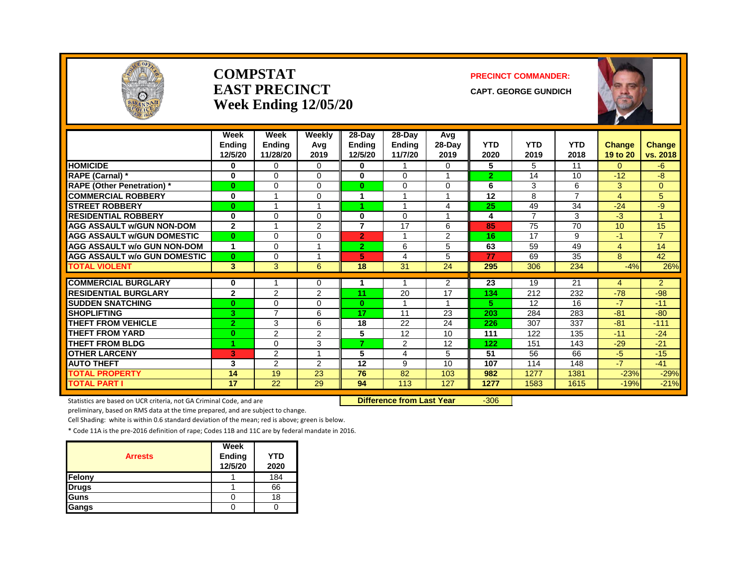

#### **COMPSTATEAST PRECINCTWeek Ending 12/05/20**

#### **PRECINCT COMMANDER:**

**CAPT. GEORGE GUNDICH**



|                                     | Week<br>Endina<br>12/5/20 | Week<br><b>Ending</b><br>11/28/20 | Weekly<br>Avg<br>2019        | 28-Day<br><b>Ending</b><br>12/5/20 | 28-Day<br><b>Ending</b><br>11/7/20 | Avg<br>$28-Day$<br>2019 | <b>YTD</b><br>2020 | <b>YTD</b><br>2019 | <b>YTD</b><br>2018 | <b>Change</b><br>19 to 20 | Change<br>vs. 2018 |
|-------------------------------------|---------------------------|-----------------------------------|------------------------------|------------------------------------|------------------------------------|-------------------------|--------------------|--------------------|--------------------|---------------------------|--------------------|
| <b>HOMICIDE</b>                     | 0                         | $\Omega$                          | $\Omega$                     | 0                                  |                                    | $\Omega$                | 5                  | 5                  | 11                 | 0                         | -6                 |
| RAPE (Carnal) *                     | 0                         | $\Omega$                          | $\Omega$                     | $\mathbf{0}$                       | 0                                  | 1                       | $\overline{2}$     | 14                 | 10                 | $-12$                     | $-8$               |
| <b>RAPE (Other Penetration)</b> *   | $\bf{0}$                  | $\Omega$                          | $\Omega$                     | $\bf{0}$                           | 0                                  | $\Omega$                | 6                  | 3                  | 6                  | 3                         | $\Omega$           |
| <b>COMMERCIAL ROBBERY</b>           | 0                         | 1                                 | 0                            | 1                                  |                                    | 1                       | 12                 | 8                  | $\overline{7}$     | 4                         | 5.                 |
| <b>STREET ROBBERY</b>               | $\bf{0}$                  | 1                                 |                              |                                    |                                    | 4                       | 25                 | 49                 | 34                 | $-24$                     | -9                 |
| <b>RESIDENTIAL ROBBERY</b>          | 0                         | $\Omega$                          | $\Omega$                     | 0                                  | 0                                  | 1                       | 4                  | 7                  | 3                  | $-3$                      |                    |
| <b>AGG ASSAULT w/GUN NON-DOM</b>    | $\mathbf{2}$              | 1                                 | 2                            | $\overline{7}$                     | 17                                 | 6                       | 85                 | 75                 | 70                 | 10                        | 15                 |
| <b>AGG ASSAULT W/GUN DOMESTIC</b>   | $\mathbf{0}$              | $\Omega$                          | $\Omega$                     | $\overline{2}$                     |                                    | 2                       | 16                 | 17                 | 9                  | $-1$                      | $\overline{7}$     |
| <b>AGG ASSAULT w/o GUN NON-DOM</b>  | $\blacktriangleleft$      | $\Omega$                          | и                            | $\mathbf{2}$                       | 6                                  | 5                       | 63                 | 59                 | 49                 | 4                         | 14                 |
| <b>AGG ASSAULT w/o GUN DOMESTIC</b> | $\bf{0}$                  | $\Omega$                          |                              | 5.                                 | 4                                  | 5                       | 77                 | 69                 | 35                 | 8                         | 42                 |
| <b>TOTAL VIOLENT</b>                | 3                         | 3                                 | 6                            | 18                                 | 31                                 | 24                      | 295                | 306                | 234                | $-4%$                     | 26%                |
|                                     |                           |                                   |                              |                                    |                                    |                         |                    |                    |                    |                           |                    |
| <b>COMMERCIAL BURGLARY</b>          | 0                         |                                   | $\Omega$                     |                                    |                                    | $\overline{2}$          | 23                 | 19                 | 21                 | 4<br>$-78$                | $\overline{2}$     |
| <b>RESIDENTIAL BURGLARY</b>         | $\mathbf{2}$              | 2                                 | $\overline{2}$               | 11                                 | 20                                 | 17                      | 134                | 212                | 232                |                           | $-98$              |
| <b>SUDDEN SNATCHING</b>             | $\bf{0}$                  | $\Omega$<br>$\overline{7}$        | $\Omega$                     | $\mathbf{0}$                       |                                    | 1                       | 5                  | 12                 | 16                 | $-7$                      | $-11$              |
| <b>SHOPLIFTING</b>                  | 3                         |                                   | 6                            | 17                                 | 11                                 | 23                      | 203                | 284                | 283                | $-81$                     | $-80$              |
| <b>THEFT FROM VEHICLE</b>           | $\overline{2}$            | 3                                 | 6                            | 18                                 | 22                                 | 24                      | 226                | 307                | 337                | $-81$                     | $-111$             |
| <b>THEFT FROM YARD</b>              | $\bf{0}$                  | $\overline{2}$                    | 2                            | 5<br>$\overline{z}$                | 12                                 | 10                      | 111                | 122                | 135                | $-11$                     | $-24$              |
| <b>THEFT FROM BLDG</b>              | и                         | $\Omega$                          | 3<br>$\overline{\mathbf{A}}$ |                                    | $\overline{2}$                     | 12                      | 122                | 151                | 143                | $-29$                     | $-21$              |
| <b>OTHER LARCENY</b>                | 3                         | $\overline{2}$                    |                              | 5                                  | 4                                  | 5                       | 51                 | 56                 | 66                 | $-5$                      | $-15$              |
| <b>AUTO THEFT</b>                   | 3                         | $\overline{2}$                    | 2                            | 12                                 | 9                                  | 10                      | 107                | 114                | 148                | $-7$                      | $-41$              |
| <b>TOTAL PROPERTY</b>               | 14                        | 19                                | 23                           | 76                                 | 82                                 | 103                     | 982                | 1277               | 1381               | $-23%$                    | $-29%$             |
| <b>TOTAL PART I</b>                 | 17                        | 22                                | 29                           | 94                                 | 113                                | 127                     | 1277               | 1583               | 1615               | $-19%$                    | $-21%$             |

Statistics are based on UCR criteria, not GA Criminal Code, and are **Difference from Last Year** -306

preliminary, based on RMS data at the time prepared, and are subject to change.

Cell Shading: white is within 0.6 standard deviation of the mean; red is above; green is below.

| <b>Arrests</b> | Week<br><b>Ending</b><br>12/5/20 | <b>YTD</b><br>2020 |
|----------------|----------------------------------|--------------------|
| Felony         |                                  | 184                |
| <b>Drugs</b>   |                                  | 66                 |
| <b>Guns</b>    |                                  | 18                 |
| <b>Gangs</b>   |                                  |                    |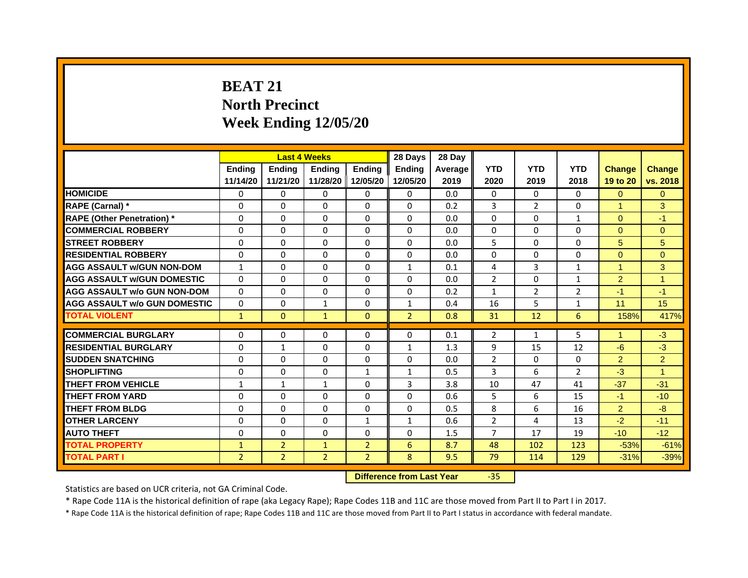# **BEAT 21North Precinct Week Ending 12/05/20**

|                                     |                | <b>Last 4 Weeks</b> |                |                | 28 Days        | 28 Day  |                |                |                |                      |                |
|-------------------------------------|----------------|---------------------|----------------|----------------|----------------|---------|----------------|----------------|----------------|----------------------|----------------|
|                                     | <b>Endina</b>  | <b>Endina</b>       | <b>Endina</b>  | <b>Endina</b>  | <b>Endina</b>  | Average | <b>YTD</b>     | <b>YTD</b>     | <b>YTD</b>     | <b>Change</b>        | <b>Change</b>  |
|                                     | 11/14/20       | 11/21/20            | 11/28/20       | 12/05/20       | 12/05/20       | 2019    | 2020           | 2019           | 2018           | 19 to 20             | vs. 2018       |
| <b>HOMICIDE</b>                     | 0              | 0                   | $\Omega$       | 0              | 0              | 0.0     | $\mathbf{0}$   | $\Omega$       | $\Omega$       | $\Omega$             | $\Omega$       |
| RAPE (Carnal) *                     | $\Omega$       | $\Omega$            | $\Omega$       | $\Omega$       | $\Omega$       | 0.2     | 3              | $\overline{2}$ | $\Omega$       | $\blacktriangleleft$ | 3              |
| <b>RAPE (Other Penetration)*</b>    | $\Omega$       | $\Omega$            | $\Omega$       | $\Omega$       | $\Omega$       | 0.0     | $\Omega$       | $\Omega$       | $\mathbf{1}$   | $\Omega$             | $-1$           |
| <b>COMMERCIAL ROBBERY</b>           | 0              | 0                   | $\Omega$       | 0              | 0              | 0.0     | 0              | 0              | 0              | $\Omega$             | $\Omega$       |
| <b>STREET ROBBERY</b>               | 0              | $\Omega$            | 0              | $\Omega$       | 0              | 0.0     | 5              | 0              | 0              | 5                    | 5              |
| <b>RESIDENTIAL ROBBERY</b>          | 0              | $\Omega$            | $\Omega$       | $\Omega$       | $\Omega$       | 0.0     | $\Omega$       | $\Omega$       | $\Omega$       | $\Omega$             | $\Omega$       |
| <b>AGG ASSAULT w/GUN NON-DOM</b>    | $\mathbf{1}$   | $\Omega$            | $\Omega$       | $\Omega$       | $\mathbf{1}$   | 0.1     | 4              | 3              | $\mathbf{1}$   | $\overline{1}$       | 3              |
| <b>AGG ASSAULT W/GUN DOMESTIC</b>   | $\Omega$       | $\Omega$            | $\Omega$       | $\Omega$       | $\Omega$       | 0.0     | $\mathcal{P}$  | $\Omega$       | $\mathbf{1}$   | $\overline{2}$       | $\overline{1}$ |
| <b>AGG ASSAULT w/o GUN NON-DOM</b>  | $\Omega$       | 0                   | $\Omega$       | 0              | $\Omega$       | 0.2     | 1              | 2              | $\overline{2}$ | $-1$                 | $-1$           |
| <b>AGG ASSAULT w/o GUN DOMESTIC</b> | 0              | 0                   | 1              | $\Omega$       | 1              | 0.4     | 16             | 5              | $\mathbf{1}$   | 11                   | 15             |
| <b>TOTAL VIOLENT</b>                | $\mathbf{1}$   | $\Omega$            | $\mathbf{1}$   | $\Omega$       | $\overline{2}$ | 0.8     | 31             | 12             | 6              | 158%                 | 417%           |
|                                     |                |                     |                |                |                |         |                |                |                |                      |                |
| <b>COMMERCIAL BURGLARY</b>          | 0              | 0                   | $\Omega$       | 0              | $\Omega$       | 0.1     | 2              | $\mathbf{1}$   | 5              | 1                    | $-3$           |
| <b>RESIDENTIAL BURGLARY</b>         | 0              | $\mathbf{1}$        | 0              | $\Omega$       | $\mathbf{1}$   | 1.3     | 9              | 15             | 12             | $-6$                 | $-3$           |
| <b>SUDDEN SNATCHING</b>             | 0              | $\Omega$            | $\Omega$       | $\Omega$       | $\Omega$       | 0.0     | $\overline{2}$ | $\Omega$       | $\Omega$       | $\overline{2}$       | $\overline{2}$ |
| <b>SHOPLIFTING</b>                  | $\Omega$       | $\Omega$            | $\Omega$       | $\mathbf{1}$   | $\mathbf{1}$   | 0.5     | 3              | 6              | $\overline{2}$ | $-3$                 | 1              |
| <b>THEFT FROM VEHICLE</b>           | $\mathbf{1}$   | $\mathbf{1}$        | $\mathbf{1}$   | $\mathbf{0}$   | 3              | 3.8     | 10             | 47             | 41             | $-37$                | $-31$          |
| <b>THEFT FROM YARD</b>              | $\Omega$       | 0                   | $\Omega$       | $\Omega$       | $\Omega$       | 0.6     | 5              | 6              | 15             | $-1$                 | $-10$          |
| <b>THEFT FROM BLDG</b>              | $\Omega$       | $\Omega$            | $\Omega$       | $\mathbf{0}$   | $\Omega$       | 0.5     | 8              | 6              | 16             | $\overline{2}$       | $-8$           |
| <b>OTHER LARCENY</b>                | 0              | 0                   | $\Omega$       | $\mathbf{1}$   | $\mathbf{1}$   | 0.6     | $\overline{2}$ | $\overline{a}$ | 13             | $-2$                 | $-11$          |
| <b>AUTO THEFT</b>                   | $\mathbf 0$    | 0                   | $\Omega$       | $\Omega$       | $\Omega$       | 1.5     | 7              | 17             | 19             | $-10$                | $-12$          |
| <b>TOTAL PROPERTY</b>               | $\mathbf{1}$   | $\overline{2}$      | $\mathbf{1}$   | $\overline{2}$ | 6              | 8.7     | 48             | 102            | 123            | $-53%$               | $-61%$         |
| <b>TOTAL PART I</b>                 | $\overline{2}$ | $\overline{2}$      | $\overline{2}$ | $\overline{2}$ | 8              | 9.5     | 79             | 114            | 129            | $-31%$               | $-39%$         |

 **Difference from Last Year**

‐35

Statistics are based on UCR criteria, not GA Criminal Code.

\* Rape Code 11A is the historical definition of rape (aka Legacy Rape); Rape Codes 11B and 11C are those moved from Part II to Part I in 2017.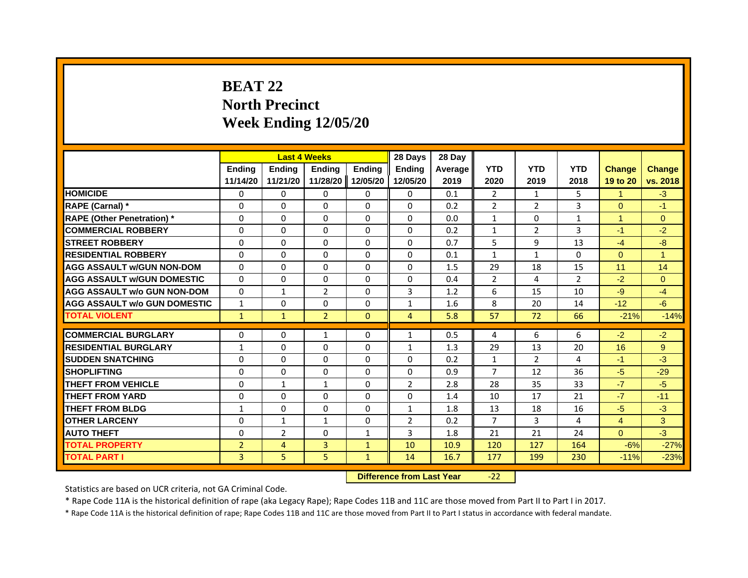# **BEAT 22North Precinct Week Ending 12/05/20**

|                                     |                | <b>Last 4 Weeks</b> |                |                   | 28 Days        | 28 Day  |                |                |                |                |               |
|-------------------------------------|----------------|---------------------|----------------|-------------------|----------------|---------|----------------|----------------|----------------|----------------|---------------|
|                                     | Ending         | Ending              | Ending         | <b>Endina</b>     | Ending         | Average | <b>YTD</b>     | <b>YTD</b>     | <b>YTD</b>     | <b>Change</b>  | <b>Change</b> |
|                                     | 11/14/20       | 11/21/20            |                | 11/28/20 12/05/20 | 12/05/20       | 2019    | 2020           | 2019           | 2018           | 19 to 20       | vs. 2018      |
| <b>HOMICIDE</b>                     | 0              | 0                   | 0              | 0                 | 0              | 0.1     | 2              | $\mathbf{1}$   | 5              | $\mathbf{1}$   | $-3$          |
| RAPE (Carnal) *                     | $\Omega$       | $\Omega$            | $\Omega$       | $\Omega$          | $\Omega$       | 0.2     | $\overline{2}$ | $\overline{2}$ | 3              | $\Omega$       | $-1$          |
| <b>RAPE (Other Penetration) *</b>   | $\Omega$       | $\Omega$            | $\Omega$       | $\Omega$          | $\Omega$       | 0.0     | $\mathbf{1}$   | $\Omega$       | $\mathbf{1}$   | $\mathbf{1}$   | $\Omega$      |
| <b>COMMERCIAL ROBBERY</b>           | $\Omega$       | $\Omega$            | $\Omega$       | $\Omega$          | $\Omega$       | 0.2     | $\mathbf{1}$   | $\overline{2}$ | 3              | $-1$           | $-2$          |
| <b>STREET ROBBERY</b>               | $\Omega$       | $\Omega$            | $\Omega$       | $\Omega$          | $\Omega$       | 0.7     | 5              | 9              | 13             | $-4$           | $-8$          |
| <b>RESIDENTIAL ROBBERY</b>          | $\Omega$       | $\Omega$            | $\Omega$       | $\Omega$          | $\Omega$       | 0.1     | $\mathbf{1}$   | $\mathbf{1}$   | $\Omega$       | $\mathbf{0}$   | $\mathbf{1}$  |
| <b>AGG ASSAULT w/GUN NON-DOM</b>    | $\Omega$       | $\Omega$            | $\Omega$       | $\Omega$          | $\Omega$       | 1.5     | 29             | 18             | 15             | 11             | 14            |
| <b>AGG ASSAULT W/GUN DOMESTIC</b>   | 0              | 0                   | 0              | 0                 | 0              | 0.4     | 2              | 4              | $\overline{2}$ | $-2$           | $\Omega$      |
| AGG ASSAULT w/o GUN NON-DOM         | $\Omega$       | $\mathbf{1}$        | $\overline{2}$ | $\Omega$          | 3              | 1.2     | 6              | 15             | 10             | $-9$           | $-4$          |
| <b>AGG ASSAULT W/o GUN DOMESTIC</b> | $\mathbf{1}$   | $\Omega$            | $\Omega$       | $\Omega$          | $\mathbf{1}$   | 1.6     | 8              | 20             | 14             | $-12$          | $-6$          |
| <b>TOTAL VIOLENT</b>                | $\mathbf{1}$   | $\mathbf{1}$        | $\overline{2}$ | $\mathbf{0}$      | $\overline{4}$ | 5.8     | 57             | 72             | 66             | $-21%$         | $-14%$        |
|                                     |                |                     |                |                   |                |         |                |                |                |                |               |
| <b>COMMERCIAL BURGLARY</b>          | 0              | 0                   | 1              | 0                 | 1              | 0.5     | 4              | 6              | 6              | $-2$           | $-2$          |
| <b>RESIDENTIAL BURGLARY</b>         | 1              | $\Omega$            | $\Omega$       | $\Omega$          | $\mathbf{1}$   | 1.3     | 29             | 13             | 20             | 16             | $9^{\circ}$   |
| <b>SUDDEN SNATCHING</b>             | $\Omega$       | $\Omega$            | $\Omega$       | $\Omega$          | $\Omega$       | 0.2     | $\mathbf{1}$   | $\overline{2}$ | 4              | $-1$           | $-3$          |
| <b>SHOPLIFTING</b>                  | $\Omega$       | $\Omega$            | $\Omega$       | $\Omega$          | $\Omega$       | 0.9     | $\overline{7}$ | 12             | 36             | $-5$           | $-29$         |
| <b>THEFT FROM VEHICLE</b>           | $\Omega$       | $\mathbf{1}$        | 1              | $\Omega$          | $\overline{2}$ | 2.8     | 28             | 35             | 33             | $-7$           | $-5$          |
| <b>THEFT FROM YARD</b>              | $\Omega$       | $\Omega$            | $\Omega$       | $\Omega$          | $\Omega$       | 1.4     | 10             | 17             | 21             | $-7$           | $-11$         |
| <b>THEFT FROM BLDG</b>              | $\mathbf{1}$   | $\Omega$            | $\Omega$       | $\Omega$          | $\mathbf{1}$   | 1.8     | 13             | 18             | 16             | $-5$           | $-3$          |
| <b>OTHER LARCENY</b>                | $\Omega$       | $\mathbf{1}$        | $\mathbf{1}$   | $\Omega$          | $\overline{2}$ | 0.2     | $\overline{7}$ | 3              | 4              | $\overline{4}$ | 3             |
| <b>AUTO THEFT</b>                   | $\Omega$       | $\overline{2}$      | $\Omega$       | $\mathbf{1}$      | 3              | 1.8     | 21             | 21             | 24             | $\Omega$       | $-3$          |
| <b>TOTAL PROPERTY</b>               | $\overline{2}$ | 4                   | 3              | $\mathbf{1}$      | 10             | 10.9    | 120            | 127            | 164            | $-6%$          | $-27%$        |
| <b>TOTAL PART I</b>                 | 3              | 5                   | 5              | $\mathbf{1}$      | 14             | 16.7    | 177            | 199            | 230            | $-11%$         | $-23%$        |

 **Difference from Last Year**‐22

Statistics are based on UCR criteria, not GA Criminal Code.

\* Rape Code 11A is the historical definition of rape (aka Legacy Rape); Rape Codes 11B and 11C are those moved from Part II to Part I in 2017.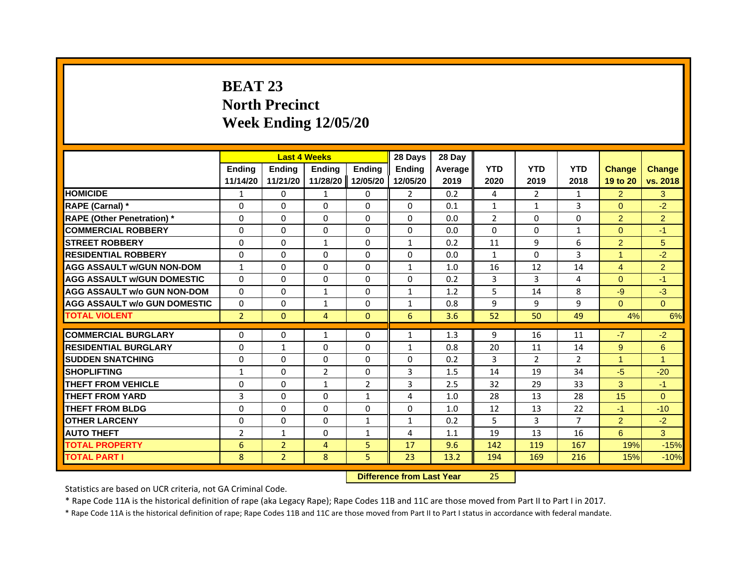# **BEAT 23North Precinct Week Ending 12/05/20**

|                                     |                |                | <b>Last 4 Weeks</b> |               | 28 Days        | 28 Day         |              |                |                |                |                |
|-------------------------------------|----------------|----------------|---------------------|---------------|----------------|----------------|--------------|----------------|----------------|----------------|----------------|
|                                     | <b>Endina</b>  | <b>Endina</b>  | <b>Endina</b>       | <b>Endina</b> | <b>Endina</b>  | <b>Average</b> | <b>YTD</b>   | <b>YTD</b>     | <b>YTD</b>     | <b>Change</b>  | <b>Change</b>  |
|                                     | 11/14/20       | 11/21/20       | 11/28/20            | 12/05/20      | 12/05/20       | 2019           | 2020         | 2019           | 2018           | 19 to 20       | vs. 2018       |
| <b>HOMICIDE</b>                     | 1              | 0              | 1                   | 0             | $\overline{2}$ | 0.2            | 4            | $\overline{2}$ | $\mathbf{1}$   | $\overline{2}$ | 3              |
| RAPE (Carnal) *                     | $\Omega$       | $\Omega$       | $\Omega$            | $\Omega$      | $\Omega$       | 0.1            | $\mathbf{1}$ | $\mathbf{1}$   | 3              | $\Omega$       | $-2$           |
| <b>RAPE (Other Penetration)</b> *   | $\Omega$       | $\Omega$       | $\Omega$            | $\Omega$      | $\Omega$       | 0.0            | 2            | $\Omega$       | $\Omega$       | 2              | $\overline{2}$ |
| <b>COMMERCIAL ROBBERY</b>           | $\Omega$       | $\Omega$       | $\Omega$            | $\Omega$      | $\Omega$       | 0.0            | $\Omega$     | 0              | 1              | $\Omega$       | $-1$           |
| <b>STREET ROBBERY</b>               | $\Omega$       | $\Omega$       | $\mathbf{1}$        | $\Omega$      | $\mathbf{1}$   | 0.2            | 11           | 9              | 6              | 2              | 5              |
| <b>RESIDENTIAL ROBBERY</b>          | $\Omega$       | $\Omega$       | $\Omega$            | $\Omega$      | $\Omega$       | 0.0            | $\mathbf{1}$ | $\Omega$       | 3              | 1              | $-2$           |
| <b>AGG ASSAULT w/GUN NON-DOM</b>    | $\mathbf{1}$   | $\Omega$       | $\Omega$            | $\Omega$      | $\mathbf{1}$   | 1.0            | 16           | 12             | 14             | $\overline{4}$ | $\overline{2}$ |
| <b>AGG ASSAULT W/GUN DOMESTIC</b>   | $\Omega$       | $\Omega$       | $\Omega$            | $\Omega$      | $\Omega$       | 0.2            | 3            | 3              | 4              | $\Omega$       | $-1$           |
| <b>AGG ASSAULT w/o GUN NON-DOM</b>  | 0              | 0              | $\mathbf{1}$        | 0             | $\mathbf{1}$   | 1.2            | 5            | 14             | 8              | $-9$           | $-3$           |
| <b>AGG ASSAULT W/o GUN DOMESTIC</b> | $\Omega$       | $\Omega$       | $\mathbf{1}$        | $\Omega$      | $\mathbf{1}$   | 0.8            | 9            | 9              | 9              | $\Omega$       | $\Omega$       |
| <b>TOTAL VIOLENT</b>                | $\overline{2}$ | $\mathbf{0}$   | $\overline{4}$      | $\mathbf{0}$  | $6\phantom{1}$ | 3.6            | 52           | 50             | 49             | 4%             | 6%             |
|                                     |                |                |                     |               |                |                |              |                |                |                |                |
| <b>COMMERCIAL BURGLARY</b>          | $\Omega$       | $\Omega$       | 1                   | $\Omega$      | 1              | 1.3            | 9            | 16             | 11             | $-7$           | $-2$           |
| <b>RESIDENTIAL BURGLARY</b>         | $\Omega$       | $\mathbf{1}$   | $\Omega$            | $\Omega$      | $\mathbf{1}$   | 0.8            | 20           | 11             | 14             | 9              | 6              |
| <b>SUDDEN SNATCHING</b>             | $\Omega$       | $\Omega$       | $\Omega$            | $\Omega$      | $\Omega$       | 0.2            | 3            | $\overline{2}$ | $\overline{2}$ | 1              | $\mathbf{1}$   |
| <b>SHOPLIFTING</b>                  | $\mathbf{1}$   | $\Omega$       | $\overline{2}$      | $\Omega$      | 3              | 1.5            | 14           | 19             | 34             | $-5$           | $-20$          |
| THEFT FROM VEHICLE                  | $\Omega$       | $\Omega$       | $\mathbf{1}$        | 2             | 3              | 2.5            | 32           | 29             | 33             | 3              | $-1$           |
| <b>THEFT FROM YARD</b>              | 3              | $\Omega$       | $\Omega$            | 1             | 4              | 1.0            | 28           | 13             | 28             | 15             | $\Omega$       |
| <b>THEFT FROM BLDG</b>              | $\Omega$       | $\Omega$       | $\Omega$            | $\Omega$      | $\Omega$       | 1.0            | 12           | 13             | 22             | $-1$           | $-10$          |
| <b>OTHER LARCENY</b>                | 0              | 0              | 0                   | $\mathbf{1}$  | $\mathbf{1}$   | 0.2            | 5            | 3              | 7              | 2              | $-2$           |
| <b>AUTO THEFT</b>                   | $\overline{2}$ | $\mathbf{1}$   | $\Omega$            | $\mathbf{1}$  | 4              | 1.1            | 19           | 13             | 16             | 6              | 3              |
| <b>TOTAL PROPERTY</b>               | 6              | $\overline{2}$ | $\overline{4}$      | 5             | 17             | 9.6            | 142          | 119            | 167            | 19%            | $-15%$         |
| <b>TOTAL PART I</b>                 | 8              | $\overline{2}$ | 8                   | 5             | 23             | 13.2           | 194          | 169            | 216            | 15%            | $-10%$         |

 **Difference from Last Year**25

Statistics are based on UCR criteria, not GA Criminal Code.

\* Rape Code 11A is the historical definition of rape (aka Legacy Rape); Rape Codes 11B and 11C are those moved from Part II to Part I in 2017.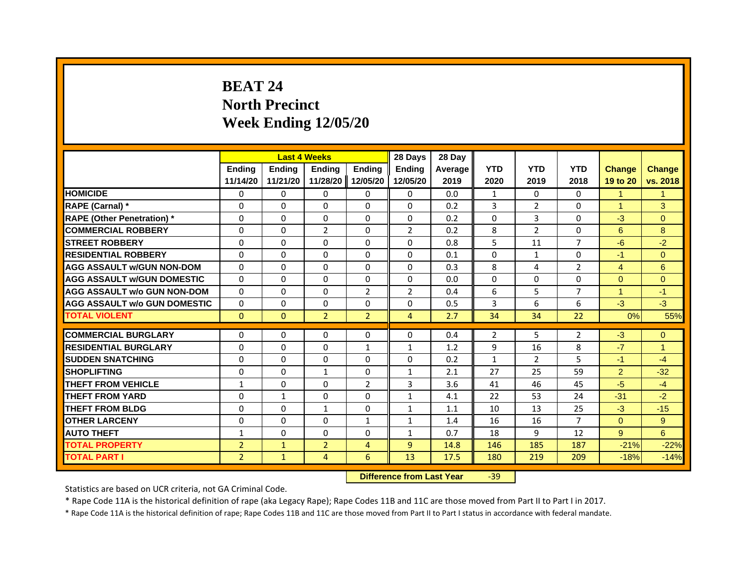# **BEAT 24North Precinct Week Ending 12/05/20**

|                                     |                | <b>Last 4 Weeks</b> |                |                   | 28 Days        | 28 Day  |                |                |                |                |                |
|-------------------------------------|----------------|---------------------|----------------|-------------------|----------------|---------|----------------|----------------|----------------|----------------|----------------|
|                                     | <b>Ending</b>  | <b>Endina</b>       | <b>Endina</b>  | <b>Ending</b>     | <b>Ending</b>  | Average | <b>YTD</b>     | <b>YTD</b>     | <b>YTD</b>     | <b>Change</b>  | <b>Change</b>  |
|                                     | 11/14/20       | 11/21/20            |                | 11/28/20 12/05/20 | 12/05/20       | 2019    | 2020           | 2019           | 2018           | 19 to 20       | vs. 2018       |
| <b>HOMICIDE</b>                     | $\Omega$       | 0                   | $\Omega$       | 0                 | 0              | 0.0     | $\mathbf{1}$   | $\mathbf{0}$   | $\mathbf{0}$   | $\mathbf{1}$   | 1              |
| RAPE (Carnal) *                     | $\Omega$       | $\Omega$            | $\Omega$       | $\Omega$          | $\Omega$       | 0.2     | 3              | $\overline{2}$ | $\Omega$       | $\mathbf{1}$   | 3              |
| <b>RAPE (Other Penetration)</b> *   | 0              | 0                   | 0              | 0                 | 0              | 0.2     | $\mathbf{0}$   | 3              | 0              | $-3$           | $\Omega$       |
| <b>COMMERCIAL ROBBERY</b>           | 0              | 0                   | $\overline{2}$ | 0                 | $\overline{2}$ | 0.2     | 8              | $\overline{2}$ | 0              | 6              | 8              |
| <b>STREET ROBBERY</b>               | $\Omega$       | 0                   | $\Omega$       | 0                 | $\Omega$       | 0.8     | 5              | 11             | $\overline{7}$ | $-6$           | $-2$           |
| <b>RESIDENTIAL ROBBERY</b>          | $\Omega$       | $\Omega$            | $\Omega$       | $\Omega$          | $\Omega$       | 0.1     | $\Omega$       | $\mathbf{1}$   | 0              | $-1$           | $\Omega$       |
| <b>AGG ASSAULT w/GUN NON-DOM</b>    | $\Omega$       | $\Omega$            | $\Omega$       | $\Omega$          | $\Omega$       | 0.3     | 8              | 4              | $\overline{2}$ | $\overline{4}$ | $6\phantom{1}$ |
| <b>AGG ASSAULT W/GUN DOMESTIC</b>   | $\Omega$       | $\Omega$            | $\Omega$       | $\Omega$          | $\Omega$       | 0.0     | $\Omega$       | $\mathbf{0}$   | $\Omega$       | $\Omega$       | $\Omega$       |
| <b>AGG ASSAULT w/o GUN NON-DOM</b>  | $\Omega$       | $\Omega$            | $\Omega$       | $\overline{2}$    | $\overline{2}$ | 0.4     | 6              | 5              | 7              | 1              | $-1$           |
| <b>AGG ASSAULT W/o GUN DOMESTIC</b> | $\Omega$       | 0                   | 0              | $\Omega$          | $\Omega$       | 0.5     | 3              | 6              | 6              | $-3$           | $-3$           |
| <b>TOTAL VIOLENT</b>                | $\mathbf{0}$   | $\mathbf{0}$        | $\overline{2}$ | $\overline{2}$    | $\overline{4}$ | 2.7     | 34             | 34             | 22             | 0%             | 55%            |
|                                     |                |                     |                |                   |                |         |                |                |                |                |                |
| <b>COMMERCIAL BURGLARY</b>          | $\Omega$       | 0                   | $\Omega$       | 0                 | $\Omega$       | 0.4     | $\overline{2}$ | 5              | $\overline{2}$ | $-3$           | $\mathbf 0$    |
| <b>RESIDENTIAL BURGLARY</b>         | $\Omega$       | $\Omega$            | $\Omega$       | $\mathbf{1}$      | $\mathbf{1}$   | 1.2     | 9              | 16             | 8              | $-7$           | $\mathbf{1}$   |
| <b>SUDDEN SNATCHING</b>             | 0              | 0                   | $\Omega$       | 0                 | 0              | 0.2     | $\mathbf{1}$   | 2              | 5              | $-1$           | $-4$           |
| <b>SHOPLIFTING</b>                  | $\Omega$       | $\Omega$            | $\mathbf{1}$   | $\Omega$          | $\mathbf{1}$   | 2.1     | 27             | 25             | 59             | $\overline{2}$ | $-32$          |
| <b>THEFT FROM VEHICLE</b>           | $\mathbf{1}$   | $\Omega$            | $\Omega$       | $\overline{2}$    | $\overline{3}$ | 3.6     | 41             | 46             | 45             | $-5$           | $-4$           |
| <b>THEFT FROM YARD</b>              | $\Omega$       | $\mathbf{1}$        | $\Omega$       | $\Omega$          | $\mathbf{1}$   | 4.1     | 22             | 53             | 24             | $-31$          | $-2$           |
| <b>THEFT FROM BLDG</b>              | $\Omega$       | 0                   | $\mathbf{1}$   | 0                 | $\mathbf{1}$   | 1.1     | 10             | 13             | 25             | $-3$           | $-15$          |
| <b>OTHER LARCENY</b>                | $\Omega$       | $\Omega$            | $\Omega$       | $\mathbf{1}$      | $\mathbf{1}$   | 1.4     | 16             | 16             | $\overline{7}$ | $\Omega$       | 9              |
| <b>AUTO THEFT</b>                   | $\mathbf{1}$   | $\Omega$            | $\Omega$       | $\Omega$          | $\mathbf{1}$   | 0.7     | 18             | 9              | 12             | 9              | 6              |
| <b>TOTAL PROPERTY</b>               | $\overline{2}$ | $\mathbf{1}$        | $\overline{2}$ | $\overline{4}$    | $\overline{9}$ | 14.8    | 146            | 185            | 187            | $-21%$         | $-22%$         |
| <b>TOTAL PART I</b>                 | $\overline{2}$ | $\mathbf{1}$        | 4              | 6                 | 13             | 17.5    | 180            | 219            | 209            | $-18%$         | $-14%$         |

 **Difference from Last Year**‐39

Statistics are based on UCR criteria, not GA Criminal Code.

\* Rape Code 11A is the historical definition of rape (aka Legacy Rape); Rape Codes 11B and 11C are those moved from Part II to Part I in 2017.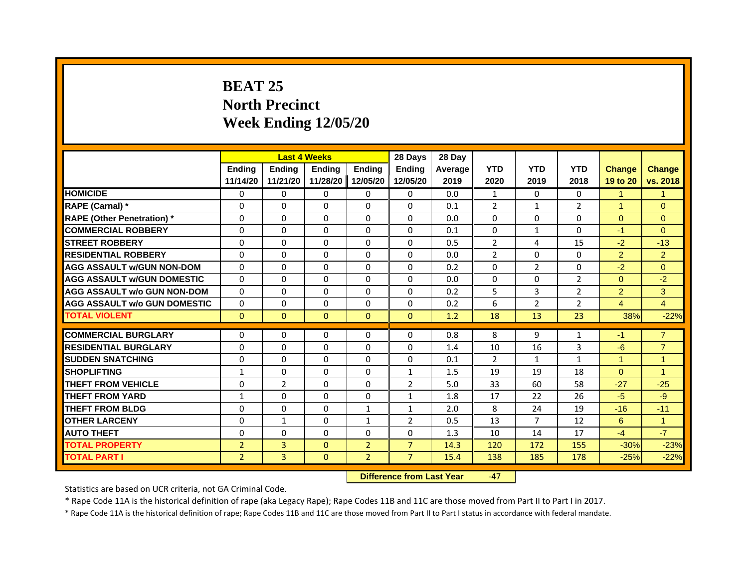# **BEAT 25North Precinct Week Ending 12/05/20**

|                                     |                |                | <b>Last 4 Weeks</b> |                | 28 Days        | 28 Day         |                |                |                |                |                |
|-------------------------------------|----------------|----------------|---------------------|----------------|----------------|----------------|----------------|----------------|----------------|----------------|----------------|
|                                     | <b>Endina</b>  | <b>Endina</b>  | <b>Endina</b>       | <b>Ending</b>  | <b>Endina</b>  | <b>Average</b> | <b>YTD</b>     | <b>YTD</b>     | <b>YTD</b>     | <b>Change</b>  | <b>Change</b>  |
|                                     | 11/14/20       | 11/21/20       | 11/28/20            | 12/05/20       | 12/05/20       | 2019           | 2020           | 2019           | 2018           | 19 to 20       | vs. 2018       |
| <b>HOMICIDE</b>                     | 0              | $\mathbf{0}$   | $\Omega$            | 0              | 0              | 0.0            | $\mathbf{1}$   | $\mathbf{0}$   | $\mathbf{0}$   | $\mathbf{1}$   | $\mathbf{1}$   |
| RAPE (Carnal) *                     | $\Omega$       | $\Omega$       | $\Omega$            | $\Omega$       | $\Omega$       | 0.1            | 2              | $\mathbf{1}$   | $\mathcal{P}$  | $\mathbf{1}$   | $\Omega$       |
| <b>RAPE (Other Penetration)</b> *   | 0              | 0              | 0                   | 0              | $\Omega$       | 0.0            | $\Omega$       | 0              | 0              | $\Omega$       | $\overline{0}$ |
| <b>COMMERCIAL ROBBERY</b>           | 0              | $\Omega$       | 0                   | 0              | 0              | 0.1            | 0              | $\mathbf{1}$   | 0              | $-1$           | $\Omega$       |
| <b>STREET ROBBERY</b>               | $\Omega$       | $\Omega$       | $\Omega$            | $\Omega$       | $\Omega$       | 0.5            | 2              | 4              | 15             | $-2$           | $-13$          |
| <b>RESIDENTIAL ROBBERY</b>          | $\Omega$       | $\Omega$       | $\Omega$            | $\Omega$       | $\Omega$       | 0.0            | $\overline{2}$ | $\Omega$       | $\Omega$       | $\overline{2}$ | $\overline{2}$ |
| <b>AGG ASSAULT w/GUN NON-DOM</b>    | $\Omega$       | $\Omega$       | $\Omega$            | $\Omega$       | $\Omega$       | 0.2            | $\Omega$       | 2              | $\Omega$       | $-2$           | $\Omega$       |
| <b>AGG ASSAULT w/GUN DOMESTIC</b>   | $\Omega$       | $\Omega$       | 0                   | 0              | 0              | 0.0            | 0              | 0              | $\overline{2}$ | $\Omega$       | $-2$           |
| <b>AGG ASSAULT w/o GUN NON-DOM</b>  | 0              | $\Omega$       | 0                   | $\Omega$       | $\Omega$       | 0.2            | 5              | 3              | $\overline{2}$ | $\overline{2}$ | 3              |
| <b>AGG ASSAULT w/o GUN DOMESTIC</b> | 0              | 0              | 0                   | $\Omega$       | $\Omega$       | 0.2            | 6              | 2              | $\overline{2}$ | $\overline{4}$ | $\overline{4}$ |
| <b>TOTAL VIOLENT</b>                | $\mathbf{0}$   | $\mathbf{0}$   | $\mathbf{0}$        | $\Omega$       | $\mathbf{0}$   | 1.2            | 18             | 13             | 23             | 38%            | $-22%$         |
|                                     |                |                |                     |                |                |                |                |                |                |                |                |
| <b>COMMERCIAL BURGLARY</b>          | 0              | $\Omega$       | $\Omega$            | 0              | 0              | 0.8            | 8              | 9              | 1              | $-1$           | $\overline{7}$ |
| <b>RESIDENTIAL BURGLARY</b>         | $\Omega$       | $\Omega$       | $\Omega$            | $\Omega$       | $\Omega$       | 1.4            | 10             | 16             | 3              | $-6$           | $\overline{7}$ |
| <b>SUDDEN SNATCHING</b>             | $\Omega$       | $\Omega$       | $\Omega$            | $\Omega$       | $\Omega$       | 0.1            | $\overline{2}$ | $\mathbf{1}$   | $\mathbf{1}$   | $\mathbf{1}$   | $\overline{1}$ |
| <b>SHOPLIFTING</b>                  | $\mathbf{1}$   | $\Omega$       | $\Omega$            | $\Omega$       | $\mathbf{1}$   | 1.5            | 19             | 19             | 18             | $\Omega$       | $\overline{1}$ |
| <b>THEFT FROM VEHICLE</b>           | 0              | $\overline{2}$ | $\Omega$            | 0              | $\overline{2}$ | 5.0            | 33             | 60             | 58             | $-27$          | $-25$          |
| <b>THEFT FROM YARD</b>              | 1              | $\Omega$       | $\Omega$            | $\Omega$       | $\mathbf{1}$   | 1.8            | 17             | 22             | 26             | $-5$           | $-9$           |
| <b>THEFT FROM BLDG</b>              | $\Omega$       | $\Omega$       | $\Omega$            | $\mathbf{1}$   | $\mathbf{1}$   | 2.0            | 8              | 24             | 19             | $-16$          | $-11$          |
| <b>OTHER LARCENY</b>                | 0              | 1              | $\Omega$            | 1              | $\overline{2}$ | 0.5            | 13             | $\overline{7}$ | 12             | 6              | $\mathbf{1}$   |
| <b>AUTO THEFT</b>                   | $\Omega$       | $\Omega$       | $\Omega$            | $\Omega$       | $\Omega$       | 1.3            | 10             | 14             | 17             | $-4$           | $-7$           |
| <b>TOTAL PROPERTY</b>               | $\overline{2}$ | 3              | $\Omega$            | $\overline{2}$ | $\overline{7}$ | 14.3           | 120            | 172            | 155            | $-30%$         | $-23%$         |
| <b>TOTAL PART I</b>                 | $\overline{2}$ | 3              | $\mathbf{0}$        | $\overline{2}$ | $\overline{7}$ | 15.4           | 138            | 185            | 178            | $-25%$         | $-22%$         |

 **Difference from Last Year**‐47

Statistics are based on UCR criteria, not GA Criminal Code.

\* Rape Code 11A is the historical definition of rape (aka Legacy Rape); Rape Codes 11B and 11C are those moved from Part II to Part I in 2017.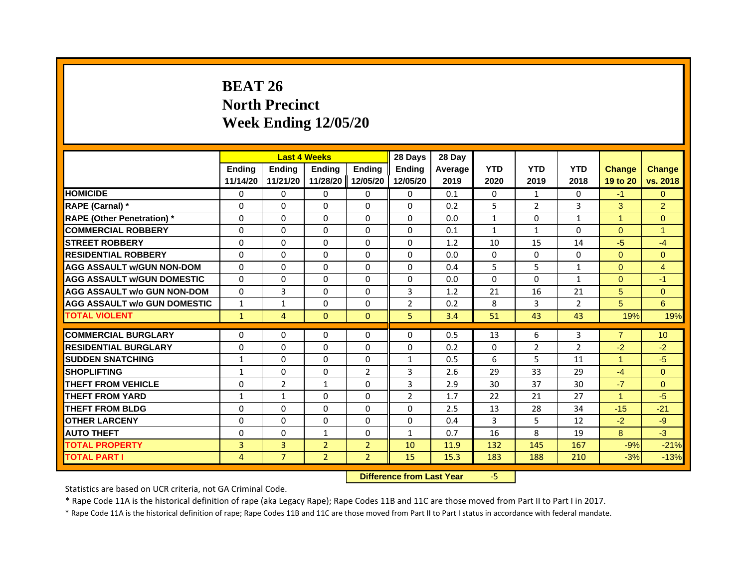# **BEAT 26North Precinct Week Ending 12/05/20**

|                                     |               | <b>Last 4 Weeks</b> |                |                   | 28 Days        | 28 Day  |              |                |                |                      |                |
|-------------------------------------|---------------|---------------------|----------------|-------------------|----------------|---------|--------------|----------------|----------------|----------------------|----------------|
|                                     | <b>Ending</b> | <b>Endina</b>       | <b>Endina</b>  | <b>Ending</b>     | <b>Ending</b>  | Average | <b>YTD</b>   | <b>YTD</b>     | <b>YTD</b>     | <b>Change</b>        | <b>Change</b>  |
|                                     | 11/14/20      | 11/21/20            |                | 11/28/20 12/05/20 | 12/05/20       | 2019    | 2020         | 2019           | 2018           | 19 to 20             | vs. 2018       |
| <b>HOMICIDE</b>                     | $\Omega$      | 0                   | $\Omega$       | 0                 | 0              | 0.1     | $\mathbf{0}$ | $\mathbf{1}$   | $\mathbf{0}$   | $-1$                 | $\Omega$       |
| RAPE (Carnal) *                     | $\Omega$      | $\Omega$            | $\Omega$       | $\Omega$          | $\Omega$       | 0.2     | 5            | $\overline{2}$ | 3              | 3                    | $\overline{2}$ |
| <b>RAPE (Other Penetration)</b> *   | 0             | 0                   | 0              | 0                 | 0              | 0.0     | $\mathbf{1}$ | $\mathbf{0}$   | $\mathbf{1}$   | $\mathbf{1}$         | $\Omega$       |
| <b>COMMERCIAL ROBBERY</b>           | 0             | 0                   | 0              | 0                 | 0              | 0.1     | 1            | 1              | $\Omega$       | $\Omega$             | 1              |
| <b>STREET ROBBERY</b>               | $\Omega$      | 0                   | $\Omega$       | 0                 | $\Omega$       | 1.2     | 10           | 15             | 14             | $-5$                 | $-4$           |
| <b>RESIDENTIAL ROBBERY</b>          | $\Omega$      | $\Omega$            | $\Omega$       | $\Omega$          | $\Omega$       | 0.0     | $\Omega$     | $\mathbf{0}$   | $\Omega$       | $\Omega$             | $\Omega$       |
| <b>AGG ASSAULT w/GUN NON-DOM</b>    | $\Omega$      | $\Omega$            | $\Omega$       | $\Omega$          | $\Omega$       | 0.4     | 5            | 5              | $\mathbf{1}$   | $\Omega$             | $\overline{4}$ |
| <b>AGG ASSAULT W/GUN DOMESTIC</b>   | $\Omega$      | $\Omega$            | $\Omega$       | $\Omega$          | $\Omega$       | 0.0     | $\Omega$     | 0              | $\mathbf{1}$   | $\Omega$             | $-1$           |
| <b>AGG ASSAULT w/o GUN NON-DOM</b>  | $\Omega$      | 3                   | $\Omega$       | 0                 | 3              | 1.2     | 21           | 16             | 21             | 5                    | $\overline{0}$ |
| <b>AGG ASSAULT W/o GUN DOMESTIC</b> | $\mathbf{1}$  | 1                   | 0              | 0                 | $\overline{2}$ | 0.2     | 8            | 3              | $\overline{2}$ | 5                    | $6\phantom{a}$ |
| <b>TOTAL VIOLENT</b>                | $\mathbf{1}$  | 4                   | $\mathbf{0}$   | $\mathbf{0}$      | 5              | 3.4     | 51           | 43             | 43             | 19%                  | 19%            |
|                                     |               |                     |                |                   |                |         |              |                |                |                      |                |
| <b>COMMERCIAL BURGLARY</b>          | $\Omega$      | 0                   | $\Omega$       | 0                 | $\Omega$       | 0.5     | 13           | 6              | 3              | $\overline{7}$       | 10             |
| <b>RESIDENTIAL BURGLARY</b>         | $\Omega$      | $\Omega$            | $\Omega$       | $\Omega$          | $\Omega$       | 0.2     | $\Omega$     | $\overline{2}$ | $\overline{2}$ | $-2$                 | $-2$           |
| <b>SUDDEN SNATCHING</b>             | $\mathbf{1}$  | 0                   | $\Omega$       | 0                 | $\mathbf{1}$   | 0.5     | 6            | 5              | 11             | $\mathbf{1}$         | $-5$           |
| <b>SHOPLIFTING</b>                  | $\mathbf{1}$  | $\Omega$            | $\Omega$       | $\overline{2}$    | 3              | 2.6     | 29           | 33             | 29             | $-4$                 | $\Omega$       |
| <b>THEFT FROM VEHICLE</b>           | $\Omega$      | $\overline{2}$      | $\mathbf{1}$   | $\Omega$          | 3              | 2.9     | 30           | 37             | 30             | $-7$                 | $\Omega$       |
| <b>THEFT FROM YARD</b>              | $\mathbf{1}$  | $\mathbf{1}$        | $\Omega$       | $\Omega$          | $\overline{2}$ | 1.7     | 22           | 21             | 27             | $\blacktriangleleft$ | $-5$           |
| <b>THEFT FROM BLDG</b>              | $\Omega$      | 0                   | $\Omega$       | 0                 | $\Omega$       | 2.5     | 13           | 28             | 34             | $-15$                | $-21$          |
| <b>OTHER LARCENY</b>                | $\Omega$      | $\Omega$            | $\Omega$       | $\Omega$          | $\Omega$       | 0.4     | 3            | 5              | 12             | $-2$                 | $-9$           |
| <b>AUTO THEFT</b>                   | $\Omega$      | $\Omega$            | $\mathbf{1}$   | $\Omega$          | $\mathbf{1}$   | 0.7     | 16           | 8              | 19             | 8                    | $-3$           |
| <b>TOTAL PROPERTY</b>               | 3             | 3                   | $\overline{2}$ | $\overline{2}$    | 10             | 11.9    | 132          | 145            | 167            | $-9%$                | $-21%$         |
| <b>TOTAL PART I</b>                 | 4             | $\overline{7}$      | $\overline{2}$ | $\overline{2}$    | 15             | 15.3    | 183          | 188            | 210            | $-3%$                | $-13%$         |

 **Difference from Last Year**‐5

Statistics are based on UCR criteria, not GA Criminal Code.

\* Rape Code 11A is the historical definition of rape (aka Legacy Rape); Rape Codes 11B and 11C are those moved from Part II to Part I in 2017.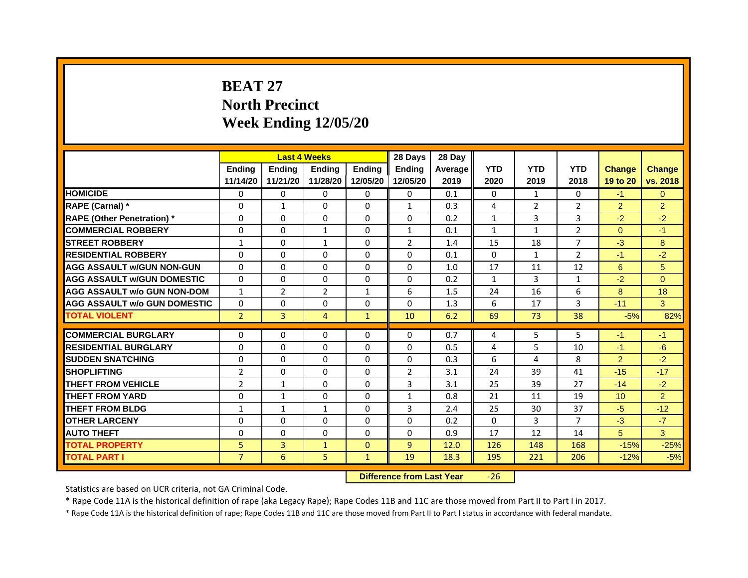# **BEAT 27North Precinct Week Ending 12/05/20**

|                                     |                | <b>Last 4 Weeks</b> |                |               | 28 Days        | 28 Day  |              |                |                |                 |                |
|-------------------------------------|----------------|---------------------|----------------|---------------|----------------|---------|--------------|----------------|----------------|-----------------|----------------|
|                                     | <b>Endina</b>  | <b>Endina</b>       | <b>Endina</b>  | <b>Endina</b> | <b>Endina</b>  | Average | <b>YTD</b>   | <b>YTD</b>     | <b>YTD</b>     | <b>Change</b>   | <b>Change</b>  |
|                                     | 11/14/20       | 11/21/20            | 11/28/20       | 12/05/20      | 12/05/20       | 2019    | 2020         | 2019           | 2018           | 19 to 20        | vs. 2018       |
| <b>HOMICIDE</b>                     | 0              | 0                   | $\Omega$       | 0             | 0              | 0.1     | 0            | $\mathbf{1}$   | 0              | $-1$            | $\Omega$       |
| RAPE (Carnal) *                     | $\Omega$       | $\mathbf{1}$        | $\Omega$       | $\Omega$      | $\mathbf{1}$   | 0.3     | 4            | $\overline{2}$ | $\overline{2}$ | $\overline{2}$  | $\overline{2}$ |
| <b>RAPE (Other Penetration)*</b>    | 0              | $\Omega$            | $\Omega$       | $\Omega$      | $\Omega$       | 0.2     | $\mathbf{1}$ | $\overline{3}$ | 3              | $-2$            | $-2$           |
| <b>COMMERCIAL ROBBERY</b>           | 0              | 0                   | $\mathbf{1}$   | $\Omega$      | $\mathbf{1}$   | 0.1     | $\mathbf{1}$ | 1              | $\overline{2}$ | $\Omega$        | $-1$           |
| <b>STREET ROBBERY</b>               | $\mathbf{1}$   | $\Omega$            | $\mathbf{1}$   | $\Omega$      | $\overline{2}$ | 1.4     | 15           | 18             | 7              | $-3$            | 8              |
| <b>RESIDENTIAL ROBBERY</b>          | 0              | $\Omega$            | 0              | $\mathbf{0}$  | 0              | 0.1     | 0            | $\mathbf{1}$   | $\overline{2}$ | $-1$            | $-2$           |
| <b>AGG ASSAULT w/GUN NON-GUN</b>    | $\Omega$       | $\mathbf 0$         | $\Omega$       | $\mathbf{0}$  | $\Omega$       | 1.0     | 17           | 11             | 12             | 6               | 5              |
| <b>AGG ASSAULT W/GUN DOMESTIC</b>   | $\Omega$       | $\Omega$            | $\Omega$       | $\mathbf{0}$  | $\Omega$       | 0.2     | $\mathbf{1}$ | $\overline{3}$ | $\mathbf{1}$   | $-2$            | $\Omega$       |
| <b>AGG ASSAULT w/o GUN NON-DOM</b>  | $\mathbf{1}$   | $\overline{2}$      | $\overline{2}$ | $\mathbf{1}$  | 6              | 1.5     | 24           | 16             | 6              | 8               | 18             |
| <b>AGG ASSAULT W/o GUN DOMESTIC</b> | $\Omega$       | $\Omega$            | 0              | $\mathbf{0}$  | $\Omega$       | 1.3     | 6            | 17             | 3              | $-11$           | 3              |
| <b>TOTAL VIOLENT</b>                | $\overline{2}$ | 3                   | $\overline{4}$ | $\mathbf{1}$  | 10             | 6.2     | 69           | 73             | 38             | $-5%$           | 82%            |
|                                     |                |                     |                |               |                |         |              |                |                |                 |                |
| <b>COMMERCIAL BURGLARY</b>          | 0              | 0                   | $\Omega$       | 0             | $\Omega$       | 0.7     | 4            | 5              | 5              | $-1$            | $-1$           |
| <b>RESIDENTIAL BURGLARY</b>         | 0              | $\Omega$            | $\Omega$       | $\mathbf{0}$  | $\Omega$       | 0.5     | 4            | 5              | 10             | $-1$            | $-6$           |
| <b>SUDDEN SNATCHING</b>             | 0              | 0                   | $\Omega$       | $\Omega$      | $\Omega$       | 0.3     | 6            | $\overline{a}$ | 8              | $\overline{2}$  | $-2$           |
| <b>SHOPLIFTING</b>                  | $\overline{2}$ | 0                   | 0              | $\Omega$      | $\overline{2}$ | 3.1     | 24           | 39             | 41             | $-15$           | $-17$          |
| <b>THEFT FROM VEHICLE</b>           | $\overline{2}$ | $\mathbf{1}$        | $\Omega$       | $\mathbf{0}$  | 3              | 3.1     | 25           | 39             | 27             | $-14$           | $-2$           |
| <b>THEFT FROM YARD</b>              | 0              | $\mathbf{1}$        | $\Omega$       | $\Omega$      | $\mathbf{1}$   | 0.8     | 21           | 11             | 19             | 10 <sup>1</sup> | $\overline{2}$ |
| <b>THEFT FROM BLDG</b>              | 1              | 1                   | 1              | 0             | 3              | 2.4     | 25           | 30             | 37             | $-5$            | $-12$          |
| <b>OTHER LARCENY</b>                | 0              | $\Omega$            | $\Omega$       | 0             | $\Omega$       | 0.2     | $\Omega$     | 3              | 7              | $-3$            | $-7$           |
| <b>AUTO THEFT</b>                   | $\mathbf 0$    | 0                   | $\Omega$       | $\Omega$      | $\Omega$       | 0.9     | 17           | 12             | 14             | 5               | 3              |
| <b>TOTAL PROPERTY</b>               | 5              | 3                   | $\mathbf{1}$   | $\mathbf{0}$  | 9              | 12.0    | 126          | 148            | 168            | $-15%$          | $-25%$         |
| <b>TOTAL PART I</b>                 | $\overline{7}$ | 6                   | 5              | $\mathbf{1}$  | 19             | 18.3    | 195          | 221            | 206            | $-12%$          | $-5%$          |

 **Difference from Last Year**‐26

Statistics are based on UCR criteria, not GA Criminal Code.

\* Rape Code 11A is the historical definition of rape (aka Legacy Rape); Rape Codes 11B and 11C are those moved from Part II to Part I in 2017.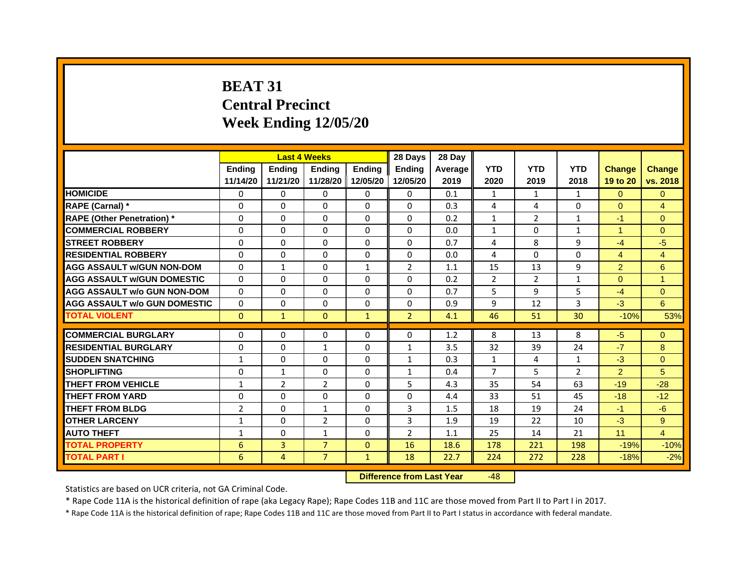# **BEAT 31Central Precinct Week Ending 12/05/20**

|                                     |                | <b>Last 4 Weeks</b> |                |               | 28 Days        | 28 Day  |                |                |                |                |                      |
|-------------------------------------|----------------|---------------------|----------------|---------------|----------------|---------|----------------|----------------|----------------|----------------|----------------------|
|                                     | <b>Endina</b>  | <b>Endina</b>       | <b>Endina</b>  | <b>Endina</b> | <b>Endina</b>  | Average | <b>YTD</b>     | <b>YTD</b>     | <b>YTD</b>     | <b>Change</b>  | <b>Change</b>        |
|                                     | 11/14/20       | 11/21/20            | 11/28/20       | 12/05/20      | 12/05/20       | 2019    | 2020           | 2019           | 2018           | 19 to 20       | vs. 2018             |
| <b>HOMICIDE</b>                     | 0              | 0                   | $\Omega$       | 0             | 0              | 0.1     | $\mathbf{1}$   | $\mathbf{1}$   | 1              | $\Omega$       | $\Omega$             |
| RAPE (Carnal) *                     | $\Omega$       | $\Omega$            | $\Omega$       | $\Omega$      | $\Omega$       | 0.3     | 4              | 4              | $\Omega$       | $\Omega$       | $\overline{4}$       |
| <b>RAPE (Other Penetration)*</b>    | 0              | $\Omega$            | $\Omega$       | $\Omega$      | $\Omega$       | 0.2     | $\mathbf{1}$   | $\overline{2}$ | $\mathbf{1}$   | $-1$           | $\Omega$             |
| <b>COMMERCIAL ROBBERY</b>           | 0              | 0                   | $\Omega$       | 0             | $\Omega$       | 0.0     | $\mathbf{1}$   | $\Omega$       | 1              | 1              | $\Omega$             |
| <b>STREET ROBBERY</b>               | 0              | $\Omega$            | 0              | $\Omega$      | 0              | 0.7     | 4              | 8              | 9              | $-4$           | -5                   |
| <b>RESIDENTIAL ROBBERY</b>          | 0              | $\Omega$            | 0              | 0             | 0              | 0.0     | 4              | $\Omega$       | $\Omega$       | $\overline{4}$ | 4                    |
| <b>AGG ASSAULT w/GUN NON-DOM</b>    | $\Omega$       | $\mathbf{1}$        | $\Omega$       | $\mathbf{1}$  | $\overline{2}$ | 1.1     | 15             | 13             | 9              | $\overline{2}$ | $6\phantom{1}6$      |
| <b>AGG ASSAULT W/GUN DOMESTIC</b>   | $\Omega$       | $\Omega$            | $\Omega$       | 0             | $\Omega$       | 0.2     | $\overline{2}$ | $\overline{2}$ | $\mathbf{1}$   | $\Omega$       | $\blacktriangleleft$ |
| <b>AGG ASSAULT w/o GUN NON-DOM</b>  | $\Omega$       | 0                   | $\Omega$       | 0             | $\Omega$       | 0.7     | 5              | 9              | 5              | $-4$           | $\Omega$             |
| <b>AGG ASSAULT W/o GUN DOMESTIC</b> | $\Omega$       | $\Omega$            | $\Omega$       | $\Omega$      | $\Omega$       | 0.9     | 9              | 12             | 3              | $-3$           | 6                    |
| <b>TOTAL VIOLENT</b>                | $\Omega$       | $\mathbf{1}$        | $\mathbf{0}$   | $\mathbf{1}$  | $\overline{2}$ | 4.1     | 46             | 51             | 30             | $-10%$         | 53%                  |
|                                     |                |                     |                |               |                |         |                |                |                |                |                      |
| <b>COMMERCIAL BURGLARY</b>          | 0              | 0                   | $\Omega$       | 0             | $\Omega$       | 1.2     | 8              | 13             | 8              | $-5$           | $\Omega$             |
| <b>RESIDENTIAL BURGLARY</b>         | 0              | $\Omega$            | $\mathbf{1}$   | $\mathbf{0}$  | $\mathbf{1}$   | 3.5     | 32             | 39             | 24             | $-7$           | 8                    |
| <b>SUDDEN SNATCHING</b>             | $\mathbf{1}$   | 0                   | $\Omega$       | $\Omega$      | $\mathbf{1}$   | 0.3     | $\mathbf{1}$   | 4              | $\mathbf{1}$   | $-3$           | $\Omega$             |
| <b>SHOPLIFTING</b>                  | $\mathbf 0$    | 1                   | 0              | $\Omega$      | $\mathbf{1}$   | 0.4     | $\overline{7}$ | 5              | $\overline{2}$ | 2              | 5                    |
| <b>THEFT FROM VEHICLE</b>           | $\mathbf{1}$   | $\overline{2}$      | $\overline{2}$ | $\mathbf{0}$  | 5              | 4.3     | 35             | 54             | 63             | $-19$          | $-28$                |
| <b>THEFT FROM YARD</b>              | 0              | 0                   | $\Omega$       | $\Omega$      | $\Omega$       | 4.4     | 33             | 51             | 45             | $-18$          | $-12$                |
| <b>THEFT FROM BLDG</b>              | $\overline{2}$ | 0                   | 1              | 0             | 3              | 1.5     | 18             | 19             | 24             | $-1$           | $-6$                 |
| <b>OTHER LARCENY</b>                | 1              | $\Omega$            | $\overline{2}$ | 0             | 3              | 1.9     | 19             | 22             | 10             | $-3$           | 9                    |
| <b>AUTO THEFT</b>                   | 1              | 0                   | $\mathbf{1}$   | $\Omega$      | $\overline{2}$ | 1.1     | 25             | 14             | 21             | 11             | $\overline{4}$       |
| <b>TOTAL PROPERTY</b>               | 6              | 3                   | $\overline{7}$ | $\mathbf{0}$  | 16             | 18.6    | 178            | 221            | 198            | $-19%$         | $-10%$               |
| <b>TOTAL PART I</b>                 | 6              | 4                   | $\overline{7}$ | $\mathbf{1}$  | 18             | 22.7    | 224            | 272            | 228            | $-18%$         | $-2%$                |

 **Difference from Last Year**‐48

Statistics are based on UCR criteria, not GA Criminal Code.

\* Rape Code 11A is the historical definition of rape (aka Legacy Rape); Rape Codes 11B and 11C are those moved from Part II to Part I in 2017.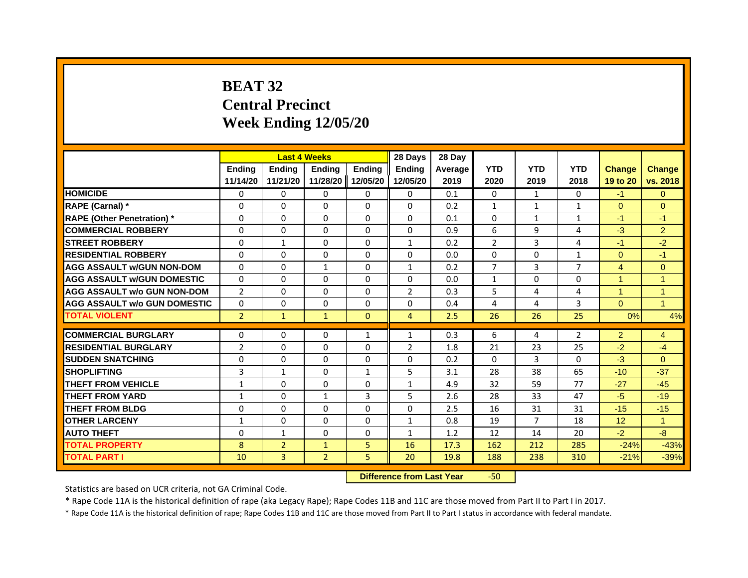# **BEAT 32Central Precinct Week Ending 12/05/20**

|                                    |                | <b>Last 4 Weeks</b> |                |               | 28 Days        | 28 Day  |                |                |                |                      |                      |
|------------------------------------|----------------|---------------------|----------------|---------------|----------------|---------|----------------|----------------|----------------|----------------------|----------------------|
|                                    | <b>Endina</b>  | Ending              | <b>Endina</b>  | <b>Endina</b> | <b>Endina</b>  | Average | <b>YTD</b>     | <b>YTD</b>     | <b>YTD</b>     | <b>Change</b>        | <b>Change</b>        |
|                                    | 11/14/20       | 11/21/20            | 11/28/20       | 12/05/20      | 12/05/20       | 2019    | 2020           | 2019           | 2018           | 19 to 20             | vs. 2018             |
| <b>HOMICIDE</b>                    | $\Omega$       | $\Omega$            | $\Omega$       | 0             | $\Omega$       | 0.1     | $\mathbf{0}$   | $\mathbf{1}$   | $\mathbf{0}$   | $-1$                 | $\mathbf{0}$         |
| RAPE (Carnal) *                    | $\Omega$       | $\Omega$            | $\Omega$       | $\Omega$      | $\Omega$       | 0.2     | $\mathbf{1}$   | $\mathbf{1}$   | $\mathbf{1}$   | $\Omega$             | $\Omega$             |
| <b>RAPE (Other Penetration) *</b>  | 0              | $\Omega$            | $\Omega$       | $\mathbf{0}$  | $\Omega$       | 0.1     | $\Omega$       | $\mathbf{1}$   | $\mathbf{1}$   | $-1$                 | $-1$                 |
| <b>COMMERCIAL ROBBERY</b>          | 0              | $\Omega$            | 0              | 0             | 0              | 0.9     | 6              | 9              | 4              | $-3$                 | $\overline{2}$       |
| <b>STREET ROBBERY</b>              | $\Omega$       | $\mathbf{1}$        | $\Omega$       | $\Omega$      | $\mathbf{1}$   | 0.2     | $\overline{2}$ | 3              | 4              | $-1$                 | $-2$                 |
| <b>RESIDENTIAL ROBBERY</b>         | 0              | $\Omega$            | 0              | $\mathbf{0}$  | $\Omega$       | 0.0     | $\Omega$       | $\mathbf{0}$   | $\mathbf{1}$   | $\Omega$             | $-1$                 |
| <b>AGG ASSAULT w/GUN NON-DOM</b>   | $\Omega$       | $\Omega$            | $\mathbf{1}$   | $\mathbf{0}$  | $\mathbf{1}$   | 0.2     | $\overline{7}$ | 3              | $\overline{7}$ | $\overline{4}$       | $\mathbf{0}$         |
| <b>AGG ASSAULT W/GUN DOMESTIC</b>  | $\Omega$       | $\Omega$            | $\Omega$       | $\Omega$      | $\Omega$       | 0.0     | $\mathbf{1}$   | 0              | $\Omega$       | $\blacktriangleleft$ | $\overline{1}$       |
| <b>AGG ASSAULT w/o GUN NON-DOM</b> | $\overline{2}$ | 0                   | 0              | 0             | $\overline{2}$ | 0.3     | 5              | 4              | 4              | $\overline{1}$       | $\overline{1}$       |
| AGG ASSAULT w/o GUN DOMESTIC       | 0              | 0                   | 0              | 0             | 0              | 0.4     | 4              | 4              | 3              | $\Omega$             | $\blacktriangleleft$ |
| <b>TOTAL VIOLENT</b>               | $\overline{2}$ | $\mathbf{1}$        | $\mathbf{1}$   | $\mathbf{0}$  | $\overline{4}$ | 2.5     | 26             | 26             | 25             | 0%                   | 4%                   |
|                                    |                |                     |                |               |                |         |                |                |                |                      |                      |
| <b>COMMERCIAL BURGLARY</b>         | 0              | 0                   | 0              | $\mathbf{1}$  | $\mathbf{1}$   | 0.3     | 6              | 4              | 2              | $\overline{2}$       | $\overline{4}$       |
| <b>RESIDENTIAL BURGLARY</b>        | $\overline{2}$ | $\Omega$            | 0              | $\Omega$      | $\overline{2}$ | 1.8     | 21             | 23             | 25             | $-2$                 | $-4$                 |
| <b>SUDDEN SNATCHING</b>            | 0              | $\Omega$            | 0              | $\mathbf{0}$  | 0              | 0.2     | $\mathbf{0}$   | 3              | 0              | $-3$                 | $\Omega$             |
| <b>SHOPLIFTING</b>                 | 3              | $\mathbf{1}$        | $\Omega$       | $\mathbf{1}$  | 5              | 3.1     | 28             | 38             | 65             | $-10$                | $-37$                |
| THEFT FROM VEHICLE                 | $\mathbf{1}$   | $\Omega$            | $\Omega$       | $\Omega$      | $\mathbf{1}$   | 4.9     | 32             | 59             | 77             | $-27$                | $-45$                |
| <b>THEFT FROM YARD</b>             | 1              | 0                   | 1              | 3             | 5              | 2.6     | 28             | 33             | 47             | $-5$                 | $-19$                |
| <b>THEFT FROM BLDG</b>             | 0              | $\Omega$            | 0              | 0             | 0              | 2.5     | 16             | 31             | 31             | $-15$                | $-15$                |
| <b>OTHER LARCENY</b>               | $\mathbf{1}$   | $\Omega$            | 0              | $\mathbf{0}$  | $\mathbf{1}$   | 0.8     | 19             | $\overline{7}$ | 18             | 12                   | $\overline{1}$       |
| <b>AUTO THEFT</b>                  | $\Omega$       | $\mathbf{1}$        | $\Omega$       | $\mathbf{0}$  | $\mathbf{1}$   | 1.2     | 12             | 14             | 20             | $-2$                 | $-8$                 |
| <b>TOTAL PROPERTY</b>              | 8              | $\overline{2}$      | $\mathbf{1}$   | 5             | 16             | 17.3    | 162            | 212            | 285            | $-24%$               | $-43%$               |
| <b>TOTAL PART I</b>                | 10             | 3                   | $\overline{2}$ | 5             | 20             | 19.8    | 188            | 238            | 310            | $-21%$               | $-39%$               |

 **Difference from Last Year**r -50

Statistics are based on UCR criteria, not GA Criminal Code.

\* Rape Code 11A is the historical definition of rape (aka Legacy Rape); Rape Codes 11B and 11C are those moved from Part II to Part I in 2017.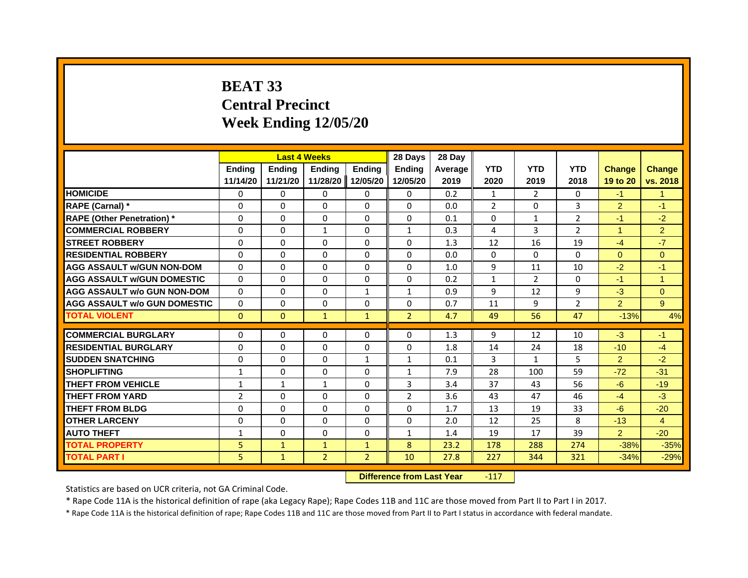# **BEAT 33Central PrecinctWeek Ending 12/05/20**

|                                     |                | <b>Last 4 Weeks</b> |                     |                | 28 Days        | 28 Day  |                |                |                |                      |                |
|-------------------------------------|----------------|---------------------|---------------------|----------------|----------------|---------|----------------|----------------|----------------|----------------------|----------------|
|                                     | <b>Endina</b>  | <b>Ending</b>       | <b>Endina</b>       | <b>Endina</b>  | <b>Endina</b>  | Average | <b>YTD</b>     | <b>YTD</b>     | <b>YTD</b>     | <b>Change</b>        | <b>Change</b>  |
|                                     | 11/14/20       | 11/21/20            | 11/28/20   12/05/20 |                | 12/05/20       | 2019    | 2020           | 2019           | 2018           | 19 to 20             | vs. 2018       |
| <b>HOMICIDE</b>                     | 0              | 0                   | $\mathbf{0}$        | 0              | $\Omega$       | 0.2     | $\mathbf{1}$   | $\overline{2}$ | $\Omega$       | $-1$                 | 1              |
| RAPE (Carnal) *                     | $\Omega$       | $\Omega$            | $\mathbf 0$         | $\Omega$       | $\Omega$       | 0.0     | $\overline{2}$ | $\Omega$       | 3              | $\overline{2}$       | $-1$           |
| <b>RAPE (Other Penetration)*</b>    | 0              | 0                   | 0                   | 0              | 0              | 0.1     | $\Omega$       | $\mathbf{1}$   | 2              | $-1$                 | $-2$           |
| <b>COMMERCIAL ROBBERY</b>           | 0              | $\mathbf 0$         | 1                   | 0              | 1              | 0.3     | 4              | 3              | $\overline{2}$ | $\blacktriangleleft$ | $\overline{2}$ |
| <b>STREET ROBBERY</b>               | 0              | 0                   | 0                   | 0              | 0              | 1.3     | 12             | 16             | 19             | $-4$                 | $-7$           |
| <b>RESIDENTIAL ROBBERY</b>          | 0              | $\Omega$            | 0                   | 0              | 0              | 0.0     | 0              | $\Omega$       | $\Omega$       | $\Omega$             | $\Omega$       |
| <b>AGG ASSAULT w/GUN NON-DOM</b>    | $\Omega$       | $\Omega$            | $\Omega$            | $\Omega$       | $\Omega$       | 1.0     | 9              | 11             | 10             | $-2$                 | $-1$           |
| <b>AGG ASSAULT W/GUN DOMESTIC</b>   | $\Omega$       | $\Omega$            | 0                   | $\Omega$       | $\Omega$       | 0.2     | $\mathbf{1}$   | $\overline{2}$ | $\Omega$       | $-1$                 | $\overline{1}$ |
| <b>AGG ASSAULT w/o GUN NON-DOM</b>  | $\Omega$       | 0                   | 0                   | $\mathbf{1}$   | 1              | 0.9     | 9              | 12             | 9              | $-3$                 | $\Omega$       |
| <b>AGG ASSAULT W/o GUN DOMESTIC</b> | $\Omega$       | $\mathbf 0$         | 0                   | 0              | 0              | 0.7     | 11             | 9              | $\overline{2}$ | $\overline{2}$       | 9              |
| <b>TOTAL VIOLENT</b>                | $\mathbf{0}$   | $\mathbf{0}$        | $\mathbf{1}$        | $\mathbf{1}$   | $\overline{2}$ | 4.7     | 49             | 56             | 47             | $-13%$               | 4%             |
|                                     |                |                     |                     |                |                |         |                |                |                |                      |                |
| <b>COMMERCIAL BURGLARY</b>          | 0              | 0                   | 0                   | 0              | 0              | 1.3     | 9              | 12             | 10             | $-3$                 | -1             |
| <b>RESIDENTIAL BURGLARY</b>         | $\Omega$       | 0                   | 0                   | 0              | 0              | 1.8     | 14             | 24             | 18             | $-10$                | $-4$           |
| <b>SUDDEN SNATCHING</b>             | 0              | $\Omega$            | $\Omega$            | $\mathbf{1}$   | $\mathbf{1}$   | 0.1     | 3              | $\mathbf{1}$   | 5              | $\overline{2}$       | $-2$           |
| <b>SHOPLIFTING</b>                  | $\mathbf{1}$   | $\Omega$            | $\Omega$            | $\Omega$       | $\mathbf{1}$   | 7.9     | 28             | 100            | 59             | $-72$                | $-31$          |
| THEFT FROM VEHICLE                  | $\mathbf{1}$   | $\mathbf{1}$        | $\mathbf{1}$        | $\Omega$       | 3              | 3.4     | 37             | 43             | 56             | $-6$                 | $-19$          |
| <b>THEFT FROM YARD</b>              | $\overline{2}$ | $\Omega$            | 0                   | $\Omega$       | $\overline{2}$ | 3.6     | 43             | 47             | 46             | $-4$                 | $-3$           |
| <b>THEFT FROM BLDG</b>              | $\Omega$       | 0                   | 0                   | 0              | 0              | 1.7     | 13             | 19             | 33             | $-6$                 | $-20$          |
| <b>OTHER LARCENY</b>                | $\Omega$       | $\Omega$            | 0                   | 0              | $\Omega$       | 2.0     | 12             | 25             | 8              | $-13$                | $\overline{4}$ |
| <b>AUTO THEFT</b>                   | $\mathbf{1}$   | $\Omega$            | $\Omega$            | $\Omega$       | $\mathbf{1}$   | 1.4     | 19             | 17             | 39             | $\overline{2}$       | $-20$          |
| <b>TOTAL PROPERTY</b>               | 5              | $\mathbf{1}$        | $\mathbf{1}$        | $\mathbf{1}$   | 8              | 23.2    | 178            | 288            | 274            | $-38%$               | $-35%$         |
| <b>TOTAL PART I</b>                 | 5              | $\mathbf{1}$        | $\overline{2}$      | $\overline{2}$ | 10             | 27.8    | 227            | 344            | 321            | $-34%$               | $-29%$         |

 **Difference from Last Year**‐117

Statistics are based on UCR criteria, not GA Criminal Code.

\* Rape Code 11A is the historical definition of rape (aka Legacy Rape); Rape Codes 11B and 11C are those moved from Part II to Part I in 2017.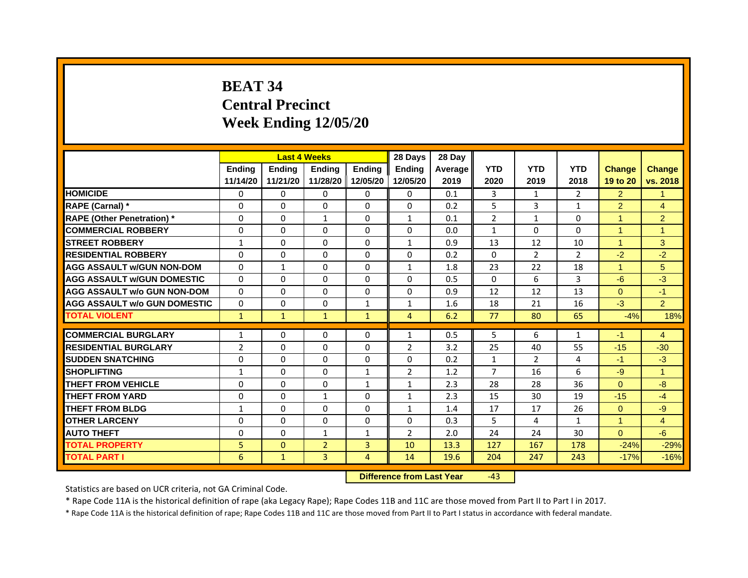# **BEAT 34Central Precinct Week Ending 12/05/20**

|                                     |                | <b>Last 4 Weeks</b> |                |                | 28 Days        | 28 Day  |                |                |                |                |                |
|-------------------------------------|----------------|---------------------|----------------|----------------|----------------|---------|----------------|----------------|----------------|----------------|----------------|
|                                     | <b>Endina</b>  | Ending              | <b>Endina</b>  | <b>Ending</b>  | <b>Endina</b>  | Average | <b>YTD</b>     | <b>YTD</b>     | <b>YTD</b>     | <b>Change</b>  | <b>Change</b>  |
|                                     | 11/14/20       | 11/21/20            | 11/28/20       | 12/05/20       | 12/05/20       | 2019    | 2020           | 2019           | 2018           | 19 to 20       | vs. 2018       |
| <b>HOMICIDE</b>                     | 0              | 0                   | $\mathbf{0}$   | 0              | 0              | 0.1     | 3              | 1              | $\overline{2}$ | $\overline{2}$ | 1              |
| RAPE (Carnal) *                     | $\Omega$       | $\Omega$            | $\Omega$       | $\Omega$       | $\Omega$       | 0.2     | 5              | 3              | $\mathbf{1}$   | $\overline{2}$ | $\overline{4}$ |
| <b>RAPE (Other Penetration)</b> *   | 0              | $\Omega$            | $\mathbf{1}$   | $\mathbf{0}$   | $\mathbf{1}$   | 0.1     | $\overline{2}$ | $\mathbf{1}$   | $\Omega$       | 1              | $\overline{2}$ |
| <b>COMMERCIAL ROBBERY</b>           | 0              | 0                   | $\Omega$       | 0              | $\Omega$       | 0.0     | $\mathbf{1}$   | $\Omega$       | $\Omega$       | 1              | 1              |
| <b>STREET ROBBERY</b>               | 1              | 0                   | 0              | 0              | $\mathbf{1}$   | 0.9     | 13             | 12             | 10             | 1              | 3              |
| <b>RESIDENTIAL ROBBERY</b>          | 0              | 0                   | $\Omega$       | $\Omega$       | $\Omega$       | 0.2     | $\Omega$       | 2              | $\overline{2}$ | $-2$           | $-2$           |
| <b>AGG ASSAULT w/GUN NON-DOM</b>    | $\Omega$       | $\mathbf{1}$        | $\Omega$       | $\mathbf{0}$   | $\mathbf{1}$   | 1.8     | 23             | 22             | 18             | $\mathbf{1}$   | 5              |
| <b>AGG ASSAULT W/GUN DOMESTIC</b>   | $\Omega$       | 0                   | $\Omega$       | 0              | $\Omega$       | 0.5     | $\Omega$       | 6              | 3              | $-6$           | $-3$           |
| <b>AGG ASSAULT w/o GUN NON-DOM</b>  | $\Omega$       | 0                   | $\Omega$       | $\Omega$       | $\Omega$       | 0.9     | 12             | 12             | 13             | $\Omega$       | $-1$           |
| <b>AGG ASSAULT w/o GUN DOMESTIC</b> | $\Omega$       | $\Omega$            | 0              | $\mathbf{1}$   | $\mathbf{1}$   | 1.6     | 18             | 21             | 16             | $-3$           | $\overline{2}$ |
| <b>TOTAL VIOLENT</b>                | $\mathbf{1}$   | $\mathbf{1}$        | $\mathbf{1}$   | $\mathbf{1}$   | $\overline{4}$ | 6.2     | 77             | 80             | 65             | $-4%$          | 18%            |
|                                     |                |                     |                |                |                |         |                |                |                |                |                |
| <b>COMMERCIAL BURGLARY</b>          | 1              | 0                   | $\Omega$       | 0              | $\mathbf{1}$   | 0.5     | 5              | 6              | $\mathbf{1}$   | $-1$           | $\overline{4}$ |
| <b>RESIDENTIAL BURGLARY</b>         | $\overline{2}$ | $\Omega$            | $\Omega$       | $\Omega$       | 2              | 3.2     | 25             | 40             | 55             | $-15$          | $-30$          |
| <b>SUDDEN SNATCHING</b>             | 0              | 0                   | $\Omega$       | 0              | 0              | 0.2     | $\mathbf{1}$   | $\overline{2}$ | 4              | $-1$           | $-3$           |
| <b>SHOPLIFTING</b>                  | $\mathbf{1}$   | 0                   | $\Omega$       | $\mathbf{1}$   | $\overline{2}$ | 1.2     | $\overline{7}$ | 16             | 6              | $-9$           | $\overline{1}$ |
| <b>THEFT FROM VEHICLE</b>           | 0              | $\Omega$            | $\Omega$       | $\mathbf{1}$   | $\mathbf{1}$   | 2.3     | 28             | 28             | 36             | $\Omega$       | $-8$           |
| <b>THEFT FROM YARD</b>              | $\Omega$       | $\Omega$            | $\mathbf{1}$   | $\Omega$       | $\mathbf{1}$   | 2.3     | 15             | 30             | 19             | $-15$          | $-4$           |
| <b>THEFT FROM BLDG</b>              | 1              | 0                   | 0              | 0              | 1              | 1.4     | 17             | 17             | 26             | $\Omega$       | -9             |
| <b>OTHER LARCENY</b>                | 0              | 0                   | $\Omega$       | $\Omega$       | $\Omega$       | 0.3     | 5              | 4              | 1              | 1              | 4              |
| <b>AUTO THEFT</b>                   | $\mathbf 0$    | 0                   | $\mathbf{1}$   | $\mathbf{1}$   | $\overline{2}$ | 2.0     | 24             | 24             | 30             | $\Omega$       | -6             |
| <b>TOTAL PROPERTY</b>               | 5              | $\mathbf{0}$        | $\overline{2}$ | 3              | 10             | 13.3    | 127            | 167            | 178            | $-24%$         | $-29%$         |
| <b>TOTAL PART I</b>                 | 6              | $\mathbf{1}$        | 3              | $\overline{4}$ | 14             | 19.6    | 204            | 247            | 243            | $-17%$         | $-16%$         |

 **Difference from Last Year**‐43

Statistics are based on UCR criteria, not GA Criminal Code.

\* Rape Code 11A is the historical definition of rape (aka Legacy Rape); Rape Codes 11B and 11C are those moved from Part II to Part I in 2017.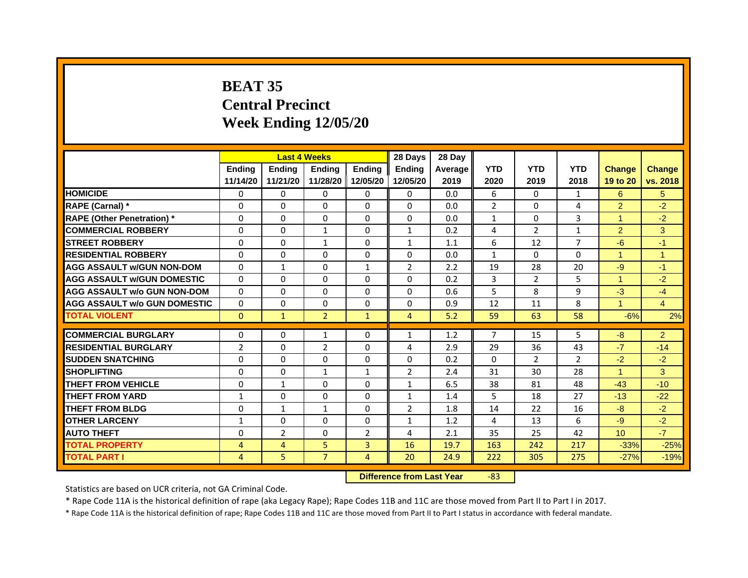# **BEAT 35Central PrecinctWeek Ending 12/05/20**

|                                     |                |                | <b>Last 4 Weeks</b> |                | 28 Days        | 28 Day  |                |                |                |                      |                |
|-------------------------------------|----------------|----------------|---------------------|----------------|----------------|---------|----------------|----------------|----------------|----------------------|----------------|
|                                     | <b>Endina</b>  | <b>Endina</b>  | <b>Endina</b>       | <b>Endina</b>  | <b>Endina</b>  | Average | <b>YTD</b>     | <b>YTD</b>     | <b>YTD</b>     | <b>Change</b>        | <b>Change</b>  |
|                                     | 11/14/20       | 11/21/20       | 11/28/20   12/05/20 |                | 12/05/20       | 2019    | 2020           | 2019           | 2018           | 19 to 20             | vs. 2018       |
| <b>HOMICIDE</b>                     | 0              | 0              | 0                   | 0              | $\mathbf{0}$   | 0.0     | 6              | 0              | 1              | 6                    | 5              |
| RAPE (Carnal) *                     | $\mathbf 0$    | $\mathbf{0}$   | $\Omega$            | $\Omega$       | $\Omega$       | 0.0     | $\overline{2}$ | $\Omega$       | 4              | $\overline{2}$       | $-2$           |
| <b>RAPE (Other Penetration)*</b>    | 0              | 0              | $\Omega$            | 0              | $\Omega$       | 0.0     | $\mathbf{1}$   | 0              | 3              | $\blacktriangleleft$ | $-2$           |
| <b>COMMERCIAL ROBBERY</b>           | 0              | 0              | 1                   | $\Omega$       | 1              | 0.2     | 4              | 2              | 1              | $\overline{2}$       | 3              |
| <b>STREET ROBBERY</b>               | $\Omega$       | $\Omega$       | $\mathbf{1}$        | 0              | $\mathbf{1}$   | 1.1     | 6              | 12             | $\overline{7}$ | $-6$                 | $-1$           |
| <b>RESIDENTIAL ROBBERY</b>          | 0              | 0              | 0                   | 0              | 0              | 0.0     | $\mathbf{1}$   | 0              | 0              | $\blacktriangleleft$ | $\mathbf{1}$   |
| <b>AGG ASSAULT w/GUN NON-DOM</b>    | $\Omega$       | $\mathbf{1}$   | $\Omega$            | $\mathbf{1}$   | $\overline{2}$ | 2.2     | 19             | 28             | 20             | $-9$                 | $-1$           |
| <b>AGG ASSAULT W/GUN DOMESTIC</b>   | $\Omega$       | $\Omega$       | $\Omega$            | $\Omega$       | $\Omega$       | 0.2     | 3              | $\overline{2}$ | 5              | $\blacktriangleleft$ | $-2$           |
| <b>AGG ASSAULT w/o GUN NON-DOM</b>  | $\Omega$       | 0              | $\Omega$            | 0              | $\Omega$       | 0.6     | 5              | 8              | 9              | $-3$                 | $-4$           |
| <b>AGG ASSAULT w/o GUN DOMESTIC</b> | $\Omega$       | 0              | 0                   | 0              | 0              | 0.9     | 12             | 11             | 8              | $\mathbf{1}$         | $\overline{4}$ |
| <b>TOTAL VIOLENT</b>                | $\mathbf{0}$   | $\mathbf{1}$   | $\overline{2}$      | $\mathbf{1}$   | $\overline{4}$ | 5.2     | 59             | 63             | 58             | $-6%$                | 2%             |
|                                     |                |                |                     |                |                |         |                |                |                |                      |                |
| <b>COMMERCIAL BURGLARY</b>          | 0              | 0              | 1                   | 0              | 1              | 1.2     | $\overline{7}$ | 15             | 5              | $-8$                 | $\overline{2}$ |
| <b>RESIDENTIAL BURGLARY</b>         | $\overline{2}$ | 0              | $\overline{2}$      | 0              | 4              | 2.9     | 29             | 36             | 43             | $-7$                 | $-14$          |
| <b>SUDDEN SNATCHING</b>             | $\Omega$       | $\Omega$       | 0                   | $\Omega$       | 0              | 0.2     | $\Omega$       | 2              | $\overline{2}$ | $-2$                 | $-2$           |
| <b>SHOPLIFTING</b>                  | $\mathbf 0$    | $\Omega$       | $\mathbf{1}$        | $\mathbf{1}$   | $\overline{2}$ | 2.4     | 31             | 30             | 28             | $\mathbf{1}$         | 3              |
| THEFT FROM VEHICLE                  | $\Omega$       | $\mathbf{1}$   | $\Omega$            | $\Omega$       | $\mathbf{1}$   | 6.5     | 38             | 81             | 48             | $-43$                | $-10$          |
| <b>THEFT FROM YARD</b>              | 1              | 0              | $\Omega$            | 0              | 1              | 1.4     | 5              | 18             | 27             | $-13$                | $-22$          |
| <b>THEFT FROM BLDG</b>              | 0              | $\mathbf{1}$   | $\mathbf{1}$        | 0              | $\overline{2}$ | 1.8     | 14             | 22             | 16             | $-8$                 | $-2$           |
| <b>OTHER LARCENY</b>                | $\mathbf{1}$   | $\Omega$       | $\Omega$            | $\Omega$       | $\mathbf{1}$   | 1.2     | 4              | 13             | 6              | $-9$                 | $-2$           |
| <b>AUTO THEFT</b>                   | $\Omega$       | $\overline{2}$ | $\Omega$            | $\overline{2}$ | 4              | 2.1     | 35             | 25             | 42             | 10 <sup>1</sup>      | $-7$           |
| <b>TOTAL PROPERTY</b>               | 4              | 4              | 5                   | 3              | 16             | 19.7    | 163            | 242            | 217            | $-33%$               | $-25%$         |
| <b>TOTAL PART I</b>                 | 4              | 5              | $\overline{7}$      | $\overline{4}$ | 20             | 24.9    | 222            | 305            | 275            | $-27%$               | $-19%$         |

 **Difference from Last Year**r -83

Statistics are based on UCR criteria, not GA Criminal Code.

\* Rape Code 11A is the historical definition of rape (aka Legacy Rape); Rape Codes 11B and 11C are those moved from Part II to Part I in 2017.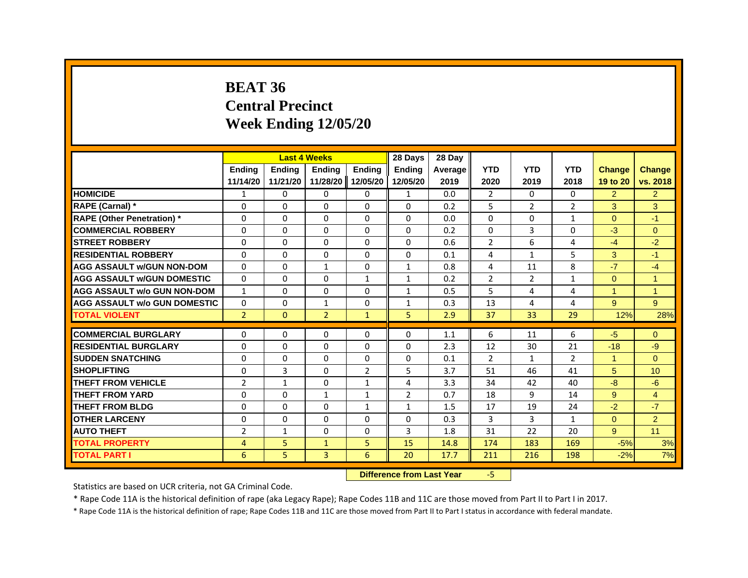#### **BEAT 36Central Precinct Week Ending 12/05/20**

|                                     |                |               | <b>Last 4 Weeks</b> |                   | 28 Days        | 28 Day         |                |                |                |                      |                      |
|-------------------------------------|----------------|---------------|---------------------|-------------------|----------------|----------------|----------------|----------------|----------------|----------------------|----------------------|
|                                     | <b>Endina</b>  | <b>Endina</b> | <b>Ending</b>       | <b>Endina</b>     | <b>Endina</b>  | <b>Average</b> | <b>YTD</b>     | <b>YTD</b>     | <b>YTD</b>     | <b>Change</b>        | <b>Change</b>        |
|                                     | 11/14/20       | 11/21/20      |                     | 11/28/20 12/05/20 | 12/05/20       | 2019           | 2020           | 2019           | 2018           | 19 to 20             | vs. 2018             |
| <b>HOMICIDE</b>                     | $\mathbf{1}$   | $\Omega$      | $\Omega$            | $\Omega$          | $\mathbf{1}$   | 0.0            | 2              | $\mathbf{0}$   | $\mathbf{0}$   | $\overline{2}$       | $\overline{2}$       |
| RAPE (Carnal) *                     | $\Omega$       | $\Omega$      | $\Omega$            | $\Omega$          | $\Omega$       | 0.2            | 5              | $\overline{2}$ | $\overline{2}$ | 3                    | 3                    |
| <b>RAPE (Other Penetration)</b> *   | 0              | 0             | $\Omega$            | $\Omega$          | $\Omega$       | 0.0            | 0              | 0              | $\mathbf{1}$   | $\Omega$             | $-1$                 |
| <b>COMMERCIAL ROBBERY</b>           | $\Omega$       | 0             | 0                   | 0                 | 0              | 0.2            | 0              | 3              | $\Omega$       | $-3$                 | $\Omega$             |
| <b>STREET ROBBERY</b>               | $\Omega$       | $\Omega$      | $\Omega$            | $\Omega$          | $\Omega$       | 0.6            | $\overline{2}$ | 6              | 4              | $-4$                 | $-2$                 |
| <b>RESIDENTIAL ROBBERY</b>          | $\Omega$       | $\mathbf{0}$  | $\Omega$            | $\Omega$          | $\Omega$       | 0.1            | 4              | $\mathbf{1}$   | 5              | 3                    | $-1$                 |
| <b>AGG ASSAULT w/GUN NON-DOM</b>    | $\Omega$       | $\Omega$      | $\mathbf{1}$        | $\Omega$          | $\mathbf{1}$   | 0.8            | 4              | 11             | 8              | $-7$                 | $-4$                 |
| <b>AGG ASSAULT W/GUN DOMESTIC</b>   | $\Omega$       | 0             | 0                   | $\mathbf{1}$      | $\mathbf{1}$   | 0.2            | $\overline{2}$ | 2              | $\mathbf{1}$   | $\Omega$             | $\blacktriangleleft$ |
| <b>AGG ASSAULT w/o GUN NON-DOM</b>  | $\mathbf{1}$   | $\Omega$      | $\Omega$            | $\Omega$          | $\mathbf{1}$   | 0.5            | 5              | 4              | 4              | $\blacktriangleleft$ | $\overline{1}$       |
| <b>AGG ASSAULT w/o GUN DOMESTIC</b> | $\Omega$       | $\Omega$      | $\mathbf{1}$        | $\Omega$          | $\mathbf{1}$   | 0.3            | 13             | 4              | 4              | 9                    | 9                    |
| <b>TOTAL VIOLENT</b>                | $\overline{2}$ | $\mathbf{0}$  | $\overline{2}$      | $\mathbf{1}$      | 5              | 2.9            | 37             | 33             | 29             | 12%                  | 28%                  |
|                                     |                |               |                     |                   |                |                |                |                |                |                      |                      |
| <b>COMMERCIAL BURGLARY</b>          | 0              | 0             | 0                   | 0                 | 0              | 1.1            | 6              | 11             | 6              | $-5$                 | $\Omega$             |
| <b>RESIDENTIAL BURGLARY</b>         | $\Omega$       | 0             | 0                   | 0                 | 0              | 2.3            | 12             | 30             | 21             | $-18$                | $-9$                 |
| <b>SUDDEN SNATCHING</b>             | $\mathbf 0$    | $\Omega$      | $\Omega$            | $\mathbf{0}$      | $\Omega$       | 0.1            | $\overline{2}$ | $\mathbf{1}$   | $\overline{2}$ | $\blacktriangleleft$ | $\Omega$             |
| <b>SHOPLIFTING</b>                  | $\Omega$       | 3             | $\Omega$            | 2                 | 5              | 3.7            | 51             | 46             | 41             | 5                    | 10                   |
| <b>THEFT FROM VEHICLE</b>           | $\overline{2}$ | $\mathbf{1}$  | 0                   | $\mathbf{1}$      | 4              | 3.3            | 34             | 42             | 40             | $-8$                 | $-6$                 |
| <b>THEFT FROM YARD</b>              | $\Omega$       | 0             | 1                   | $\mathbf{1}$      | $\overline{2}$ | 0.7            | 18             | 9              | 14             | 9                    | $\overline{4}$       |
| <b>THEFT FROM BLDG</b>              | 0              | 0             | 0                   | $\mathbf{1}$      | $\mathbf{1}$   | 1.5            | 17             | 19             | 24             | $-2$                 | $-7$                 |
| <b>OTHER LARCENY</b>                | $\Omega$       | $\Omega$      | $\Omega$            | $\Omega$          | $\Omega$       | 0.3            | 3              | 3              | $\mathbf{1}$   | $\Omega$             | $\overline{2}$       |
| <b>AUTO THEFT</b>                   | $\overline{2}$ | $\mathbf{1}$  | $\Omega$            | $\Omega$          | 3              | 1.8            | 31             | 22             | 20             | 9                    | 11                   |
| <b>TOTAL PROPERTY</b>               | 4              | 5             | $\mathbf{1}$        | 5                 | 15             | 14.8           | 174            | 183            | 169            | $-5%$                | 3%                   |
| <b>TOTAL PART I</b>                 | 6              | 5             | 3                   | 6                 | 20             | 17.7           | 211            | 216            | 198            | $-2%$                | 7%                   |

 **Difference from Last Year**‐5

Statistics are based on UCR criteria, not GA Criminal Code.

\* Rape Code 11A is the historical definition of rape (aka Legacy Rape); Rape Codes 11B and 11C are those moved from Part II to Part I in 2017.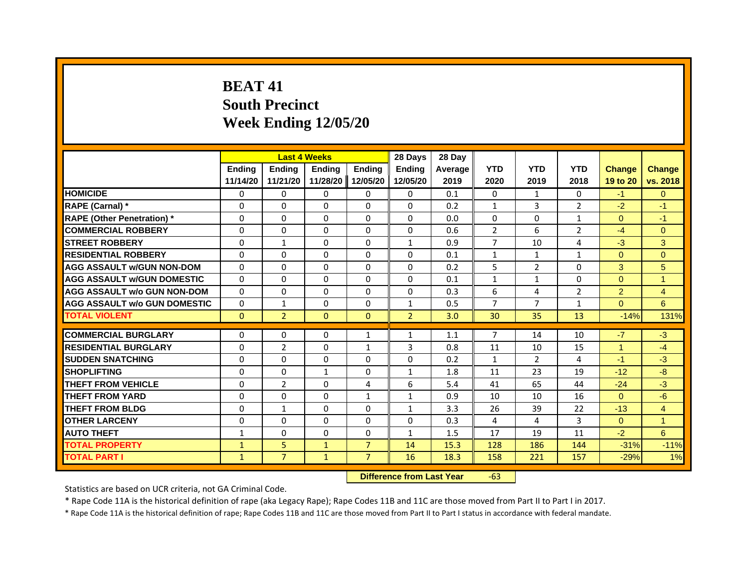# **BEAT 41South Precinct Week Ending 12/05/20**

|                                     |               |                | <b>Last 4 Weeks</b> |                | 28 Days        | 28 Day  |                |                |                |                |                |
|-------------------------------------|---------------|----------------|---------------------|----------------|----------------|---------|----------------|----------------|----------------|----------------|----------------|
|                                     | <b>Endina</b> | <b>Endina</b>  | <b>Ending</b>       | Ending         | Ending         | Average | <b>YTD</b>     | <b>YTD</b>     | <b>YTD</b>     | <b>Change</b>  | <b>Change</b>  |
|                                     | 11/14/20      | 11/21/20       | 11/28/20            | 12/05/20       | 12/05/20       | 2019    | 2020           | 2019           | 2018           | 19 to 20       | vs. 2018       |
| <b>HOMICIDE</b>                     | 0             | $\mathbf{0}$   | $\mathbf{0}$        | 0              | 0              | 0.1     | $\Omega$       | $\mathbf{1}$   | $\mathbf{0}$   | $-1$           | $\overline{0}$ |
| RAPE (Carnal) *                     | $\Omega$      | $\Omega$       | $\Omega$            | $\Omega$       | $\Omega$       | 0.2     | $\mathbf{1}$   | 3              | $\overline{2}$ | $-2$           | $-1$           |
| <b>RAPE (Other Penetration)</b> *   | 0             | $\Omega$       | $\Omega$            | $\Omega$       | $\Omega$       | 0.0     | $\Omega$       | 0              | $\mathbf{1}$   | $\Omega$       | $-1$           |
| <b>COMMERCIAL ROBBERY</b>           | 0             | $\Omega$       | $\Omega$            | $\Omega$       | $\Omega$       | 0.6     | $\overline{2}$ | 6              | $\overline{2}$ | $-4$           | $\Omega$       |
| <b>STREET ROBBERY</b>               | $\Omega$      | $\mathbf{1}$   | $\Omega$            | $\Omega$       | $\mathbf{1}$   | 0.9     | 7              | 10             | 4              | $-3$           | 3              |
| <b>RESIDENTIAL ROBBERY</b>          | $\Omega$      | $\Omega$       | $\Omega$            | $\Omega$       | $\Omega$       | 0.1     | $\mathbf{1}$   | $\mathbf{1}$   | $\mathbf{1}$   | $\Omega$       | $\overline{0}$ |
| <b>AGG ASSAULT w/GUN NON-DOM</b>    | $\Omega$      | $\Omega$       | $\Omega$            | $\Omega$       | $\Omega$       | 0.2     | 5              | $\overline{2}$ | $\Omega$       | 3              | 5              |
| <b>AGG ASSAULT w/GUN DOMESTIC</b>   | $\Omega$      | $\Omega$       | $\Omega$            | 0              | $\Omega$       | 0.1     | $\mathbf{1}$   | $\mathbf{1}$   | $\Omega$       | $\Omega$       | $\mathbf{1}$   |
| <b>AGG ASSAULT w/o GUN NON-DOM</b>  | $\Omega$      | $\Omega$       | $\Omega$            | $\Omega$       | $\Omega$       | 0.3     | 6              | 4              | $\overline{2}$ | $\overline{2}$ | $\overline{4}$ |
| <b>AGG ASSAULT W/o GUN DOMESTIC</b> | $\Omega$      | 1              | $\Omega$            | $\Omega$       | $\mathbf{1}$   | 0.5     | $\overline{7}$ | 7              | $\mathbf{1}$   | $\Omega$       | 6              |
| <b>TOTAL VIOLENT</b>                | $\mathbf 0$   | $\overline{2}$ | $\mathbf{0}$        | $\mathbf{0}$   | $\overline{2}$ | 3.0     | 30             | 35             | 13             | $-14%$         | 131%           |
|                                     |               |                |                     |                |                |         |                |                |                |                |                |
| <b>COMMERCIAL BURGLARY</b>          | 0             | $\mathbf{0}$   | $\mathbf{0}$        | 1              | 1              | 1.1     | 7              | 14             | 10             | $-7$           | $-3$           |
| <b>RESIDENTIAL BURGLARY</b>         | $\Omega$      | $\overline{2}$ | $\Omega$            | $\mathbf{1}$   | 3              | 0.8     | 11             | 10             | 15             | $\mathbf{1}$   | $-4$           |
| <b>SUDDEN SNATCHING</b>             | $\Omega$      | $\Omega$       | $\Omega$            | $\Omega$       | $\Omega$       | 0.2     | $\mathbf{1}$   | $\overline{2}$ | 4              | $-1$           | $-3$           |
| <b>SHOPLIFTING</b>                  | $\Omega$      | $\Omega$       | $\mathbf{1}$        | $\Omega$       | $\mathbf{1}$   | 1.8     | 11             | 23             | 19             | $-12$          | $-8$           |
| <b>THEFT FROM VEHICLE</b>           | 0             | 2              | $\mathbf{0}$        | 4              | 6              | 5.4     | 41             | 65             | 44             | $-24$          | $-3$           |
| <b>THEFT FROM YARD</b>              | 0             | $\Omega$       | 0                   | $\mathbf{1}$   | $\mathbf{1}$   | 0.9     | 10             | 10             | 16             | $\Omega$       | $-6$           |
| <b>THEFT FROM BLDG</b>              | $\Omega$      | $\mathbf{1}$   | $\Omega$            | $\Omega$       | $\mathbf{1}$   | 3.3     | 26             | 39             | 22             | $-13$          | $\overline{4}$ |
| <b>OTHER LARCENY</b>                | 0             | $\Omega$       | $\Omega$            | $\Omega$       | $\Omega$       | 0.3     | 4              | 4              | 3              | $\mathbf{0}$   | $\overline{1}$ |
| <b>AUTO THEFT</b>                   | $\mathbf{1}$  | $\Omega$       | $\Omega$            | $\Omega$       | $\mathbf{1}$   | 1.5     | 17             | 19             | 11             | $-2$           | 6              |
| <b>TOTAL PROPERTY</b>               | $\mathbf{1}$  | 5              | $\mathbf{1}$        | $\overline{7}$ | 14             | 15.3    | 128            | 186            | 144            | $-31%$         | $-11%$         |
| <b>TOTAL PART I</b>                 | $\mathbf{1}$  | $\overline{7}$ | $\mathbf{1}$        | $\overline{7}$ | 16             | 18.3    | 158            | 221            | 157            | $-29%$         | 1%             |

 **Difference from Last Year**r -63

Statistics are based on UCR criteria, not GA Criminal Code.

\* Rape Code 11A is the historical definition of rape (aka Legacy Rape); Rape Codes 11B and 11C are those moved from Part II to Part I in 2017.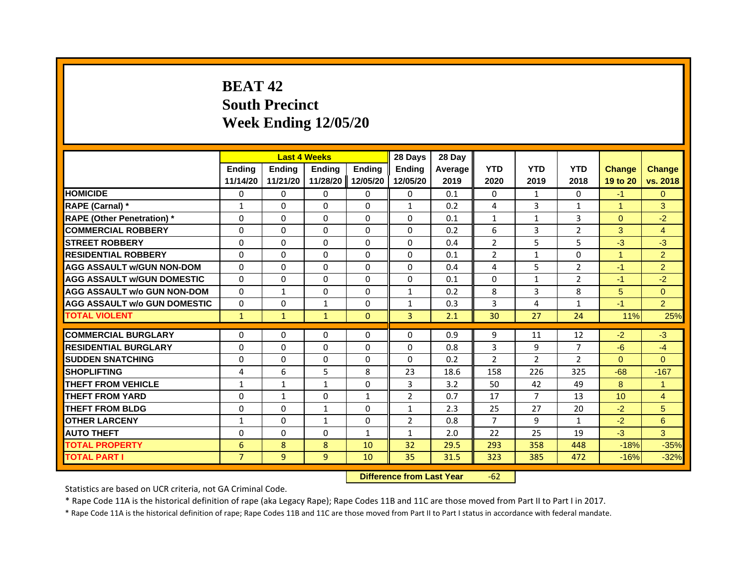# **BEAT 42South Precinct Week Ending 12/05/20**

|                                     |                | <b>Last 4 Weeks</b> |               |               | 28 Days        | 28 Day         |                |                |                |               |                      |
|-------------------------------------|----------------|---------------------|---------------|---------------|----------------|----------------|----------------|----------------|----------------|---------------|----------------------|
|                                     | <b>Endina</b>  | Ending              | <b>Endina</b> | <b>Endina</b> | <b>Endina</b>  | <b>Average</b> | <b>YTD</b>     | <b>YTD</b>     | <b>YTD</b>     | <b>Change</b> | <b>Change</b>        |
|                                     | 11/14/20       | 11/21/20            | 11/28/20      | 12/05/20      | 12/05/20       | 2019           | 2020           | 2019           | 2018           | 19 to 20      | vs. 2018             |
| <b>HOMICIDE</b>                     | 0              | $\Omega$            | $\Omega$      | $\Omega$      | 0              | 0.1            | $\Omega$       | $\mathbf{1}$   | $\Omega$       | $-1$          | $\Omega$             |
| RAPE (Carnal) *                     | $\mathbf{1}$   | $\Omega$            | $\Omega$      | $\Omega$      | $\mathbf{1}$   | 0.2            | 4              | 3              | $\mathbf{1}$   | $\mathbf{1}$  | 3                    |
| <b>RAPE (Other Penetration) *</b>   | 0              | $\Omega$            | $\Omega$      | $\Omega$      | $\Omega$       | 0.1            | $\mathbf{1}$   | $\mathbf{1}$   | 3              | $\Omega$      | $-2$                 |
| <b>COMMERCIAL ROBBERY</b>           | 0              | $\Omega$            | 0             | 0             | 0              | 0.2            | 6              | 3              | $\overline{2}$ | 3             | $\overline{4}$       |
| <b>STREET ROBBERY</b>               | $\Omega$       | $\Omega$            | $\Omega$      | $\Omega$      | $\Omega$       | 0.4            | $\overline{2}$ | 5              | 5              | $-3$          | $-3$                 |
| <b>RESIDENTIAL ROBBERY</b>          | 0              | $\Omega$            | $\Omega$      | 0             | 0              | 0.1            | $\overline{2}$ | $\mathbf{1}$   | 0              | $\mathbf{1}$  | $\overline{2}$       |
| <b>AGG ASSAULT w/GUN NON-DOM</b>    | $\Omega$       | $\Omega$            | $\Omega$      | $\Omega$      | $\Omega$       | 0.4            | 4              | 5              | $\overline{2}$ | $-1$          | $\overline{2}$       |
| <b>AGG ASSAULT WGUN DOMESTIC</b>    | $\Omega$       | $\Omega$            | $\Omega$      | $\Omega$      | $\Omega$       | 0.1            | $\Omega$       | $\mathbf{1}$   | $\overline{2}$ | $-1$          | $-2$                 |
| <b>AGG ASSAULT w/o GUN NON-DOM</b>  | 0              | 1                   | 0             | $\Omega$      | $\mathbf{1}$   | 0.2            | 8              | 3              | 8              | 5             | $\overline{0}$       |
| <b>AGG ASSAULT w/o GUN DOMESTIC</b> | $\Omega$       | $\Omega$            | 1             | $\Omega$      | 1              | 0.3            | 3              | 4              | $\mathbf{1}$   | $-1$          | $\overline{2}$       |
| <b>TOTAL VIOLENT</b>                | $\mathbf{1}$   | $\mathbf{1}$        | $\mathbf{1}$  | $\mathbf{0}$  | 3              | 2.1            | 30             | 27             | 24             | 11%           | 25%                  |
|                                     |                |                     |               |               |                |                |                |                |                |               |                      |
| <b>COMMERCIAL BURGLARY</b>          | 0              | $\Omega$            | $\Omega$      | 0             | 0              | 0.9            | 9              | 11             | 12             | $-2$          | $-3$                 |
| <b>RESIDENTIAL BURGLARY</b>         | 0              | $\Omega$            | 0             | $\Omega$      | $\Omega$       | 0.8            | 3              | 9              | 7              | $-6$          | $-4$                 |
| <b>SUDDEN SNATCHING</b>             | 0              | $\Omega$            | $\Omega$      | $\Omega$      | $\Omega$       | 0.2            | $\overline{2}$ | $\overline{2}$ | $\overline{2}$ | $\Omega$      | $\Omega$             |
| <b>SHOPLIFTING</b>                  | 4              | 6                   | 5             | 8             | 23             | 18.6           | 158            | 226            | 325            | $-68$         | $-167$               |
| <b>THEFT FROM VEHICLE</b>           | $\mathbf{1}$   | $\mathbf{1}$        | $\mathbf{1}$  | 0             | 3              | 3.2            | 50             | 42             | 49             | 8             | $\blacktriangleleft$ |
| <b>THEFT FROM YARD</b>              | 0              | 1                   | 0             | 1             | $\overline{2}$ | 0.7            | 17             | 7              | 13             | 10            | $\overline{4}$       |
| <b>THEFT FROM BLDG</b>              | $\Omega$       | $\Omega$            | 1             | 0             | 1              | 2.3            | 25             | 27             | 20             | $-2$          | 5                    |
| <b>OTHER LARCENY</b>                | $\mathbf{1}$   | $\Omega$            | $\mathbf{1}$  | 0             | $\overline{2}$ | 0.8            | $\overline{7}$ | 9              | $\mathbf{1}$   | $-2$          | 6                    |
| <b>AUTO THEFT</b>                   | $\Omega$       | $\Omega$            | $\Omega$      | $\mathbf{1}$  | $\mathbf{1}$   | 2.0            | 22             | 25             | 19             | $-3$          | 3                    |
| <b>TOTAL PROPERTY</b>               | 6              | 8                   | 8             | 10            | 32             | 29.5           | 293            | 358            | 448            | $-18%$        | $-35%$               |
| <b>TOTAL PART I</b>                 | $\overline{7}$ | 9                   | 9             | 10            | 35             | 31.5           | 323            | 385            | 472            | $-16%$        | $-32%$               |

 **Difference from Last Year**r -62

Statistics are based on UCR criteria, not GA Criminal Code.

\* Rape Code 11A is the historical definition of rape (aka Legacy Rape); Rape Codes 11B and 11C are those moved from Part II to Part I in 2017.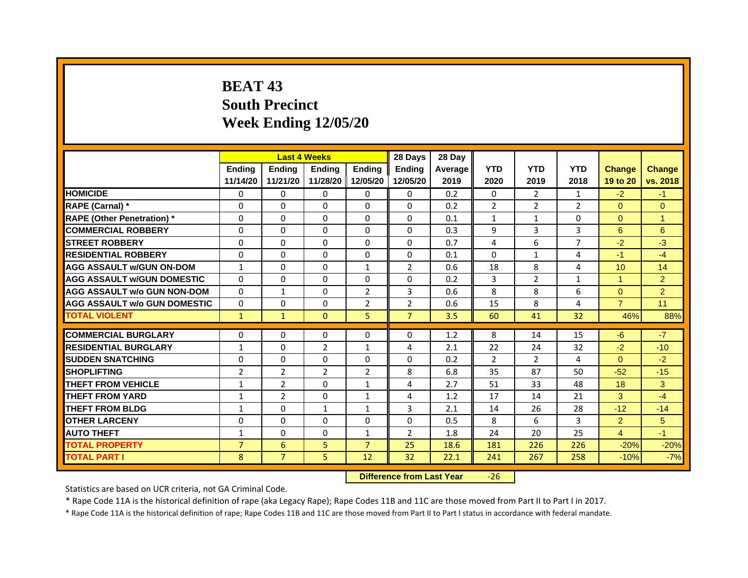# **BEAT 43South PrecinctWeek Ending 12/05/20**

|                                     |                | <b>Last 4 Weeks</b> |                |                | 28 Days        | 28 Day  |                |                |                |                      |                |
|-------------------------------------|----------------|---------------------|----------------|----------------|----------------|---------|----------------|----------------|----------------|----------------------|----------------|
|                                     | <b>Endina</b>  | <b>Endina</b>       | <b>Endina</b>  | <b>Endina</b>  | <b>Endina</b>  | Average | <b>YTD</b>     | <b>YTD</b>     | <b>YTD</b>     | <b>Change</b>        | <b>Change</b>  |
|                                     | 11/14/20       | 11/21/20            | 11/28/20       | 12/05/20       | 12/05/20       | 2019    | 2020           | 2019           | 2018           | 19 to 20             | vs. 2018       |
| <b>HOMICIDE</b>                     | 0              | 0                   | $\Omega$       | 0              | 0              | 0.2     | 0              | 2              | 1              | $-2$                 | $-1$           |
| RAPE (Carnal) *                     | $\Omega$       | $\Omega$            | $\Omega$       | $\Omega$       | $\Omega$       | 0.2     | $\overline{2}$ | $\overline{2}$ | $\overline{2}$ | $\Omega$             | $\Omega$       |
| <b>RAPE (Other Penetration)*</b>    | 0              | 0                   | $\Omega$       | $\Omega$       | $\Omega$       | 0.1     | $\mathbf{1}$   | $\mathbf{1}$   | $\Omega$       | $\Omega$             | 1              |
| <b>COMMERCIAL ROBBERY</b>           | 0              | 0                   | $\Omega$       | 0              | $\Omega$       | 0.3     | 9              | 3              | 3              | 6                    | 6              |
| <b>STREET ROBBERY</b>               | 0              | $\Omega$            | 0              | $\Omega$       | 0              | 0.7     | 4              | 6              | 7              | $-2$                 | $-3$           |
| <b>RESIDENTIAL ROBBERY</b>          | 0              | $\Omega$            | 0              | 0              | 0              | 0.1     | $\Omega$       | $\mathbf{1}$   | $\overline{4}$ | $-1$                 | $-4$           |
| <b>AGG ASSAULT w/GUN ON-DOM</b>     | $\mathbf{1}$   | $\mathbf 0$         | $\Omega$       | $\mathbf{1}$   | $\overline{2}$ | 0.6     | 18             | 8              | 4              | 10 <sup>1</sup>      | 14             |
| <b>AGG ASSAULT W/GUN DOMESTIC</b>   | $\Omega$       | $\Omega$            | $\Omega$       | 0              | $\Omega$       | 0.2     | 3              | $\overline{2}$ | $\mathbf{1}$   | $\blacktriangleleft$ | $\overline{2}$ |
| <b>AGG ASSAULT w/o GUN NON-DOM</b>  | $\Omega$       | $\mathbf{1}$        | $\Omega$       | $\overline{2}$ | 3              | 0.6     | 8              | 8              | 6              | $\Omega$             | $\overline{2}$ |
| <b>AGG ASSAULT W/o GUN DOMESTIC</b> | $\Omega$       | $\Omega$            | $\Omega$       | $\overline{2}$ | $\overline{2}$ | 0.6     | 15             | 8              | $\overline{4}$ | $\overline{7}$       | 11             |
| <b>TOTAL VIOLENT</b>                | $\mathbf{1}$   | $\mathbf{1}$        | $\mathbf{0}$   | 5              | $\overline{7}$ | 3.5     | 60             | 41             | 32             | 46%                  | 88%            |
|                                     |                |                     |                |                |                |         |                |                |                |                      |                |
| <b>COMMERCIAL BURGLARY</b>          | 0              | 0                   | $\Omega$       | 0              | $\Omega$       | 1.2     | 8              | 14             | 15             | $-6$                 | $-7$           |
| <b>RESIDENTIAL BURGLARY</b>         | 1              | $\Omega$            | $\overline{2}$ | $\mathbf{1}$   | 4              | 2.1     | 22             | 24             | 32             | $-2$                 | $-10$          |
| <b>SUDDEN SNATCHING</b>             | 0              | 0                   | $\Omega$       | $\Omega$       | $\Omega$       | 0.2     | $\overline{2}$ | $\overline{2}$ | $\overline{a}$ | $\Omega$             | $-2$           |
| <b>SHOPLIFTING</b>                  | $\overline{2}$ | $\overline{2}$      | $\overline{2}$ | $\overline{2}$ | 8              | 6.8     | 35             | 87             | 50             | $-52$                | $-15$          |
| <b>THEFT FROM VEHICLE</b>           | $\mathbf{1}$   | $\overline{2}$      | $\Omega$       | $\mathbf{1}$   | 4              | 2.7     | 51             | 33             | 48             | 18                   | 3              |
| <b>THEFT FROM YARD</b>              | $\mathbf{1}$   | $\overline{2}$      | $\Omega$       | $\mathbf{1}$   | $\overline{a}$ | 1.2     | 17             | 14             | 21             | 3                    | $-4$           |
| <b>THEFT FROM BLDG</b>              | 1              | 0                   | 1              | 1              | 3              | 2.1     | 14             | 26             | 28             | $-12$                | $-14$          |
| <b>OTHER LARCENY</b>                | 0              | 0                   | $\Omega$       | 0              | $\Omega$       | 0.5     | 8              | 6              | 3              | $\overline{2}$       | 5              |
| <b>AUTO THEFT</b>                   | 1              | 0                   | $\Omega$       | $\mathbf{1}$   | $\overline{2}$ | 1.8     | 24             | 20             | 25             | $\overline{4}$       | $-1$           |
| <b>TOTAL PROPERTY</b>               | $\overline{7}$ | 6                   | 5              | $\overline{7}$ | 25             | 18.6    | 181            | 226            | 226            | $-20%$               | $-20%$         |
| <b>TOTAL PART I</b>                 | 8              | $\overline{7}$      | 5              | 12             | 32             | 22.1    | 241            | 267            | 258            | $-10%$               | $-7%$          |

 **Difference from Last Year**‐26

Statistics are based on UCR criteria, not GA Criminal Code.

\* Rape Code 11A is the historical definition of rape (aka Legacy Rape); Rape Codes 11B and 11C are those moved from Part II to Part I in 2017.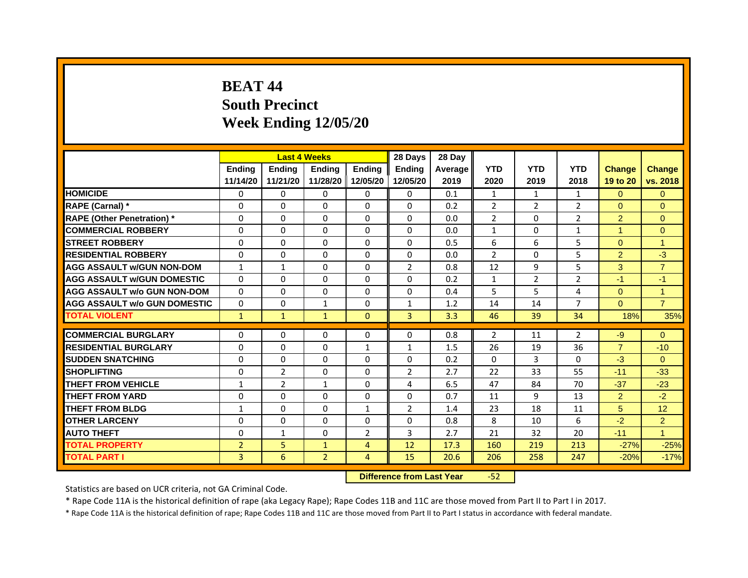# **BEAT 44South Precinct Week Ending 12/05/20**

|                                     |                | <b>Last 4 Weeks</b> |                |                | 28 Days        | 28 Day  |                |              |                |                |                |
|-------------------------------------|----------------|---------------------|----------------|----------------|----------------|---------|----------------|--------------|----------------|----------------|----------------|
|                                     | <b>Endina</b>  | <b>Ending</b>       | <b>Endina</b>  | <b>Endina</b>  | <b>Endina</b>  | Average | <b>YTD</b>     | <b>YTD</b>   | <b>YTD</b>     | <b>Change</b>  | <b>Change</b>  |
|                                     | 11/14/20       | 11/21/20            | 11/28/20       | 12/05/20       | 12/05/20       | 2019    | 2020           | 2019         | 2018           | 19 to 20       | vs. 2018       |
| <b>HOMICIDE</b>                     | $\Omega$       | 0                   | $\Omega$       | 0              | 0              | 0.1     | $\mathbf{1}$   | $\mathbf{1}$ | $\mathbf{1}$   | $\Omega$       | $\Omega$       |
| RAPE (Carnal) *                     | $\Omega$       | $\Omega$            | $\Omega$       | $\mathbf{0}$   | $\mathbf{0}$   | 0.2     | $\overline{2}$ | 2            | $\overline{2}$ | $\Omega$       | $\Omega$       |
| <b>RAPE (Other Penetration)*</b>    | 0              | $\Omega$            | $\Omega$       | $\mathbf{0}$   | $\Omega$       | 0.0     | 2              | $\Omega$     | 2              | $\overline{2}$ | $\Omega$       |
| <b>COMMERCIAL ROBBERY</b>           | 0              | 0                   | $\Omega$       | 0              | $\Omega$       | 0.0     | 1              | 0            | 1              | 1              | $\mathbf{0}$   |
| <b>STREET ROBBERY</b>               | 0              | 0                   | 0              | $\mathbf{0}$   | 0              | 0.5     | 6              | 6            | 5              | $\Omega$       | 1              |
| <b>RESIDENTIAL ROBBERY</b>          | 0              | $\Omega$            | 0              | $\Omega$       | $\Omega$       | 0.0     | $\overline{2}$ | 0            | 5              | 2              | $-3$           |
| <b>AGG ASSAULT w/GUN NON-DOM</b>    | $\mathbf{1}$   | $\mathbf{1}$        | $\Omega$       | $\mathbf{0}$   | $\overline{2}$ | 0.8     | 12             | 9            | 5              | 3              | $\overline{7}$ |
| <b>AGG ASSAULT W/GUN DOMESTIC</b>   | $\Omega$       | 0                   | $\Omega$       | 0              | $\Omega$       | 0.2     | $\mathbf{1}$   | 2            | $\overline{2}$ | $-1$           | $-1$           |
| <b>AGG ASSAULT w/o GUN NON-DOM</b>  | $\Omega$       | 0                   | $\Omega$       | $\Omega$       | $\Omega$       | 0.4     | 5              | 5            | 4              | $\Omega$       | 1              |
| <b>AGG ASSAULT w/o GUN DOMESTIC</b> | $\Omega$       | 0                   | $\mathbf{1}$   | 0              | $\mathbf{1}$   | 1.2     | 14             | 14           | 7              | $\Omega$       | $\overline{7}$ |
| <b>TOTAL VIOLENT</b>                | $\mathbf{1}$   | $\mathbf{1}$        | $\mathbf{1}$   | $\mathbf{0}$   | 3              | 3.3     | 46             | 39           | 34             | 18%            | 35%            |
|                                     |                |                     |                |                |                |         |                |              |                |                |                |
| <b>COMMERCIAL BURGLARY</b>          | 0              | 0                   | 0              | 0              | 0              | 0.8     | $\overline{2}$ | 11           | $\overline{2}$ | $-9$           | $\Omega$       |
| <b>RESIDENTIAL BURGLARY</b>         | 0              | 0                   | 0              | 1              | $\mathbf{1}$   | 1.5     | 26             | 19           | 36             | $\overline{7}$ | $-10$          |
| <b>SUDDEN SNATCHING</b>             | 0              | $\Omega$            | $\Omega$       | $\Omega$       | $\Omega$       | 0.2     | $\Omega$       | 3            | $\Omega$       | $-3$           | $\Omega$       |
| <b>SHOPLIFTING</b>                  | $\Omega$       | $\overline{2}$      | $\Omega$       | $\mathbf{0}$   | $\overline{2}$ | 2.7     | 22             | 33           | 55             | $-11$          | $-33$          |
| THEFT FROM VEHICLE                  | 1              | $\overline{2}$      | $\mathbf{1}$   | 0              | 4              | 6.5     | 47             | 84           | 70             | $-37$          | $-23$          |
| <b>THEFT FROM YARD</b>              | 0              | 0                   | $\Omega$       | 0              | $\Omega$       | 0.7     | 11             | 9            | 13             | $\overline{2}$ | $-2$           |
| <b>THEFT FROM BLDG</b>              | $\mathbf{1}$   | $\Omega$            | $\Omega$       | $\mathbf{1}$   | $\overline{2}$ | 1.4     | 23             | 18           | 11             | 5              | 12             |
| <b>OTHER LARCENY</b>                | 0              | $\Omega$            | $\Omega$       | 0              | $\Omega$       | 0.8     | 8              | 10           | 6              | $-2$           | 2              |
| <b>AUTO THEFT</b>                   | $\Omega$       | $\mathbf{1}$        | $\Omega$       | $\overline{2}$ | 3              | 2.7     | 21             | 32           | 20             | $-11$          | $\mathbf{1}$   |
| <b>TOTAL PROPERTY</b>               | $\overline{2}$ | 5                   | $\mathbf{1}$   | 4              | 12             | 17.3    | 160            | 219          | 213            | $-27%$         | $-25%$         |
| <b>TOTAL PART I</b>                 | 3              | 6                   | $\overline{2}$ | $\overline{4}$ | 15             | 20.6    | 206            | 258          | 247            | $-20%$         | $-17%$         |

 **Difference from Last Year**‐52

Statistics are based on UCR criteria, not GA Criminal Code.

\* Rape Code 11A is the historical definition of rape (aka Legacy Rape); Rape Codes 11B and 11C are those moved from Part II to Part I in 2017.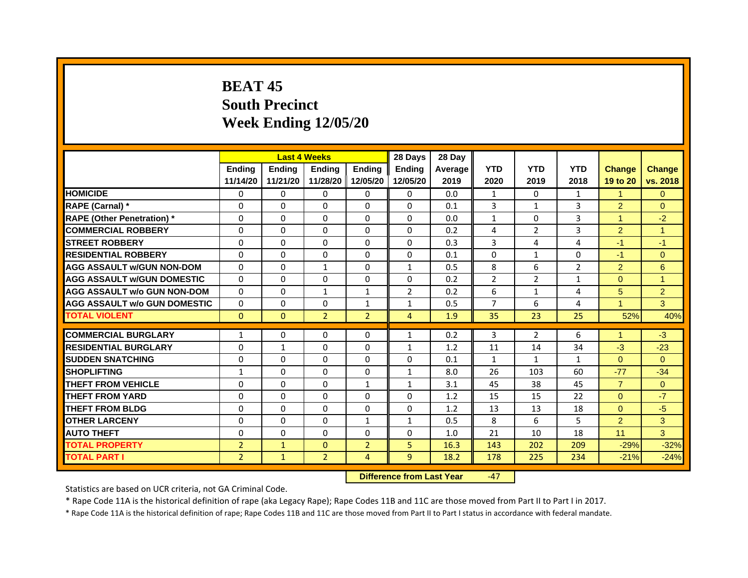# **BEAT 45South PrecinctWeek Ending 12/05/20**

|                                     |                | <b>Last 4 Weeks</b> |                     |                | 28 Days        | 28 Day  |                |                |                |                      |                |
|-------------------------------------|----------------|---------------------|---------------------|----------------|----------------|---------|----------------|----------------|----------------|----------------------|----------------|
|                                     | <b>Endina</b>  | <b>Endina</b>       | <b>Endina</b>       | <b>Endina</b>  | <b>Endina</b>  | Average | <b>YTD</b>     | <b>YTD</b>     | <b>YTD</b>     | <b>Change</b>        | <b>Change</b>  |
|                                     | 11/14/20       | 11/21/20            | 11/28/20   12/05/20 |                | 12/05/20       | 2019    | 2020           | 2019           | 2018           | 19 to 20             | vs. 2018       |
| <b>HOMICIDE</b>                     | 0              | 0                   | $\Omega$            | 0              | 0              | 0.0     | $\mathbf{1}$   | 0              | $\mathbf{1}$   | $\blacktriangleleft$ | $\Omega$       |
| RAPE (Carnal) *                     | $\Omega$       | $\Omega$            | $\Omega$            | $\Omega$       | $\Omega$       | 0.1     | 3              | $\mathbf{1}$   | 3              | 2                    | $\Omega$       |
| <b>RAPE (Other Penetration)*</b>    | 0              | 0                   | $\Omega$            | $\Omega$       | $\Omega$       | 0.0     | $\mathbf{1}$   | $\Omega$       | 3              | $\blacktriangleleft$ | $-2$           |
| <b>COMMERCIAL ROBBERY</b>           | 0              | 0                   | $\Omega$            | $\Omega$       | $\Omega$       | 0.2     | 4              | $\overline{2}$ | 3              | $\overline{2}$       | 1              |
| <b>STREET ROBBERY</b>               | 0              | $\Omega$            | 0                   | $\Omega$       | 0              | 0.3     | 3              | 4              | 4              | $-1$                 | $-1$           |
| <b>RESIDENTIAL ROBBERY</b>          | 0              | $\Omega$            | 0                   | 0              | 0              | 0.1     | 0              | $\mathbf{1}$   | 0              | $-1$                 | $\Omega$       |
| <b>AGG ASSAULT w/GUN NON-DOM</b>    | $\Omega$       | $\mathbf 0$         | $\mathbf{1}$        | $\mathbf{0}$   | $\mathbf{1}$   | 0.5     | 8              | 6              | $\overline{2}$ | $\overline{2}$       | $6\phantom{1}$ |
| <b>AGG ASSAULT W/GUN DOMESTIC</b>   | $\Omega$       | $\Omega$            | $\Omega$            | $\Omega$       | $\Omega$       | 0.2     | $\overline{2}$ | $\overline{2}$ | $\mathbf{1}$   | $\Omega$             | 1              |
| <b>AGG ASSAULT w/o GUN NON-DOM</b>  | $\Omega$       | 0                   | $\mathbf{1}$        | $\mathbf{1}$   | $\overline{2}$ | 0.2     | 6              | $\mathbf{1}$   | $\overline{a}$ | 5                    | 2              |
| <b>AGG ASSAULT W/o GUN DOMESTIC</b> | $\Omega$       | 0                   | $\Omega$            | $\mathbf{1}$   | 1              | 0.5     | $\overline{7}$ | 6              | $\overline{4}$ | $\mathbf{1}$         | 3              |
| <b>TOTAL VIOLENT</b>                | $\Omega$       | $\Omega$            | $\overline{2}$      | $\overline{2}$ | $\overline{4}$ | 1.9     | 35             | 23             | 25             | 52%                  | 40%            |
|                                     |                |                     |                     |                |                |         |                |                |                |                      |                |
| <b>COMMERCIAL BURGLARY</b>          | 1              | 0                   | $\Omega$            | 0              | $\mathbf{1}$   | 0.2     | 3              | 2              | 6              | $\mathbf{1}$         | $-3$           |
| <b>RESIDENTIAL BURGLARY</b>         | 0              | $\mathbf{1}$        | $\Omega$            | $\mathbf{0}$   | 1              | 1.2     | 11             | 14             | 34             | $-3$                 | $-23$          |
| <b>SUDDEN SNATCHING</b>             | 0              | 0                   | $\Omega$            | $\Omega$       | $\Omega$       | 0.1     | 1              | $\mathbf{1}$   | $\mathbf{1}$   | $\Omega$             | $\Omega$       |
| <b>SHOPLIFTING</b>                  | 1              | 0                   | 0                   | $\Omega$       | $\mathbf{1}$   | 8.0     | 26             | 103            | 60             | $-77$                | $-34$          |
| <b>THEFT FROM VEHICLE</b>           | $\Omega$       | $\Omega$            | $\Omega$            | $\mathbf{1}$   | $\mathbf{1}$   | 3.1     | 45             | 38             | 45             | $\overline{7}$       | $\Omega$       |
| <b>THEFT FROM YARD</b>              | 0              | 0                   | $\Omega$            | $\Omega$       | $\Omega$       | 1.2     | 15             | 15             | 22             | $\Omega$             | $-7$           |
| <b>THEFT FROM BLDG</b>              | 0              | 0                   | 0                   | 0              | 0              | 1.2     | 13             | 13             | 18             | $\Omega$             | $-5$           |
| <b>OTHER LARCENY</b>                | 0              | $\Omega$            | $\Omega$            | $\mathbf{1}$   | $\mathbf{1}$   | 0.5     | 8              | 6              | 5              | $\overline{2}$       | 3              |
| <b>AUTO THEFT</b>                   | $\mathbf 0$    | 0                   | $\Omega$            | $\Omega$       | $\Omega$       | 1.0     | 21             | 10             | 18             | 11                   | 3              |
| <b>TOTAL PROPERTY</b>               | $\overline{2}$ | $\mathbf{1}$        | $\Omega$            | $\overline{2}$ | 5              | 16.3    | 143            | 202            | 209            | $-29%$               | $-32%$         |
| <b>TOTAL PART I</b>                 | $\overline{2}$ | $\mathbf{1}$        | $\overline{2}$      | 4              | 9              | 18.2    | 178            | 225            | 234            | $-21%$               | $-24%$         |

 **Difference from Last Year**‐47

Statistics are based on UCR criteria, not GA Criminal Code.

\* Rape Code 11A is the historical definition of rape (aka Legacy Rape); Rape Codes 11B and 11C are those moved from Part II to Part I in 2017.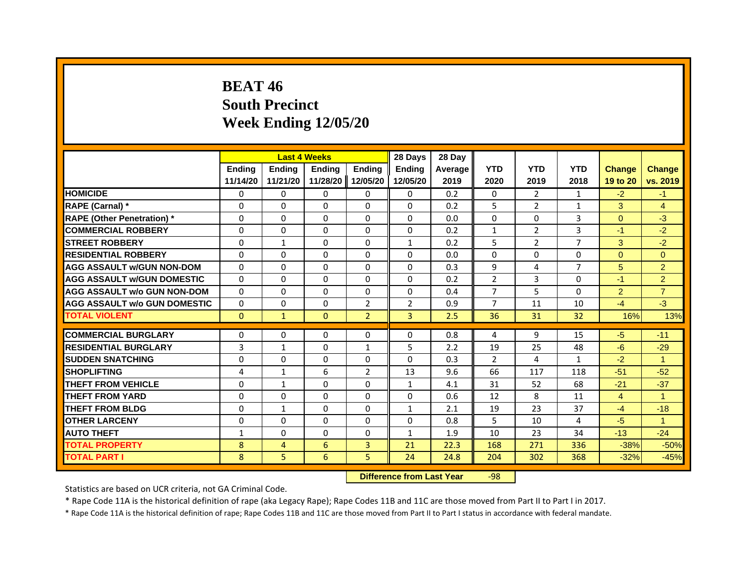## **BEAT 46South Precinct Week Ending 12/05/20**

|                                     |               | <b>Last 4 Weeks</b> |               |                   | 28 Days        | 28 Day  |                |                |                |                |                      |
|-------------------------------------|---------------|---------------------|---------------|-------------------|----------------|---------|----------------|----------------|----------------|----------------|----------------------|
|                                     | <b>Ending</b> | <b>Endina</b>       | <b>Endina</b> | <b>Ending</b>     | <b>Ending</b>  | Average | <b>YTD</b>     | <b>YTD</b>     | <b>YTD</b>     | <b>Change</b>  | <b>Change</b>        |
|                                     | 11/14/20      | 11/21/20            |               | 11/28/20 12/05/20 | 12/05/20       | 2019    | 2020           | 2019           | 2018           | 19 to 20       | vs. 2019             |
| <b>HOMICIDE</b>                     | $\Omega$      | $\Omega$            | $\Omega$      | 0                 | 0              | 0.2     | $\mathbf{0}$   | 2              | 1              | $-2$           | $-1$                 |
| RAPE (Carnal) *                     | $\Omega$      | $\Omega$            | $\Omega$      | $\Omega$          | $\Omega$       | 0.2     | 5              | $\overline{2}$ | $\mathbf{1}$   | 3              | $\overline{4}$       |
| <b>RAPE (Other Penetration)</b> *   | 0             | 0                   | 0             | 0                 | 0              | 0.0     | $\mathbf{0}$   | $\mathbf{0}$   | 3              | $\Omega$       | $-3$                 |
| <b>COMMERCIAL ROBBERY</b>           | 0             | $\Omega$            | 0             | 0                 | 0              | 0.2     | $\mathbf{1}$   | $\overline{2}$ | 3              | $-1$           | $-2$                 |
| <b>STREET ROBBERY</b>               | $\Omega$      | 1                   | $\Omega$      | 0                 | $\mathbf{1}$   | 0.2     | 5              | $\overline{2}$ | $\overline{7}$ | 3              | $-2$                 |
| <b>RESIDENTIAL ROBBERY</b>          | $\Omega$      | $\Omega$            | $\Omega$      | $\Omega$          | $\Omega$       | 0.0     | $\Omega$       | $\Omega$       | 0              | $\Omega$       | $\Omega$             |
| <b>AGG ASSAULT w/GUN NON-DOM</b>    | $\Omega$      | $\Omega$            | $\Omega$      | $\Omega$          | $\Omega$       | 0.3     | 9              | 4              | $\overline{7}$ | 5              | $\overline{2}$       |
| <b>AGG ASSAULT W/GUN DOMESTIC</b>   | $\Omega$      | $\Omega$            | $\Omega$      | $\Omega$          | $\Omega$       | 0.2     | $\overline{2}$ | 3              | $\Omega$       | $-1$           | $\overline{2}$       |
| <b>AGG ASSAULT w/o GUN NON-DOM</b>  | $\Omega$      | $\Omega$            | $\Omega$      | 0                 | $\Omega$       | 0.4     | 7              | 5              | $\Omega$       | $\overline{2}$ | $\overline{7}$       |
| <b>AGG ASSAULT W/o GUN DOMESTIC</b> | $\Omega$      | 0                   | 0             | $\overline{2}$    | $\overline{2}$ | 0.9     | $\overline{7}$ | 11             | 10             | $-4$           | $-3$                 |
| <b>TOTAL VIOLENT</b>                | $\mathbf{0}$  | $\mathbf{1}$        | $\mathbf{0}$  | $\overline{2}$    | 3              | 2.5     | 36             | 31             | 32             | 16%            | 13%                  |
|                                     |               |                     |               |                   |                |         |                |                |                |                |                      |
| <b>COMMERCIAL BURGLARY</b>          | 0             | 0                   | $\Omega$      | 0                 | $\Omega$       | 0.8     | 4              | 9              | 15             | $-5$           | $-11$                |
| <b>RESIDENTIAL BURGLARY</b>         | 3             | $\mathbf{1}$        | $\Omega$      | $\mathbf{1}$      | 5              | 2.2     | 19             | 25             | 48             | $-6$           | $-29$                |
| <b>SUDDEN SNATCHING</b>             | 0             | 0                   | 0             | 0                 | 0              | 0.3     | 2              | 4              | 1              | $-2$           | $\blacktriangleleft$ |
| <b>SHOPLIFTING</b>                  | 4             | $\mathbf 1$         | 6             | $\overline{2}$    | 13             | 9.6     | 66             | 117            | 118            | $-51$          | $-52$                |
| <b>THEFT FROM VEHICLE</b>           | $\Omega$      | $\mathbf{1}$        | $\Omega$      | $\Omega$          | $\mathbf{1}$   | 4.1     | 31             | 52             | 68             | $-21$          | $-37$                |
| <b>THEFT FROM YARD</b>              | $\Omega$      | $\Omega$            | $\Omega$      | $\Omega$          | $\Omega$       | 0.6     | 12             | 8              | 11             | $\overline{4}$ | $\blacktriangleleft$ |
| <b>THEFT FROM BLDG</b>              | $\Omega$      | $\mathbf{1}$        | $\Omega$      | 0                 | $\mathbf{1}$   | 2.1     | 19             | 23             | 37             | $-4$           | $-18$                |
| <b>OTHER LARCENY</b>                | $\Omega$      | $\Omega$            | $\Omega$      | $\Omega$          | $\Omega$       | 0.8     | 5              | 10             | 4              | $-5$           | $\blacktriangleleft$ |
| <b>AUTO THEFT</b>                   | $\mathbf{1}$  | $\Omega$            | $\Omega$      | $\Omega$          | $\mathbf{1}$   | 1.9     | 10             | 23             | 34             | $-13$          | $-24$                |
| <b>TOTAL PROPERTY</b>               | 8             | 4                   | 6             | 3                 | 21             | 22.3    | 168            | 271            | 336            | $-38%$         | $-50%$               |
| <b>TOTAL PART I</b>                 | 8             | 5.                  | 6             | 5.                | 24             | 24.8    | 204            | 302            | 368            | $-32%$         | $-45%$               |

 **Difference from Last Year**r -98

Statistics are based on UCR criteria, not GA Criminal Code.

\* Rape Code 11A is the historical definition of rape (aka Legacy Rape); Rape Codes 11B and 11C are those moved from Part II to Part I in 2017.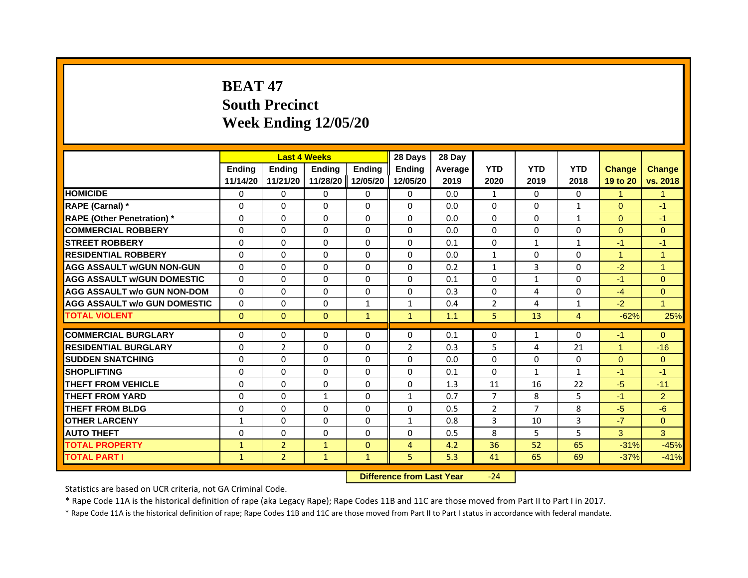# **BEAT 47South Precinct Week Ending 12/05/20**

|                                     |               | <b>Last 4 Weeks</b> |               |               | 28 Days        | 28 Day  |                |                |                |                |                |
|-------------------------------------|---------------|---------------------|---------------|---------------|----------------|---------|----------------|----------------|----------------|----------------|----------------|
|                                     | <b>Ending</b> | <b>Endina</b>       | <b>Endina</b> | <b>Ending</b> | <b>Endina</b>  | Average | <b>YTD</b>     | <b>YTD</b>     | <b>YTD</b>     | <b>Change</b>  | <b>Change</b>  |
|                                     | 11/14/20      | 11/21/20            | 11/28/20      | 12/05/20      | 12/05/20       | 2019    | 2020           | 2019           | 2018           | 19 to 20       | vs. 2018       |
| <b>HOMICIDE</b>                     | 0             | $\Omega$            | $\Omega$      | 0             | 0              | 0.0     | $\mathbf{1}$   | 0              | 0              | 1              | 1              |
| RAPE (Carnal) *                     | $\Omega$      | $\Omega$            | $\Omega$      | $\Omega$      | $\Omega$       | 0.0     | $\Omega$       | $\Omega$       | $\mathbf{1}$   | $\Omega$       | $-1$           |
| <b>RAPE (Other Penetration)</b> *   | 0             | 0                   | 0             | 0             | 0              | 0.0     | $\Omega$       | 0              | $\mathbf{1}$   | $\Omega$       | $-1$           |
| <b>COMMERCIAL ROBBERY</b>           | $\Omega$      | $\Omega$            | $\Omega$      | $\Omega$      | $\Omega$       | 0.0     | $\Omega$       | 0              | $\Omega$       | $\Omega$       | $\Omega$       |
| <b>STREET ROBBERY</b>               | $\Omega$      | $\Omega$            | $\Omega$      | $\Omega$      | $\Omega$       | 0.1     | $\Omega$       | $\mathbf{1}$   | $\mathbf{1}$   | $-1$           | $-1$           |
| <b>RESIDENTIAL ROBBERY</b>          | $\Omega$      | $\Omega$            | $\Omega$      | $\Omega$      | $\Omega$       | 0.0     | $\mathbf{1}$   | $\Omega$       | $\Omega$       | $\overline{1}$ | $\overline{1}$ |
| <b>AGG ASSAULT w/GUN NON-GUN</b>    | $\Omega$      | $\Omega$            | $\Omega$      | $\Omega$      | $\Omega$       | 0.2     | $\mathbf{1}$   | $\overline{3}$ | $\Omega$       | $-2$           | $\overline{1}$ |
| <b>AGG ASSAULT W/GUN DOMESTIC</b>   | $\Omega$      | $\Omega$            | $\Omega$      | $\Omega$      | $\Omega$       | 0.1     | $\Omega$       | $\mathbf{1}$   | $\Omega$       | $-1$           | $\Omega$       |
| <b>AGG ASSAULT w/o GUN NON-DOM</b>  | $\Omega$      | $\Omega$            | $\Omega$      | $\Omega$      | $\Omega$       | 0.3     | $\Omega$       | 4              | $\Omega$       | $-4$           | $\overline{0}$ |
| <b>AGG ASSAULT W/o GUN DOMESTIC</b> | $\Omega$      | 0                   | $\Omega$      | $\mathbf{1}$  | $\mathbf{1}$   | 0.4     | $\overline{2}$ | 4              | 1              | $-2$           | $\mathbf{1}$   |
| <b>TOTAL VIOLENT</b>                | $\mathbf{0}$  | $\mathbf{0}$        | $\mathbf{0}$  | $\mathbf{1}$  | $\mathbf{1}$   | 1.1     | 5              | 13             | $\overline{4}$ | $-62%$         | 25%            |
|                                     |               |                     |               |               |                |         |                |                |                |                |                |
| <b>COMMERCIAL BURGLARY</b>          | 0             | 0                   | 0             | 0             | $\Omega$       | 0.1     | $\Omega$       | 1              | $\Omega$       | $-1$           | $\overline{0}$ |
| <b>RESIDENTIAL BURGLARY</b>         | $\Omega$      | $\overline{2}$      | $\Omega$      | $\Omega$      | $\overline{2}$ | 0.3     | 5              | 4              | 21             | 1              | $-16$          |
| <b>SUDDEN SNATCHING</b>             | 0             | 0                   | 0             | 0             | 0              | 0.0     | 0              | 0              | 0              | $\Omega$       | $\Omega$       |
| <b>SHOPLIFTING</b>                  | $\Omega$      | $\Omega$            | $\Omega$      | $\Omega$      | $\Omega$       | 0.1     | $\Omega$       | $\mathbf{1}$   | $\mathbf{1}$   | $-1$           | $-1$           |
| <b>THEFT FROM VEHICLE</b>           | $\Omega$      | $\Omega$            | $\Omega$      | $\Omega$      | $\Omega$       | 1.3     | 11             | 16             | 22             | $-5$           | $-11$          |
| <b>THEFT FROM YARD</b>              | $\Omega$      | $\Omega$            | $\mathbf{1}$  | $\Omega$      | $\mathbf{1}$   | 0.7     | $\overline{7}$ | 8              | 5              | $-1$           | $\overline{2}$ |
| <b>THEFT FROM BLDG</b>              | $\Omega$      | $\Omega$            | $\Omega$      | $\Omega$      | $\Omega$       | 0.5     | $\overline{2}$ | $\overline{7}$ | 8              | $-5$           | $-6$           |
| <b>OTHER LARCENY</b>                | $\mathbf{1}$  | $\Omega$            | $\Omega$      | $\Omega$      | $\mathbf{1}$   | 0.8     | 3              | 10             | 3              | $-7$           | $\Omega$       |
| <b>AUTO THEFT</b>                   | $\Omega$      | $\Omega$            | $\Omega$      | $\Omega$      | $\Omega$       | 0.5     | 8              | 5              | 5              | 3              | 3              |
| <b>TOTAL PROPERTY</b>               | $\mathbf{1}$  | $\overline{2}$      | $\mathbf{1}$  | $\mathbf{0}$  | 4              | 4.2     | 36             | 52             | 65             | $-31%$         | $-45%$         |
| <b>TOTAL PART I</b>                 | $\mathbf{1}$  | $\overline{2}$      | $\mathbf{1}$  | $\mathbf{1}$  | 5              | 5.3     | 41             | 65             | 69             | $-37%$         | $-41%$         |

 **Difference from Last Year**‐24

Statistics are based on UCR criteria, not GA Criminal Code.

\* Rape Code 11A is the historical definition of rape (aka Legacy Rape); Rape Codes 11B and 11C are those moved from Part II to Part I in 2017.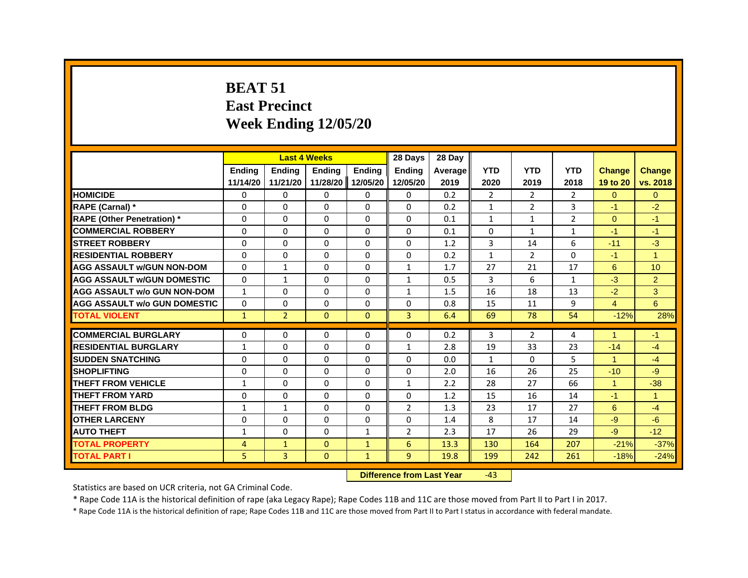#### **BEAT 51East Precinct Week Ending 12/05/20**

|                                     |                     |                | <b>Last 4 Weeks</b> |               | 28 Days        | 28 Day                  |              |                |                |                      |                |
|-------------------------------------|---------------------|----------------|---------------------|---------------|----------------|-------------------------|--------------|----------------|----------------|----------------------|----------------|
|                                     | <b>Ending</b>       | <b>Endina</b>  | <b>Endina</b>       | <b>Ending</b> | <b>Endina</b>  | Average                 | <b>YTD</b>   | <b>YTD</b>     | <b>YTD</b>     | <b>Change</b>        | <b>Change</b>  |
|                                     | 11/14/20            | 11/21/20       | 11/28/20            | 12/05/20      | 12/05/20       | 2019                    | 2020         | 2019           | 2018           | 19 to 20             | vs. 2018       |
| <b>HOMICIDE</b>                     | $\mathbf{0}$        | $\Omega$       | $\Omega$            | $\mathbf{0}$  | $\Omega$       | 0.2                     | 2            | $\overline{2}$ | $\overline{2}$ | $\Omega$             | $\Omega$       |
| RAPE (Carnal) *                     | $\Omega$            | 0              | $\Omega$            | $\Omega$      | $\Omega$       | 0.2                     | $\mathbf{1}$ | $\overline{2}$ | 3              | $-1$                 | $-2$           |
| <b>RAPE (Other Penetration)*</b>    | 0                   | 0              | 0                   | $\Omega$      | $\Omega$       | 0.1                     | $\mathbf{1}$ | $\mathbf{1}$   | $\overline{2}$ | $\Omega$             | $-1$           |
| <b>COMMERCIAL ROBBERY</b>           | $\Omega$            | $\Omega$       | $\Omega$            | $\Omega$      | $\Omega$       | 0.1                     | 0            | $\mathbf{1}$   | $\mathbf{1}$   | $-1$                 | $-1$           |
| <b>STREET ROBBERY</b>               | $\Omega$            | $\Omega$       | $\Omega$            | $\Omega$      | $\Omega$       | 1.2                     | 3            | 14             | 6              | $-11$                | $-3$           |
| <b>RESIDENTIAL ROBBERY</b>          | $\Omega$            | 0              | $\Omega$            | $\Omega$      | $\Omega$       | 0.2                     | 1            | $\overline{2}$ | $\Omega$       | $-1$                 | $\overline{1}$ |
| <b>AGG ASSAULT W/GUN NON-DOM</b>    | $\Omega$            | $\mathbf{1}$   | 0                   | $\Omega$      | 1              | 1.7                     | 27           | 21             | 17             | 6                    | 10             |
| <b>AGG ASSAULT W/GUN DOMESTIC</b>   | $\Omega$            | $\mathbf{1}$   | $\Omega$            | $\Omega$      | $\mathbf{1}$   | 0.5                     | 3            | 6              | $\mathbf{1}$   | $-3$                 | $\overline{2}$ |
| <b>AGG ASSAULT w/o GUN NON-DOM</b>  | $\mathbf{1}$        | $\Omega$       | $\Omega$            | $\Omega$      | $\mathbf{1}$   | 1.5                     | 16           | 18             | 13             | $-2$                 | 3              |
| <b>AGG ASSAULT W/o GUN DOMESTIC</b> | $\Omega$            | $\Omega$       | $\Omega$            | $\Omega$      | $\Omega$       | 0.8                     | 15           | 11             | 9              | $\overline{4}$       | 6              |
| <b>TOTAL VIOLENT</b>                | $\mathbf{1}$        | $\overline{2}$ | $\mathbf{0}$        | $\mathbf{0}$  | 3              | 6.4                     | 69           | 78             | 54             | $-12%$               | 28%            |
| <b>COMMERCIAL BURGLARY</b>          | $\Omega$            | 0              | 0                   | $\Omega$      | $\Omega$       | 0.2                     | 3            | $\overline{2}$ | 4              | $\blacktriangleleft$ | $-1$           |
| <b>RESIDENTIAL BURGLARY</b>         | $\mathbf{1}$        | $\Omega$       | $\Omega$            | $\Omega$      | $\mathbf{1}$   | 2.8                     | 19           | 33             | 23             | $-14$                | $-4$           |
| <b>SUDDEN SNATCHING</b>             | 0                   | 0              | 0                   | $\Omega$      | $\Omega$       | 0.0                     | $\mathbf{1}$ | 0              | 5              | $\blacktriangleleft$ | $-4$           |
| <b>SHOPLIFTING</b>                  | 0                   | 0              | $\Omega$            | $\Omega$      | $\Omega$       | 2.0                     | 16           | 26             | 25             | $-10$                | $-9$           |
| <b>THEFT FROM VEHICLE</b>           | $\mathbf{1}$        | $\Omega$       | $\Omega$            | $\Omega$      | $\mathbf{1}$   | 2.2                     | 28           | 27             | 66             | $\mathbf{1}$         | $-38$          |
| <b>THEFT FROM YARD</b>              | $\Omega$            | $\Omega$       | $\Omega$            | $\Omega$      | $\Omega$       | 1.2                     | 15           | 16             | 14             | $-1$                 | $\overline{1}$ |
| <b>THEFT FROM BLDG</b>              | $\mathbf{1}$        | $\mathbf{1}$   | $\Omega$            | $\Omega$      | $\overline{2}$ | 1.3                     | 23           | 17             | 27             | 6                    | $-4$           |
| <b>OTHER LARCENY</b>                | $\Omega$            | $\Omega$       | $\Omega$            | $\Omega$      | 0              | 1.4                     | 8            | 17             | 14             | $-9$                 | $-6$           |
| <b>AUTO THEFT</b>                   | $\mathbf{1}$        | 0              | 0                   | $\mathbf{1}$  | $\overline{2}$ | 2.3                     | 17           | 26             | 29             | $-9$                 | $-12$          |
| <b>TOTAL PROPERTY</b>               | 4                   | $\mathbf{1}$   | $\mathbf{0}$        | $\mathbf{1}$  | 6              | 13.3                    | 130          | 164            | 207            | $-21%$               | $-37%$         |
| <b>TOTAL PART I</b>                 | 5                   | 3              | $\mathbf{0}$        | $\mathbf{1}$  | $\overline{9}$ | 19.8                    | 199          | 242            | 261            | $-18%$               | $-24%$         |
|                                     | <b>INSTERNATION</b> |                |                     |               |                | a a dheanna 1 a an Mara | $\sim$       |                |                |                      |                |

 **Difference from Last Year**‐43

Statistics are based on UCR criteria, not GA Criminal Code.

\* Rape Code 11A is the historical definition of rape (aka Legacy Rape); Rape Codes 11B and 11C are those moved from Part II to Part I in 2017.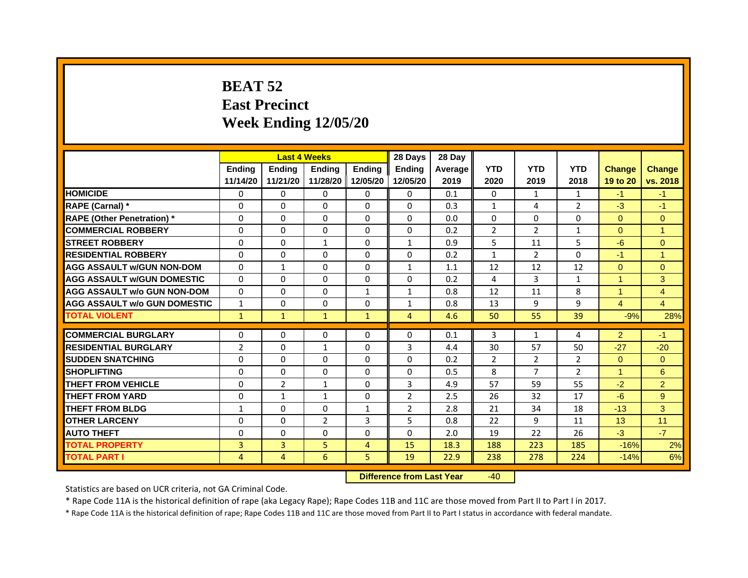# **BEAT 52East Precinct Week Ending 12/05/20**

|                                     |                | <b>Last 4 Weeks</b> |                |               | 28 Days        | 28 Day  |                |                |                |                      |                |
|-------------------------------------|----------------|---------------------|----------------|---------------|----------------|---------|----------------|----------------|----------------|----------------------|----------------|
|                                     | <b>Endina</b>  | <b>Ending</b>       | <b>Endina</b>  | <b>Endina</b> | <b>Endina</b>  | Average | <b>YTD</b>     | <b>YTD</b>     | <b>YTD</b>     | <b>Change</b>        | <b>Change</b>  |
|                                     | 11/14/20       | 11/21/20            | 11/28/20       | 12/05/20      | 12/05/20       | 2019    | 2020           | 2019           | 2018           | 19 to 20             | vs. 2018       |
| <b>HOMICIDE</b>                     | $\mathbf{0}$   | 0                   | $\Omega$       | 0             | 0              | 0.1     | $\Omega$       | $\mathbf{1}$   | $\mathbf{1}$   | $-1$                 | $-1$           |
| RAPE (Carnal) *                     | $\Omega$       | $\Omega$            | $\Omega$       | $\mathbf{0}$  | $\mathbf{0}$   | 0.3     | $\mathbf{1}$   | 4              | $\overline{2}$ | $-3$                 | $-1$           |
| <b>RAPE (Other Penetration)*</b>    | 0              | $\mathbf{0}$        | $\Omega$       | $\mathbf{0}$  | $\Omega$       | 0.0     | $\Omega$       | $\Omega$       | $\Omega$       | $\Omega$             | $\Omega$       |
| <b>COMMERCIAL ROBBERY</b>           | 0              | 0                   | $\Omega$       | 0             | $\Omega$       | 0.2     | $\overline{2}$ | $\overline{2}$ | 1              | $\Omega$             | 1              |
| <b>STREET ROBBERY</b>               | 0              | 0                   | $\mathbf{1}$   | $\mathbf{0}$  | $\mathbf{1}$   | 0.9     | 5              | 11             | 5              | $-6$                 | $\Omega$       |
| <b>RESIDENTIAL ROBBERY</b>          | 0              | $\Omega$            | 0              | $\Omega$      | 0              | 0.2     | $\mathbf{1}$   | 2              | $\Omega$       | $-1$                 | 1              |
| <b>AGG ASSAULT w/GUN NON-DOM</b>    | $\Omega$       | $\mathbf{1}$        | $\Omega$       | $\mathbf{0}$  | $\mathbf{1}$   | 1.1     | 12             | 12             | 12             | $\Omega$             | $\overline{0}$ |
| <b>AGG ASSAULT W/GUN DOMESTIC</b>   | $\Omega$       | 0                   | $\Omega$       | 0             | $\Omega$       | 0.2     | 4              | 3              | $\mathbf{1}$   | $\blacktriangleleft$ | 3              |
| <b>AGG ASSAULT w/o GUN NON-DOM</b>  | $\Omega$       | 0                   | $\Omega$       | $\mathbf{1}$  | $\mathbf{1}$   | 0.8     | 12             | 11             | 8              | 1                    | 4              |
| <b>AGG ASSAULT w/o GUN DOMESTIC</b> | $\mathbf{1}$   | 0                   | 0              | 0             | $\mathbf{1}$   | 0.8     | 13             | 9              | 9              | $\overline{4}$       | 4              |
| <b>TOTAL VIOLENT</b>                | $\mathbf{1}$   | 1                   | $\mathbf{1}$   | $\mathbf{1}$  | 4              | 4.6     | 50             | 55             | 39             | $-9%$                | 28%            |
|                                     |                |                     |                |               |                |         |                |                |                |                      |                |
| <b>COMMERCIAL BURGLARY</b>          | 0              | 0                   | 0              | 0             | 0              | 0.1     | 3              | $\mathbf{1}$   | 4              | $\overline{2}$       | $-1$           |
| <b>RESIDENTIAL BURGLARY</b>         | $\overline{2}$ | 0                   | $\mathbf{1}$   | 0             | 3              | 4.4     | 30             | 57             | 50             | $-27$                | $-20$          |
| <b>SUDDEN SNATCHING</b>             | 0              | $\Omega$            | $\Omega$       | $\Omega$      | $\Omega$       | 0.2     | $\overline{2}$ | 2              | $\overline{2}$ | $\Omega$             | $\Omega$       |
| <b>SHOPLIFTING</b>                  | $\Omega$       | $\Omega$            | $\Omega$       | $\mathbf{0}$  | $\Omega$       | 0.5     | 8              | $\overline{7}$ | $\overline{2}$ | 1                    | 6              |
| THEFT FROM VEHICLE                  | $\Omega$       | $\overline{2}$      | $\mathbf{1}$   | 0             | 3              | 4.9     | 57             | 59             | 55             | $-2$                 | 2              |
| <b>THEFT FROM YARD</b>              | 0              | 1                   | $\mathbf{1}$   | $\Omega$      | $\overline{2}$ | 2.5     | 26             | 32             | 17             | $-6$                 | 9              |
| <b>THEFT FROM BLDG</b>              | $\mathbf{1}$   | $\Omega$            | 0              | $\mathbf{1}$  | $\overline{2}$ | 2.8     | 21             | 34             | 18             | $-13$                | 3              |
| <b>OTHER LARCENY</b>                | 0              | $\Omega$            | $\overline{2}$ | 3             | 5              | 0.8     | 22             | 9              | 11             | 13                   | 11             |
| <b>AUTO THEFT</b>                   | $\Omega$       | $\Omega$            | $\Omega$       | $\Omega$      | $\Omega$       | 2.0     | 19             | 22             | 26             | $-3$                 | $-7$           |
| <b>TOTAL PROPERTY</b>               | 3              | 3                   | 5              | 4             | 15             | 18.3    | 188            | 223            | 185            | $-16%$               | 2%             |
| <b>TOTAL PART I</b>                 | 4              | 4                   | 6              | 5.            | 19             | 22.9    | 238            | 278            | 224            | $-14%$               | 6%             |

 **Difference from Last Year**r -40

Statistics are based on UCR criteria, not GA Criminal Code.

\* Rape Code 11A is the historical definition of rape (aka Legacy Rape); Rape Codes 11B and 11C are those moved from Part II to Part I in 2017.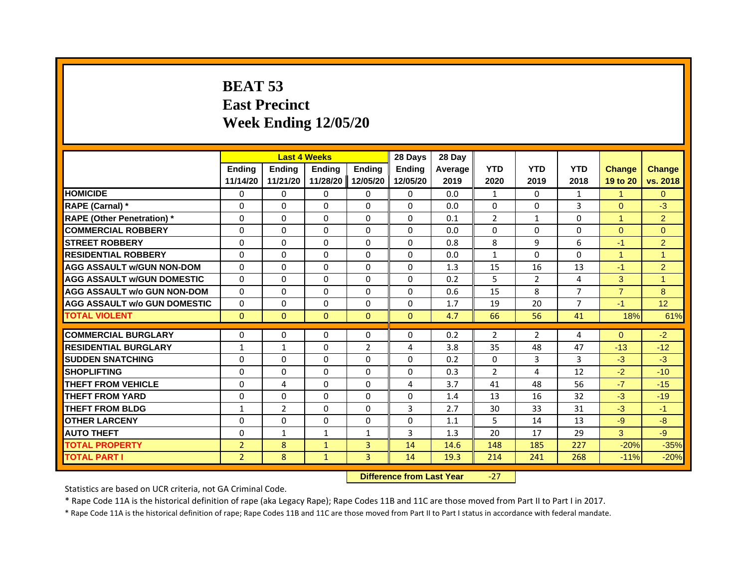# **BEAT 53East Precinct Week Ending 12/05/20**

|                                     |                |              | <b>Last 4 Weeks</b> |                | 28 Days      | 28 Day  |                |                |                |                |                |
|-------------------------------------|----------------|--------------|---------------------|----------------|--------------|---------|----------------|----------------|----------------|----------------|----------------|
|                                     | <b>Endina</b>  | Ending       | <b>Ending</b>       | Ending         | Ending       | Average | <b>YTD</b>     | <b>YTD</b>     | <b>YTD</b>     | <b>Change</b>  | <b>Change</b>  |
|                                     | 11/14/20       | 11/21/20     | 11/28/20            | 12/05/20       | 12/05/20     | 2019    | 2020           | 2019           | 2018           | 19 to 20       | vs. 2018       |
| <b>HOMICIDE</b>                     | 0              | 0            | $\mathbf{0}$        | 0              | 0            | 0.0     | $\mathbf{1}$   | $\Omega$       | $\mathbf{1}$   | $\mathbf{1}$   | $\Omega$       |
| RAPE (Carnal) *                     | $\Omega$       | $\Omega$     | $\Omega$            | $\Omega$       | $\Omega$     | 0.0     | $\Omega$       | $\Omega$       | 3              | $\Omega$       | $-3$           |
| <b>RAPE (Other Penetration)</b> *   | 0              | 0            | 0                   | 0              | $\Omega$     | 0.1     | $\overline{2}$ | $\mathbf{1}$   | 0              | 1              | $\overline{2}$ |
| <b>COMMERCIAL ROBBERY</b>           | $\Omega$       | $\Omega$     | 0                   | $\Omega$       | $\Omega$     | 0.0     | $\Omega$       | $\Omega$       | 0              | $\Omega$       | $\Omega$       |
| <b>STREET ROBBERY</b>               | $\Omega$       | $\Omega$     | $\Omega$            | $\Omega$       | $\Omega$     | 0.8     | 8              | 9              | 6              | $-1$           | $\overline{2}$ |
| <b>RESIDENTIAL ROBBERY</b>          | $\Omega$       | $\Omega$     | $\Omega$            | $\Omega$       | $\Omega$     | 0.0     | $\mathbf{1}$   | $\mathbf{0}$   | 0              | 1              | $\overline{1}$ |
| <b>AGG ASSAULT w/GUN NON-DOM</b>    | $\Omega$       | $\Omega$     | $\Omega$            | $\Omega$       | $\Omega$     | 1.3     | 15             | 16             | 13             | $-1$           | $\overline{2}$ |
| <b>AGG ASSAULT W/GUN DOMESTIC</b>   | 0              | 0            | $\Omega$            | 0              | 0            | 0.2     | 5              | 2              | 4              | 3              | 1              |
| <b>AGG ASSAULT w/o GUN NON-DOM</b>  | $\Omega$       | $\Omega$     | 0                   | $\Omega$       | $\Omega$     | 0.6     | 15             | 8              | $\overline{7}$ | $\overline{7}$ | 8              |
| <b>AGG ASSAULT W/o GUN DOMESTIC</b> | $\Omega$       | $\Omega$     | $\Omega$            | $\Omega$       | $\Omega$     | 1.7     | 19             | 20             | $\overline{7}$ | $-1$           | 12             |
| <b>TOTAL VIOLENT</b>                | $\mathbf{0}$   | $\mathbf 0$  | $\mathbf{0}$        | $\mathbf{0}$   | $\mathbf{0}$ | 4.7     | 66             | 56             | 41             | 18%            | 61%            |
|                                     |                |              |                     |                |              |         |                |                |                |                |                |
| <b>COMMERCIAL BURGLARY</b>          | 0              | 0            | 0                   | 0              | 0            | 0.2     | $\overline{2}$ | $\overline{2}$ | 4              | $\Omega$       | $-2$           |
| <b>RESIDENTIAL BURGLARY</b>         | $\mathbf{1}$   | $\mathbf{1}$ | 0                   | $\overline{2}$ | 4            | 3.8     | 35             | 48             | 47             | $-13$          | $-12$          |
| <b>SUDDEN SNATCHING</b>             | $\Omega$       | $\Omega$     | $\Omega$            | $\Omega$       | $\Omega$     | 0.2     | $\Omega$       | 3              | 3              | $-3$           | $-3$           |
| <b>SHOPLIFTING</b>                  | $\Omega$       | $\Omega$     | $\Omega$            | $\Omega$       | $\Omega$     | 0.3     | $\overline{2}$ | 4              | 12             | $-2$           | $-10$          |
| <b>THEFT FROM VEHICLE</b>           | 0              | 4            | $\Omega$            | 0              | 4            | 3.7     | 41             | 48             | 56             | $-7$           | $-15$          |
| <b>THEFT FROM YARD</b>              | 0              | $\Omega$     | 0                   | $\Omega$       | $\Omega$     | 1.4     | 13             | 16             | 32             | $-3$           | $-19$          |
| <b>THEFT FROM BLDG</b>              | $\mathbf{1}$   | 2            | $\Omega$            | $\Omega$       | 3            | 2.7     | 30             | 33             | 31             | $-3$           | $-1$           |
| <b>OTHER LARCENY</b>                | 0              | 0            | $\Omega$            | $\Omega$       | 0            | 1.1     | 5              | 14             | 13             | $-9$           | $-8$           |
| <b>AUTO THEFT</b>                   | $\Omega$       | $\mathbf{1}$ | $\mathbf{1}$        | $\mathbf{1}$   | 3            | 1.3     | 20             | 17             | 29             | 3              | $-9$           |
| <b>TOTAL PROPERTY</b>               | $\overline{2}$ | 8            | $\mathbf{1}$        | 3              | 14           | 14.6    | 148            | 185            | 227            | $-20%$         | $-35%$         |
| <b>TOTAL PART I</b>                 | $\overline{2}$ | 8            | $\mathbf{1}$        | 3              | 14           | 19.3    | 214            | 241            | 268            | $-11%$         | $-20%$         |

 **Difference from Last Year**‐27

Statistics are based on UCR criteria, not GA Criminal Code.

\* Rape Code 11A is the historical definition of rape (aka Legacy Rape); Rape Codes 11B and 11C are those moved from Part II to Part I in 2017.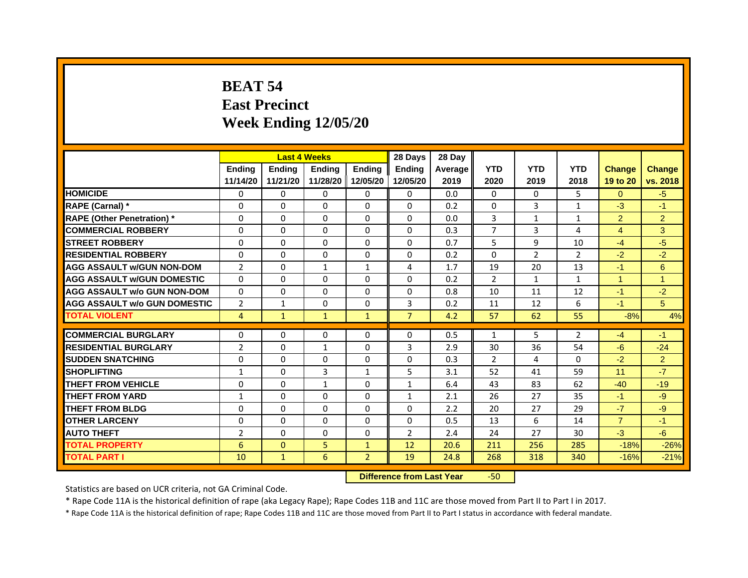# **BEAT 54East Precinct Week Ending 12/05/20**

|                                    |                | <b>Last 4 Weeks</b> |               |                | 28 Days        | 28 Day  |                |                |                |                      |                |
|------------------------------------|----------------|---------------------|---------------|----------------|----------------|---------|----------------|----------------|----------------|----------------------|----------------|
|                                    | <b>Endina</b>  | <b>Ending</b>       | <b>Endina</b> | <b>Endina</b>  | <b>Endina</b>  | Average | <b>YTD</b>     | <b>YTD</b>     | <b>YTD</b>     | <b>Change</b>        | <b>Change</b>  |
|                                    | 11/14/20       | 11/21/20            | 11/28/20      | 12/05/20       | 12/05/20       | 2019    | 2020           | 2019           | 2018           | 19 to 20             | vs. 2018       |
| <b>HOMICIDE</b>                    | $\Omega$       | 0                   | $\Omega$      | 0              | 0              | 0.0     | $\Omega$       | $\Omega$       | 5              | $\Omega$             | $-5$           |
| RAPE (Carnal) *                    | $\Omega$       | $\Omega$            | $\Omega$      | $\mathbf{0}$   | $\mathbf{0}$   | 0.2     | $\Omega$       | $\overline{3}$ | $\mathbf{1}$   | $-3$                 | $-1$           |
| <b>RAPE (Other Penetration)*</b>   | 0              | $\Omega$            | $\Omega$      | $\mathbf{0}$   | $\Omega$       | 0.0     | 3              | $\mathbf{1}$   | $\mathbf{1}$   | $\overline{2}$       | 2              |
| <b>COMMERCIAL ROBBERY</b>          | 0              | 0                   | $\Omega$      | 0              | $\Omega$       | 0.3     | 7              | 3              | 4              | $\overline{4}$       | 3              |
| <b>STREET ROBBERY</b>              | 0              | 0                   | 0             | $\mathbf{0}$   | 0              | 0.7     | 5              | 9              | 10             | $-4$                 | $-5$           |
| <b>RESIDENTIAL ROBBERY</b>         | 0              | $\Omega$            | 0             | $\Omega$       | $\Omega$       | 0.2     | $\Omega$       | 2              | $\overline{2}$ | $-2$                 | $-2$           |
| <b>AGG ASSAULT w/GUN NON-DOM</b>   | $\overline{2}$ | $\Omega$            | $\mathbf{1}$  | $\mathbf{1}$   | 4              | 1.7     | 19             | 20             | 13             | $-1$                 | $6\phantom{1}$ |
| <b>AGG ASSAULT W/GUN DOMESTIC</b>  | 0              | 0                   | $\Omega$      | 0              | $\Omega$       | 0.2     | 2              | $\mathbf{1}$   | $\mathbf{1}$   | $\blacktriangleleft$ | 1              |
| <b>AGG ASSAULT w/o GUN NON-DOM</b> | $\Omega$       | 0                   | $\Omega$      | $\Omega$       | $\Omega$       | 0.8     | 10             | 11             | 12             | $-1$                 | $-2$           |
| AGG ASSAULT W/o GUN DOMESTIC       | $\overline{2}$ | 1                   | $\Omega$      | 0              | 3              | 0.2     | 11             | 12             | 6              | $-1$                 | 5              |
| <b>TOTAL VIOLENT</b>               | 4              | $\mathbf{1}$        | $\mathbf{1}$  | $\mathbf{1}$   | $\overline{7}$ | 4.2     | 57             | 62             | 55             | $-8%$                | 4%             |
|                                    |                |                     |               |                |                |         |                |                |                |                      |                |
| <b>COMMERCIAL BURGLARY</b>         | 0              | 0                   | 0             | 0              | 0              | 0.5     | $\mathbf{1}$   | 5              | 2              | $-4$                 | $-1$           |
| <b>RESIDENTIAL BURGLARY</b>        | $\overline{2}$ | 0                   | $\mathbf{1}$  | 0              | 3              | 2.9     | 30             | 36             | 54             | $-6$                 | $-24$          |
| <b>SUDDEN SNATCHING</b>            | 0              | $\Omega$            | $\Omega$      | $\Omega$       | $\Omega$       | 0.3     | $\overline{2}$ | 4              | $\Omega$       | $-2$                 | $\overline{2}$ |
| <b>SHOPLIFTING</b>                 | $\mathbf{1}$   | $\Omega$            | 3             | $\mathbf{1}$   | 5              | 3.1     | 52             | 41             | 59             | 11                   | $-7$           |
| THEFT FROM VEHICLE                 | $\Omega$       | $\Omega$            | $\mathbf{1}$  | 0              | $\mathbf{1}$   | 6.4     | 43             | 83             | 62             | $-40$                | $-19$          |
| <b>THEFT FROM YARD</b>             | 1              | 0                   | $\Omega$      | $\Omega$       | $\mathbf{1}$   | 2.1     | 26             | 27             | 35             | $-1$                 | $-9$           |
| <b>THEFT FROM BLDG</b>             | 0              | $\Omega$            | $\Omega$      | $\Omega$       | $\Omega$       | 2.2     | 20             | 27             | 29             | $-7$                 | $-9$           |
| <b>OTHER LARCENY</b>               | 0              | $\Omega$            | $\Omega$      | 0              | $\Omega$       | 0.5     | 13             | 6              | 14             | $\overline{7}$       | $-1$           |
| <b>AUTO THEFT</b>                  | $\overline{2}$ | $\Omega$            | $\Omega$      | $\mathbf{0}$   | $\overline{2}$ | 2.4     | 24             | 27             | 30             | $-3$                 | $-6$           |
| <b>TOTAL PROPERTY</b>              | 6              | $\mathbf{0}$        | 5             | $\mathbf{1}$   | 12             | 20.6    | 211            | 256            | 285            | $-18%$               | $-26%$         |
| <b>TOTAL PART I</b>                | 10             | $\mathbf{1}$        | 6             | $\overline{2}$ | 19             | 24.8    | 268            | 318            | 340            | $-16%$               | $-21%$         |

 **Difference from Last Year**r -50

Statistics are based on UCR criteria, not GA Criminal Code.

\* Rape Code 11A is the historical definition of rape (aka Legacy Rape); Rape Codes 11B and 11C are those moved from Part II to Part I in 2017.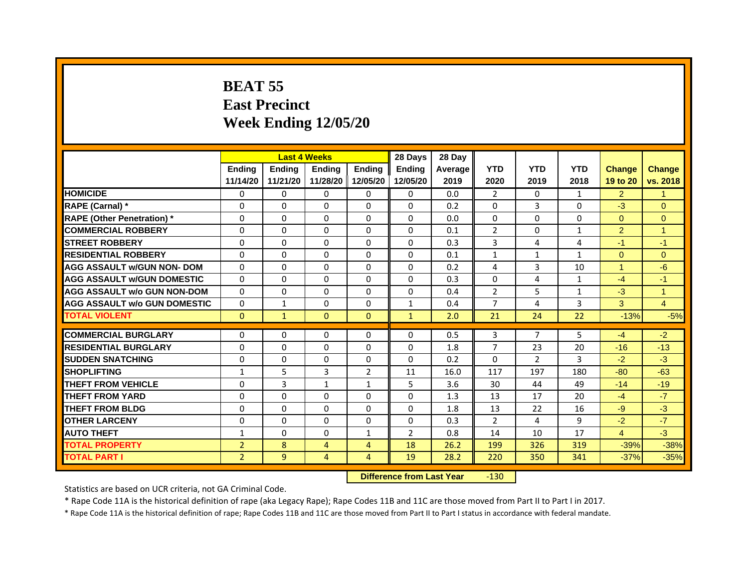# **BEAT 55East Precinct Week Ending 12/05/20**

|                                     |                |               | <b>Last 4 Weeks</b> |                | 28 Days        | 28 Day  |                |                |                |                |                |
|-------------------------------------|----------------|---------------|---------------------|----------------|----------------|---------|----------------|----------------|----------------|----------------|----------------|
|                                     | <b>Endina</b>  | <b>Endina</b> | <b>Endina</b>       | <b>Endina</b>  | <b>Endina</b>  | Average | <b>YTD</b>     | <b>YTD</b>     | <b>YTD</b>     | <b>Change</b>  | <b>Change</b>  |
|                                     | 11/14/20       | 11/21/20      | 11/28/20            | 12/05/20       | 12/05/20       | 2019    | 2020           | 2019           | 2018           | 19 to 20       | vs. 2018       |
| <b>HOMICIDE</b>                     | $\Omega$       | $\mathbf{0}$  | 0                   | $\mathbf{0}$   | 0              | 0.0     | $\overline{2}$ | 0              | $\mathbf{1}$   | $\overline{2}$ | $\mathbf{1}$   |
| RAPE (Carnal) *                     | $\Omega$       | $\Omega$      | $\Omega$            | $\Omega$       | $\Omega$       | 0.2     | $\Omega$       | 3              | $\Omega$       | $-3$           | $\Omega$       |
| <b>RAPE (Other Penetration)</b> *   | $\Omega$       | $\Omega$      | $\Omega$            | $\Omega$       | $\Omega$       | 0.0     | $\Omega$       | $\Omega$       | $\Omega$       | $\Omega$       | $\Omega$       |
| <b>COMMERCIAL ROBBERY</b>           | $\Omega$       | 0             | $\Omega$            | 0              | 0              | 0.1     | $\overline{2}$ | 0              | 1              | $\overline{2}$ | 1              |
| <b>STREET ROBBERY</b>               | $\Omega$       | $\Omega$      | $\Omega$            | $\Omega$       | $\Omega$       | 0.3     | 3              | 4              | $\overline{4}$ | $-1$           | $-1$           |
| <b>RESIDENTIAL ROBBERY</b>          | $\Omega$       | $\Omega$      | $\Omega$            | $\Omega$       | $\Omega$       | 0.1     | $\mathbf{1}$   | $\mathbf{1}$   | 1              | $\Omega$       | $\Omega$       |
| <b>AGG ASSAULT w/GUN NON- DOM</b>   | $\Omega$       | $\Omega$      | $\Omega$            | $\Omega$       | $\Omega$       | 0.2     | 4              | 3              | 10             | $\mathbf{1}$   | $-6$           |
| <b>AGG ASSAULT W/GUN DOMESTIC</b>   | $\Omega$       | $\Omega$      | $\Omega$            | $\Omega$       | $\Omega$       | 0.3     | $\Omega$       | 4              | $\mathbf{1}$   | $-4$           | $-1$           |
| <b>AGG ASSAULT w/o GUN NON-DOM</b>  | $\Omega$       | $\Omega$      | $\Omega$            | 0              | $\Omega$       | 0.4     | $\overline{2}$ | 5              | $\mathbf{1}$   | $-3$           | $\overline{1}$ |
| <b>AGG ASSAULT w/o GUN DOMESTIC</b> | $\Omega$       | 1             | $\Omega$            | $\Omega$       | 1              | 0.4     | $\overline{7}$ | 4              | 3              | 3              | $\overline{4}$ |
| <b>TOTAL VIOLENT</b>                | $\mathbf{0}$   | $\mathbf{1}$  | $\mathbf{0}$        | $\mathbf{0}$   | $\mathbf{1}$   | 2.0     | 21             | 24             | 22             | $-13%$         | $-5%$          |
|                                     |                |               |                     |                |                |         |                |                |                |                |                |
| <b>COMMERCIAL BURGLARY</b>          | $\Omega$       | 0             | 0                   | 0              | 0              | 0.5     | 3              | 7              | 5              | $-4$           | $-2$           |
| <b>RESIDENTIAL BURGLARY</b>         | $\Omega$       | $\Omega$      | $\Omega$            | $\Omega$       | $\Omega$       | 1.8     | $\overline{7}$ | 23             | 20             | $-16$          | $-13$          |
| <b>SUDDEN SNATCHING</b>             | $\Omega$       | $\Omega$      | $\Omega$            | 0              | 0              | 0.2     | $\Omega$       | $\overline{2}$ | 3              | $-2$           | $-3$           |
| <b>SHOPLIFTING</b>                  | $\mathbf{1}$   | 5             | 3                   | 2              | 11             | 16.0    | 117            | 197            | 180            | $-80$          | $-63$          |
| <b>THEFT FROM VEHICLE</b>           | $\Omega$       | 3             | $\mathbf{1}$        | $\mathbf{1}$   | 5              | 3.6     | 30             | 44             | 49             | $-14$          | $-19$          |
| <b>THEFT FROM YARD</b>              | $\Omega$       | $\Omega$      | 0                   | 0              | 0              | 1.3     | 13             | 17             | 20             | $-4$           | $-7$           |
| <b>THEFT FROM BLDG</b>              | $\Omega$       | $\Omega$      | $\Omega$            | $\Omega$       | $\Omega$       | 1.8     | 13             | 22             | 16             | $-9$           | $-3$           |
| <b>OTHER LARCENY</b>                | $\Omega$       | $\Omega$      | $\Omega$            | $\Omega$       | $\Omega$       | 0.3     | $\overline{2}$ | 4              | 9              | $-2$           | $-7$           |
| <b>AUTO THEFT</b>                   | $\mathbf{1}$   | $\Omega$      | $\Omega$            | $\mathbf{1}$   | $\overline{2}$ | 0.8     | 14             | 10             | 17             | $\overline{4}$ | $-3$           |
| <b>TOTAL PROPERTY</b>               | $\overline{2}$ | 8             | $\overline{4}$      | $\overline{4}$ | 18             | 26.2    | 199            | 326            | 319            | $-39%$         | $-38%$         |
| <b>TOTAL PART I</b>                 | $\overline{2}$ | 9             | 4                   | 4              | 19             | 28.2    | 220            | 350            | 341            | $-37%$         | $-35%$         |

 **Difference from Last Year**r -130

Statistics are based on UCR criteria, not GA Criminal Code.

\* Rape Code 11A is the historical definition of rape (aka Legacy Rape); Rape Codes 11B and 11C are those moved from Part II to Part I in 2017.